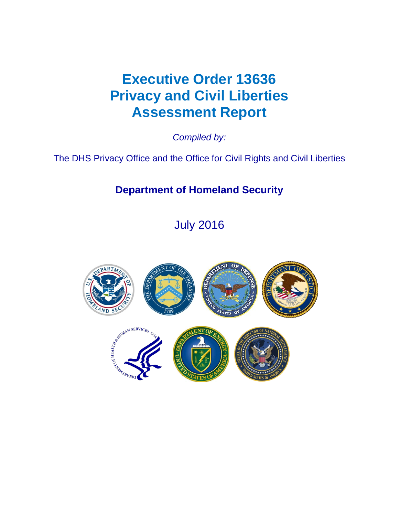# **Executive Order 13636 Privacy and Civil Liberties Assessment Report**

*Compiled by:* 

The DHS Privacy Office and the Office for Civil Rights and Civil Liberties

## **Department of Homeland Security**

July 2016

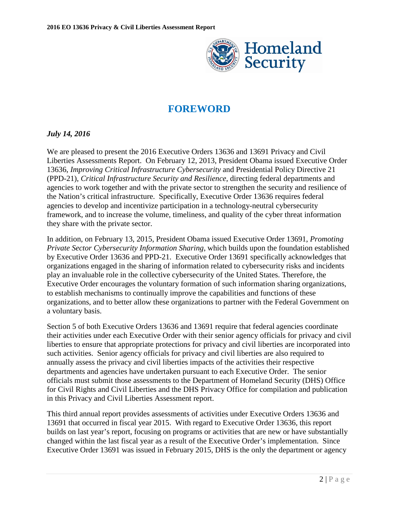

## **FOREWORD**

## <span id="page-1-0"></span>*July 14, 2016*

We are pleased to present the 2016 Executive Orders 13636 and 13691 Privacy and Civil Liberties Assessments Report. On February 12, 2013, President Obama issued Executive Order 13636, *Improving Critical Infrastructure Cybersecurity* and Presidential Policy Directive 21 (PPD-21), *Critical Infrastructure Security and Resilience*, directing federal departments and agencies to work together and with the private sector to strengthen the security and resilience of the Nation's critical infrastructure. Specifically, Executive Order 13636 requires federal agencies to develop and incentivize participation in a technology-neutral cybersecurity framework, and to increase the volume, timeliness, and quality of the cyber threat information they share with the private sector.

In addition, on February 13, 2015, President Obama issued Executive Order 13691, *Promoting Private Sector Cybersecurity Information Sharing*, which builds upon the foundation established by Executive Order 13636 and PPD-21. Executive Order 13691 specifically acknowledges that organizations engaged in the sharing of information related to cybersecurity risks and incidents play an invaluable role in the collective cybersecurity of the United States. Therefore, the Executive Order encourages the voluntary formation of such information sharing organizations, to establish mechanisms to continually improve the capabilities and functions of these organizations, and to better allow these organizations to partner with the Federal Government on a voluntary basis.

Section 5 of both Executive Orders 13636 and 13691 require that federal agencies coordinate their activities under each Executive Order with their senior agency officials for privacy and civil liberties to ensure that appropriate protections for privacy and civil liberties are incorporated into such activities. Senior agency officials for privacy and civil liberties are also required to annually assess the privacy and civil liberties impacts of the activities their respective departments and agencies have undertaken pursuant to each Executive Order. The senior officials must submit those assessments to the Department of Homeland Security (DHS) Office for Civil Rights and Civil Liberties and the DHS Privacy Office for compilation and publication in this Privacy and Civil Liberties Assessment report.

This third annual report provides assessments of activities under Executive Orders 13636 and 13691 that occurred in fiscal year 2015. With regard to Executive Order 13636, this report builds on last year's report, focusing on programs or activities that are new or have substantially changed within the last fiscal year as a result of the Executive Order's implementation. Since Executive Order 13691 was issued in February 2015, DHS is the only the department or agency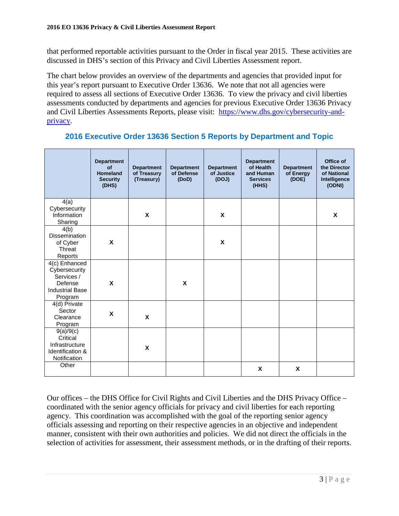that performed reportable activities pursuant to the Order in fiscal year 2015. These activities are discussed in DHS's section of this Privacy and Civil Liberties Assessment report.

The chart below provides an overview of the departments and agencies that provided input for this year's report pursuant to Executive Order 13636. We note that not all agencies were required to assess all sections of Executive Order 13636. To view the privacy and civil liberties assessments conducted by departments and agencies for previous Executive Order 13636 Privacy and Civil Liberties Assessments Reports, please visit: [https://www.dhs.gov/cybersecurity-and](https://www.dhs.gov/cybersecurity-and-privacy)[privacy.](https://www.dhs.gov/cybersecurity-and-privacy)

|                                                                                              | <b>Department</b><br>of<br><b>Homeland</b><br><b>Security</b><br>(DHS) | <b>Department</b><br>of Treasury<br>(Treasury) | <b>Department</b><br>of Defense<br>(DoD) | <b>Department</b><br>of Justice<br>(DOJ) | <b>Department</b><br>of Health<br>and Human<br><b>Services</b><br>(HHS) | <b>Department</b><br>of Energy<br>(DOE) | Office of<br>the Director<br>of National<br>Intelligence<br>(ODNI) |
|----------------------------------------------------------------------------------------------|------------------------------------------------------------------------|------------------------------------------------|------------------------------------------|------------------------------------------|-------------------------------------------------------------------------|-----------------------------------------|--------------------------------------------------------------------|
| 4(a)<br>Cybersecurity<br>Information<br>Sharing                                              |                                                                        | X                                              |                                          | X                                        |                                                                         |                                         | X                                                                  |
| 4(b)<br>Dissemination<br>of Cyber<br>Threat<br><b>Reports</b>                                | $\pmb{\mathsf{X}}$                                                     |                                                |                                          | $\boldsymbol{\mathsf{x}}$                |                                                                         |                                         |                                                                    |
| 4(c) Enhanced<br>Cybersecurity<br>Services /<br>Defense<br><b>Industrial Base</b><br>Program | X                                                                      |                                                | X                                        |                                          |                                                                         |                                         |                                                                    |
| 4(d) Private<br>Sector<br>Clearance<br>Program                                               | X                                                                      | $\boldsymbol{\mathsf{x}}$                      |                                          |                                          |                                                                         |                                         |                                                                    |
| 9(a)/9(c)<br>Critical<br>Infrastructure<br>Identification &<br>Notification                  |                                                                        | X                                              |                                          |                                          |                                                                         |                                         |                                                                    |
| Other                                                                                        |                                                                        |                                                |                                          |                                          | X                                                                       | X                                       |                                                                    |

## **2016 Executive Order 13636 Section 5 Reports by Department and Topic**

Our offices – the DHS Office for Civil Rights and Civil Liberties and the DHS Privacy Office – coordinated with the senior agency officials for privacy and civil liberties for each reporting agency. This coordination was accomplished with the goal of the reporting senior agency officials assessing and reporting on their respective agencies in an objective and independent manner, consistent with their own authorities and policies. We did not direct the officials in the selection of activities for assessment, their assessment methods, or in the drafting of their reports.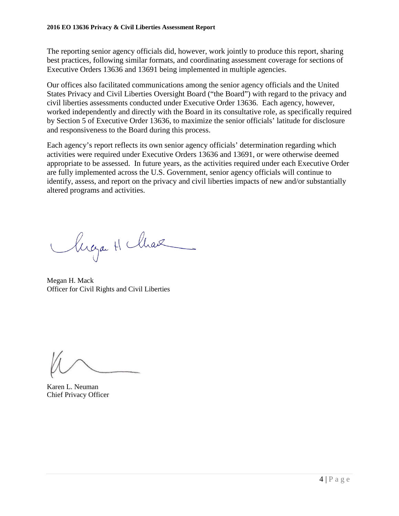The reporting senior agency officials did, however, work jointly to produce this report, sharing best practices, following similar formats, and coordinating assessment coverage for sections of Executive Orders 13636 and 13691 being implemented in multiple agencies.

Our offices also facilitated communications among the senior agency officials and the United States Privacy and Civil Liberties Oversight Board ("the Board") with regard to the privacy and civil liberties assessments conducted under Executive Order 13636. Each agency, however, worked independently and directly with the Board in its consultative role, as specifically required by Section 5 of Executive Order 13636, to maximize the senior officials' latitude for disclosure and responsiveness to the Board during this process.

Each agency's report reflects its own senior agency officials' determination regarding which activities were required under Executive Orders 13636 and 13691, or were otherwise deemed appropriate to be assessed. In future years, as the activities required under each Executive Order are fully implemented across the U.S. Government, senior agency officials will continue to identify, assess, and report on the privacy and civil liberties impacts of new and/or substantially altered programs and activities.

lugar H Max

Megan H. Mack Officer for Civil Rights and Civil Liberties

Karen L. Neuman Chief Privacy Officer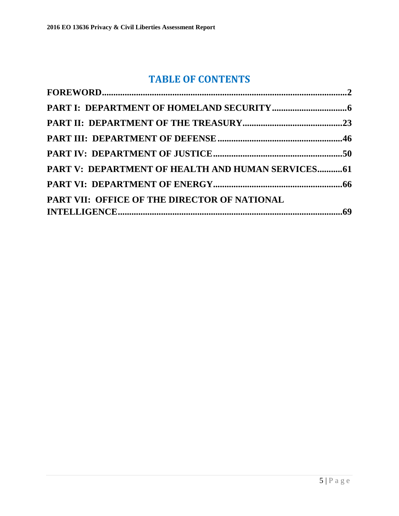## **TABLE OF CONTENTS**

| PART V: DEPARTMENT OF HEALTH AND HUMAN SERVICES 61 |  |
|----------------------------------------------------|--|
|                                                    |  |
| PART VII: OFFICE OF THE DIRECTOR OF NATIONAL       |  |
|                                                    |  |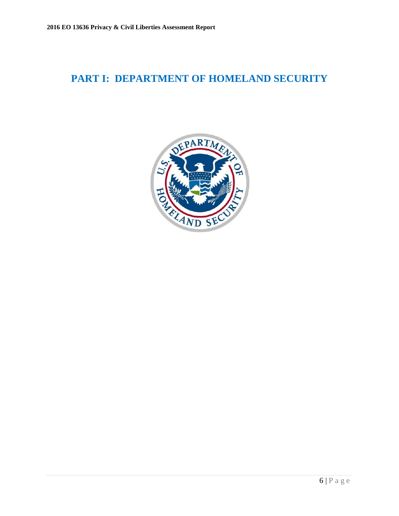## <span id="page-5-0"></span>**PART I: DEPARTMENT OF HOMELAND SECURITY**

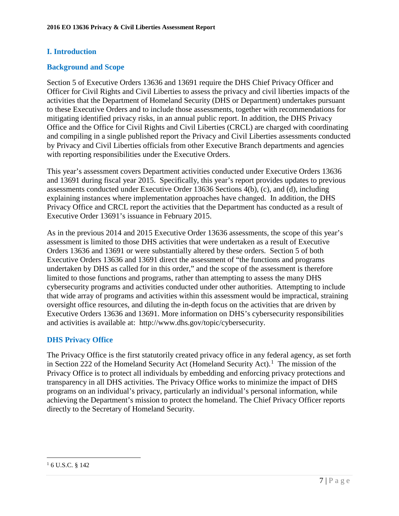## **I. Introduction**

## **Background and Scope**

Section 5 of Executive Orders 13636 and 13691 require the DHS Chief Privacy Officer and Officer for Civil Rights and Civil Liberties to assess the privacy and civil liberties impacts of the activities that the Department of Homeland Security (DHS or Department) undertakes pursuant to these Executive Orders and to include those assessments, together with recommendations for mitigating identified privacy risks, in an annual public report. In addition, the DHS Privacy Office and the Office for Civil Rights and Civil Liberties (CRCL) are charged with coordinating and compiling in a single published report the Privacy and Civil Liberties assessments conducted by Privacy and Civil Liberties officials from other Executive Branch departments and agencies with reporting responsibilities under the Executive Orders.

This year's assessment covers Department activities conducted under Executive Orders 13636 and 13691 during fiscal year 2015. Specifically, this year's report provides updates to previous assessments conducted under Executive Order 13636 Sections 4(b), (c), and (d), including explaining instances where implementation approaches have changed. In addition, the DHS Privacy Office and CRCL report the activities that the Department has conducted as a result of Executive Order 13691's issuance in February 2015.

As in the previous 2014 and 2015 Executive Order 13636 assessments, the scope of this year's assessment is limited to those DHS activities that were undertaken as a result of Executive Orders 13636 and 13691 or were substantially altered by these orders. Section 5 of both Executive Orders 13636 and 13691 direct the assessment of "the functions and programs undertaken by DHS as called for in this order," and the scope of the assessment is therefore limited to those functions and programs, rather than attempting to assess the many DHS cybersecurity programs and activities conducted under other authorities. Attempting to include that wide array of programs and activities within this assessment would be impractical, straining oversight office resources, and diluting the in-depth focus on the activities that are driven by Executive Orders 13636 and 13691. More information on DHS's cybersecurity responsibilities and activities is available at: http://www.dhs.gov/topic/cybersecurity.

## **DHS Privacy Office**

The Privacy Office is the first statutorily created privacy office in any federal agency, as set forth in Section 222 of the Homeland Security Act (Homeland Security Act). [1](#page-6-0) The mission of the Privacy Office is to protect all individuals by embedding and enforcing privacy protections and transparency in all DHS activities. The Privacy Office works to minimize the impact of DHS programs on an individual's privacy, particularly an individual's personal information, while achieving the Department's mission to protect the homeland. The Chief Privacy Officer reports directly to the Secretary of Homeland Security.

<span id="page-6-0"></span> $\overline{a}$  $16$  U.S.C. § 142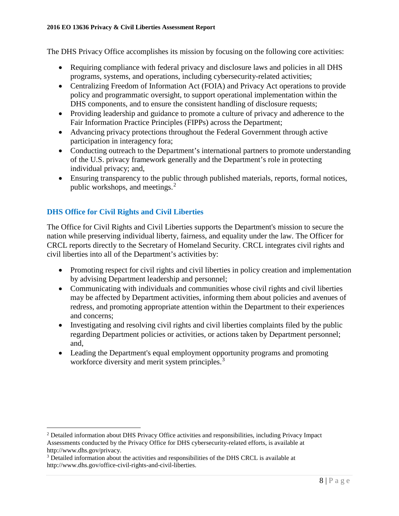#### **2016 EO 13636 Privacy & Civil Liberties Assessment Report**

The DHS Privacy Office accomplishes its mission by focusing on the following core activities:

- Requiring compliance with federal privacy and disclosure laws and policies in all DHS programs, systems, and operations, including cybersecurity-related activities;
- Centralizing Freedom of Information Act (FOIA) and Privacy Act operations to provide policy and programmatic oversight, to support operational implementation within the DHS components, and to ensure the consistent handling of disclosure requests;
- Providing leadership and guidance to promote a culture of privacy and adherence to the Fair Information Practice Principles (FIPPs) across the Department;
- Advancing privacy protections throughout the Federal Government through active participation in interagency fora;
- Conducting outreach to the Department's international partners to promote understanding of the U.S. privacy framework generally and the Department's role in protecting individual privacy; and,
- Ensuring transparency to the public through published materials, reports, formal notices, public workshops, and meetings.<sup>[2](#page-7-0)</sup>

## **DHS Office for Civil Rights and Civil Liberties**

The Office for Civil Rights and Civil Liberties supports the Department's mission to secure the nation while preserving individual liberty, fairness, and equality under the law. The Officer for CRCL reports directly to the Secretary of Homeland Security. CRCL integrates civil rights and civil liberties into all of the Department's activities by:

- Promoting respect for civil rights and civil liberties in policy creation and implementation by advising Department leadership and personnel;
- Communicating with individuals and communities whose civil rights and civil liberties may be affected by Department activities, informing them about policies and avenues of redress, and promoting appropriate attention within the Department to their experiences and concerns;
- Investigating and resolving civil rights and civil liberties complaints filed by the public regarding Department policies or activities, or actions taken by Department personnel; and,
- Leading the Department's equal employment opportunity programs and promoting workforce diversity and merit system principles.<sup>[3](#page-7-1)</sup>

<span id="page-7-0"></span> $\overline{a}$ <sup>2</sup> Detailed information about DHS Privacy Office activities and responsibilities, including Privacy Impact Assessments conducted by the Privacy Office for DHS cybersecurity-related efforts, is available at http://www.dhs.gov/privacy.

<span id="page-7-1"></span><sup>&</sup>lt;sup>3</sup> Detailed information about the activities and responsibilities of the DHS CRCL is available at http://www.dhs.gov/office-civil-rights-and-civil-liberties.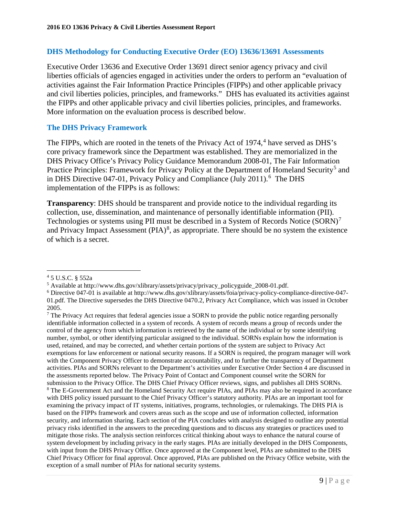#### **DHS Methodology for Conducting Executive Order (EO) 13636/13691 Assessments**

Executive Order 13636 and Executive Order 13691 direct senior agency privacy and civil liberties officials of agencies engaged in activities under the orders to perform an "evaluation of activities against the Fair Information Practice Principles (FIPPs) and other applicable privacy and civil liberties policies, principles, and frameworks." DHS has evaluated its activities against the FIPPs and other applicable privacy and civil liberties policies, principles, and frameworks. More information on the evaluation process is described below.

#### **The DHS Privacy Framework**

The FIPPs, which are rooted in the tenets of the Privacy Act of 197[4](#page-8-0),<sup>4</sup> have served as DHS's core privacy framework since the Department was established. They are memorialized in the DHS Privacy Office's Privacy Policy Guidance Memorandum 2008-01, The Fair Information Practice Principles: Framework for Privacy Policy at the Department of Homeland Security<sup>[5](#page-8-1)</sup> and in DHS Directive 047-01, Privacy Policy and Compliance (July 2011).<sup>[6](#page-8-2)</sup> The DHS implementation of the FIPPs is as follows:

**Transparency**: DHS should be transparent and provide notice to the individual regarding its collection, use, dissemination, and maintenance of personally identifiable information (PII). Technologies or systems using PII must be described in a System of Records Notice (SORN)<sup>[7](#page-8-3)</sup> and Privacy Impact Assessment (PIA) $<sup>8</sup>$  $<sup>8</sup>$  $<sup>8</sup>$ , as appropriate. There should be no system the existence</sup> of which is a secret.

 $\overline{a}$ <sup>4</sup> 5 U.S.C. § 552a

<span id="page-8-1"></span><span id="page-8-0"></span><sup>5</sup> Available at http://www.dhs.gov/xlibrary/assets/privacy/privacy\_policyguide\_2008-01.pdf.

<span id="page-8-2"></span><sup>6</sup> Directive 047-01 is available at http://www.dhs.gov/xlibrary/assets/foia/privacy-policy-compliance-directive-047- 01.pdf. The Directive supersedes the DHS Directive 0470.2, Privacy Act Compliance, which was issued in October 2005.

<span id="page-8-4"></span><span id="page-8-3"></span><sup>&</sup>lt;sup>7</sup> The Privacy Act requires that federal agencies issue a SORN to provide the public notice regarding personally identifiable information collected in a system of records. A system of records means a group of records under the control of the agency from which information is retrieved by the name of the individual or by some identifying number, symbol, or other identifying particular assigned to the individual. SORNs explain how the information is used, retained, and may be corrected, and whether certain portions of the system are subject to Privacy Act exemptions for law enforcement or national security reasons. If a SORN is required, the program manager will work with the Component Privacy Officer to demonstrate accountability, and to further the transparency of Department activities. PIAs and SORNs relevant to the Department's activities under Executive Order Section 4 are discussed in the assessments reported below. The Privacy Point of Contact and Component counsel write the SORN for submission to the Privacy Office. The DHS Chief Privacy Officer reviews, signs, and publishes all DHS SORNs. <sup>8</sup> The E-Government Act and the Homeland Security Act require PIAs, and PIAs may also be required in accordance with DHS policy issued pursuant to the Chief Privacy Officer's statutory authority. PIAs are an important tool for examining the privacy impact of IT systems, initiatives, programs, technologies, or rulemakings. The DHS PIA is based on the FIPPs framework and covers areas such as the scope and use of information collected, information security, and information sharing. Each section of the PIA concludes with analysis designed to outline any potential privacy risks identified in the answers to the preceding questions and to discuss any strategies or practices used to mitigate those risks. The analysis section reinforces critical thinking about ways to enhance the natural course of system development by including privacy in the early stages. PIAs are initially developed in the DHS Components, with input from the DHS Privacy Office. Once approved at the Component level, PIAs are submitted to the DHS Chief Privacy Officer for final approval. Once approved, PIAs are published on the Privacy Office website, with the exception of a small number of PIAs for national security systems.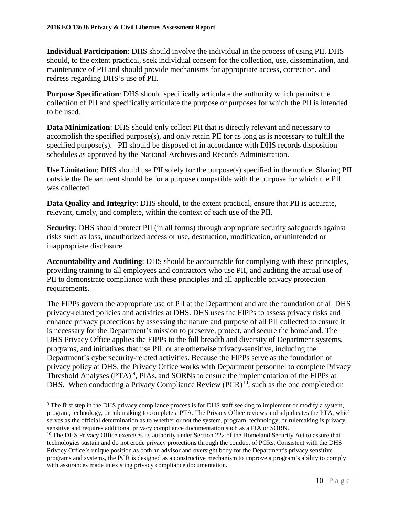**Individual Participation**: DHS should involve the individual in the process of using PII. DHS should, to the extent practical, seek individual consent for the collection, use, dissemination, and maintenance of PII and should provide mechanisms for appropriate access, correction, and redress regarding DHS's use of PII.

**Purpose Specification**: DHS should specifically articulate the authority which permits the collection of PII and specifically articulate the purpose or purposes for which the PII is intended to be used.

**Data Minimization**: DHS should only collect PII that is directly relevant and necessary to accomplish the specified purpose(s), and only retain PII for as long as is necessary to fulfill the specified purpose(s). PII should be disposed of in accordance with DHS records disposition schedules as approved by the National Archives and Records Administration.

**Use Limitation**: DHS should use PII solely for the purpose(s) specified in the notice. Sharing PII outside the Department should be for a purpose compatible with the purpose for which the PII was collected.

**Data Quality and Integrity**: DHS should, to the extent practical, ensure that PII is accurate, relevant, timely, and complete, within the context of each use of the PII.

**Security**: DHS should protect PII (in all forms) through appropriate security safeguards against risks such as loss, unauthorized access or use, destruction, modification, or unintended or inappropriate disclosure.

**Accountability and Auditing**: DHS should be accountable for complying with these principles, providing training to all employees and contractors who use PII, and auditing the actual use of PII to demonstrate compliance with these principles and all applicable privacy protection requirements.

The FIPPs govern the appropriate use of PII at the Department and are the foundation of all DHS privacy-related policies and activities at DHS. DHS uses the FIPPs to assess privacy risks and enhance privacy protections by assessing the nature and purpose of all PII collected to ensure it is necessary for the Department's mission to preserve, protect, and secure the homeland. The DHS Privacy Office applies the FIPPs to the full breadth and diversity of Department systems, programs, and initiatives that use PII, or are otherwise privacy-sensitive, including the Department's cybersecurity-related activities. Because the FIPPs serve as the foundation of privacy policy at DHS, the Privacy Office works with Department personnel to complete Privacy Threshold Analyses (PTA)<sup>[9](#page-9-0)</sup>, PIAs, and SORNs to ensure the implementation of the FIPPs at DHS. When conducting a Privacy Compliance Review  $(PCR)^{10}$ , such as the one completed on

<span id="page-9-0"></span> <sup>9</sup> The first step in the DHS privacy compliance process is for DHS staff seeking to implement or modify a system, program, technology, or rulemaking to complete a PTA. The Privacy Office reviews and adjudicates the PTA, which serves as the official determination as to whether or not the system, program, technology, or rulemaking is privacy sensitive and requires additional privacy compliance documentation such as a PIA or SORN.

<span id="page-9-1"></span><sup>&</sup>lt;sup>10</sup> The DHS Privacy Office exercises its authority under Section 222 of the Homeland Security Act to assure that technologies sustain and do not erode privacy protections through the conduct of PCRs. Consistent with the DHS Privacy Office's unique position as both an advisor and oversight body for the Department's privacy sensitive programs and systems, the PCR is designed as a constructive mechanism to improve a program's ability to comply with assurances made in existing privacy compliance documentation.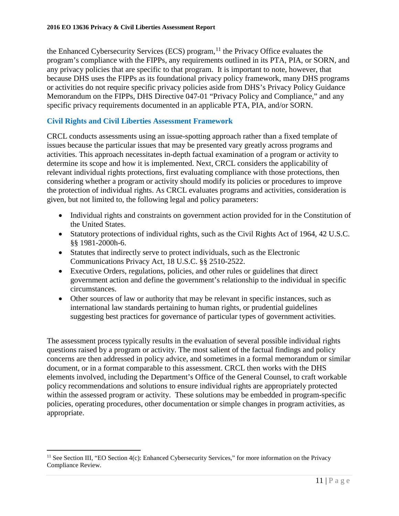the Enhanced Cybersecurity Services (ECS) program,  $11$  the Privacy Office evaluates the program's compliance with the FIPPs, any requirements outlined in its PTA, PIA, or SORN, and any privacy policies that are specific to that program. It is important to note, however, that because DHS uses the FIPPs as its foundational privacy policy framework, many DHS programs or activities do not require specific privacy policies aside from DHS's Privacy Policy Guidance Memorandum on the FIPPs, DHS Directive 047-01 "Privacy Policy and Compliance," and any specific privacy requirements documented in an applicable PTA, PIA, and/or SORN.

## **Civil Rights and Civil Liberties Assessment Framework**

CRCL conducts assessments using an issue-spotting approach rather than a fixed template of issues because the particular issues that may be presented vary greatly across programs and activities. This approach necessitates in-depth factual examination of a program or activity to determine its scope and how it is implemented. Next, CRCL considers the applicability of relevant individual rights protections, first evaluating compliance with those protections, then considering whether a program or activity should modify its policies or procedures to improve the protection of individual rights. As CRCL evaluates programs and activities, consideration is given, but not limited to, the following legal and policy parameters:

- Individual rights and constraints on government action provided for in the Constitution of the United States.
- Statutory protections of individual rights, such as the Civil Rights Act of 1964, 42 U.S.C. §§ 1981-2000h-6.
- Statutes that indirectly serve to protect individuals, such as the Electronic Communications Privacy Act, 18 U.S.C. §§ 2510-2522.
- Executive Orders, regulations, policies, and other rules or guidelines that direct government action and define the government's relationship to the individual in specific circumstances.
- Other sources of law or authority that may be relevant in specific instances, such as international law standards pertaining to human rights, or prudential guidelines suggesting best practices for governance of particular types of government activities.

The assessment process typically results in the evaluation of several possible individual rights questions raised by a program or activity. The most salient of the factual findings and policy concerns are then addressed in policy advice, and sometimes in a formal memorandum or similar document, or in a format comparable to this assessment. CRCL then works with the DHS elements involved, including the Department's Office of the General Counsel, to craft workable policy recommendations and solutions to ensure individual rights are appropriately protected within the assessed program or activity. These solutions may be embedded in program-specific policies, operating procedures, other documentation or simple changes in program activities, as appropriate.

<span id="page-10-0"></span> $\overline{a}$ <sup>11</sup> See Section III, "EO Section 4(c): Enhanced Cybersecurity Services," for more information on the Privacy Compliance Review.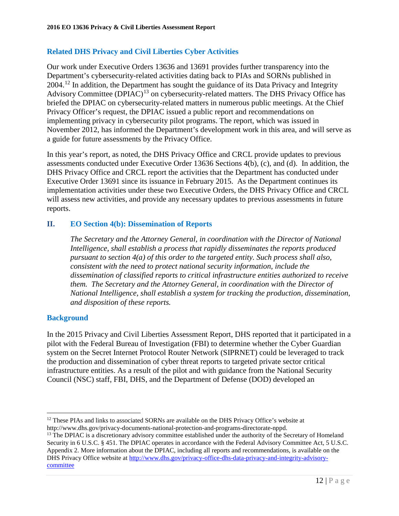## **Related DHS Privacy and Civil Liberties Cyber Activities**

Our work under Executive Orders 13636 and 13691 provides further transparency into the Department's cybersecurity-related activities dating back to PIAs and SORNs published in 2004.[12](#page-11-0) In addition, the Department has sought the guidance of its Data Privacy and Integrity Advisory Committee (DPIAC)<sup>13</sup> on cybersecurity-related matters. The DHS Privacy Office has briefed the DPIAC on cybersecurity-related matters in numerous public meetings. At the Chief Privacy Officer's request, the DPIAC issued a public report and recommendations on implementing privacy in cybersecurity pilot programs. The report, which was issued in November 2012, has informed the Department's development work in this area, and will serve as a guide for future assessments by the Privacy Office.

In this year's report, as noted, the DHS Privacy Office and CRCL provide updates to previous assessments conducted under Executive Order 13636 Sections 4(b), (c), and (d). In addition, the DHS Privacy Office and CRCL report the activities that the Department has conducted under Executive Order 13691 since its issuance in February 2015. As the Department continues its implementation activities under these two Executive Orders, the DHS Privacy Office and CRCL will assess new activities, and provide any necessary updates to previous assessments in future reports.

## **II. EO Section 4(b): Dissemination of Reports**

*The Secretary and the Attorney General, in coordination with the Director of National Intelligence, shall establish a process that rapidly disseminates the reports produced pursuant to section 4(a) of this order to the targeted entity. Such process shall also, consistent with the need to protect national security information, include the dissemination of classified reports to critical infrastructure entities authorized to receive them. The Secretary and the Attorney General, in coordination with the Director of National Intelligence, shall establish a system for tracking the production, dissemination, and disposition of these reports.* 

#### **Background**

In the 2015 Privacy and Civil Liberties Assessment Report, DHS reported that it participated in a pilot with the Federal Bureau of Investigation (FBI) to determine whether the Cyber Guardian system on the Secret Internet Protocol Router Network (SIPRNET) could be leveraged to track the production and dissemination of cyber threat reports to targeted private sector critical infrastructure entities. As a result of the pilot and with guidance from the National Security Council (NSC) staff, FBI, DHS, and the Department of Defense (DOD) developed an

<span id="page-11-0"></span> $\overline{a}$  $12$  These PIAs and links to associated SORNs are available on the DHS Privacy Office's website at http://www.dhs.gov/privacy-documents-national-protection-and-programs-directorate-nppd.

<span id="page-11-1"></span><sup>&</sup>lt;sup>13</sup> The DPIAC is a discretionary advisory committee established under the authority of the Secretary of Homeland Security in 6 U.S.C. § 451. The DPIAC operates in accordance with the Federal Advisory Committee Act, 5 U.S.C. Appendix 2. More information about the DPIAC, including all reports and recommendations, is available on the DHS Privacy Office website at [http://www.dhs.gov/privacy-office-dhs-data-privacy-and-integrity-advisory](http://www.dhs.gov/privacy-office-dhs-data-privacy-and-integrity-advisory-committee)[committee](http://www.dhs.gov/privacy-office-dhs-data-privacy-and-integrity-advisory-committee)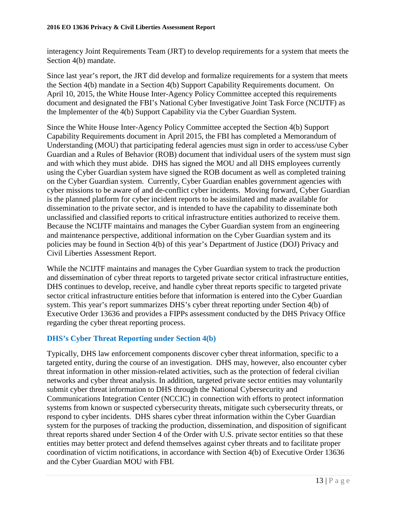interagency Joint Requirements Team (JRT) to develop requirements for a system that meets the Section 4(b) mandate.

Since last year's report, the JRT did develop and formalize requirements for a system that meets the Section 4(b) mandate in a Section 4(b) Support Capability Requirements document. On April 10, 2015, the White House Inter-Agency Policy Committee accepted this requirements document and designated the FBI's National Cyber Investigative Joint Task Force (NCIJTF) as the Implementer of the 4(b) Support Capability via the Cyber Guardian System.

Since the White House Inter-Agency Policy Committee accepted the Section 4(b) Support Capability Requirements document in April 2015, the FBI has completed a Memorandum of Understanding (MOU) that participating federal agencies must sign in order to access/use Cyber Guardian and a Rules of Behavior (ROB) document that individual users of the system must sign and with which they must abide. DHS has signed the MOU and all DHS employees currently using the Cyber Guardian system have signed the ROB document as well as completed training on the Cyber Guardian system. Currently, Cyber Guardian enables government agencies with cyber missions to be aware of and de-conflict cyber incidents. Moving forward, Cyber Guardian is the planned platform for cyber incident reports to be assimilated and made available for dissemination to the private sector, and is intended to have the capability to disseminate both unclassified and classified reports to critical infrastructure entities authorized to receive them. Because the NCIJTF maintains and manages the Cyber Guardian system from an engineering and maintenance perspective, additional information on the Cyber Guardian system and its policies may be found in Section 4(b) of this year's Department of Justice (DOJ) Privacy and Civil Liberties Assessment Report.

While the NCIJTF maintains and manages the Cyber Guardian system to track the production and dissemination of cyber threat reports to targeted private sector critical infrastructure entities, DHS continues to develop, receive, and handle cyber threat reports specific to targeted private sector critical infrastructure entities before that information is entered into the Cyber Guardian system. This year's report summarizes DHS's cyber threat reporting under Section 4(b) of Executive Order 13636 and provides a FIPPs assessment conducted by the DHS Privacy Office regarding the cyber threat reporting process.

## **DHS's Cyber Threat Reporting under Section 4(b)**

Typically, DHS law enforcement components discover cyber threat information, specific to a targeted entity, during the course of an investigation. DHS may, however, also encounter cyber threat information in other mission-related activities, such as the protection of federal civilian networks and cyber threat analysis. In addition, targeted private sector entities may voluntarily submit cyber threat information to DHS through the National Cybersecurity and Communications Integration Center (NCCIC) in connection with efforts to protect information systems from known or suspected cybersecurity threats, mitigate such cybersecurity threats, or respond to cyber incidents. DHS shares cyber threat information within the Cyber Guardian system for the purposes of tracking the production, dissemination, and disposition of significant threat reports shared under Section 4 of the Order with U.S. private sector entities so that these entities may better protect and defend themselves against cyber threats and to facilitate proper coordination of victim notifications, in accordance with Section 4(b) of Executive Order 13636 and the Cyber Guardian MOU with FBI.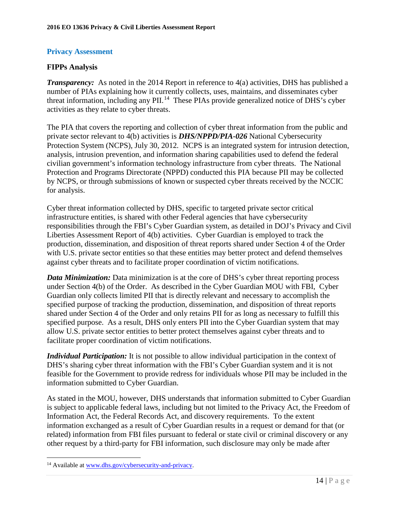## **Privacy Assessment**

## **FIPPs Analysis**

*Transparency:* As noted in the 2014 Report in reference to 4(a) activities, DHS has published a number of PIAs explaining how it currently collects, uses, maintains, and disseminates cyber threat information, including any PII.<sup>[14](#page-13-0)</sup> These PIAs provide generalized notice of DHS's cyber activities as they relate to cyber threats.

The PIA that covers the reporting and collection of cyber threat information from the public and private sector relevant to 4(b) activities is *DHS/NPPD/PIA-026* National Cybersecurity Protection System (NCPS), July 30, 2012*.* NCPS is an integrated system for intrusion detection, analysis, intrusion prevention, and information sharing capabilities used to defend the federal civilian government's information technology infrastructure from cyber threats. The National Protection and Programs Directorate (NPPD) conducted this PIA because PII may be collected by NCPS, or through submissions of known or suspected cyber threats received by the NCCIC for analysis.

Cyber threat information collected by DHS, specific to targeted private sector critical infrastructure entities, is shared with other Federal agencies that have cybersecurity responsibilities through the FBI's Cyber Guardian system, as detailed in DOJ's Privacy and Civil Liberties Assessment Report of 4(b) activities. Cyber Guardian is employed to track the production, dissemination, and disposition of threat reports shared under Section 4 of the Order with U.S. private sector entities so that these entities may better protect and defend themselves against cyber threats and to facilitate proper coordination of victim notifications.

*Data Minimization:* Data minimization is at the core of DHS's cyber threat reporting process under Section 4(b) of the Order. As described in the Cyber Guardian MOU with FBI, Cyber Guardian only collects limited PII that is directly relevant and necessary to accomplish the specified purpose of tracking the production, dissemination, and disposition of threat reports shared under Section 4 of the Order and only retains PII for as long as necessary to fulfill this specified purpose. As a result, DHS only enters PII into the Cyber Guardian system that may allow U.S. private sector entities to better protect themselves against cyber threats and to facilitate proper coordination of victim notifications.

*Individual Participation:* It is not possible to allow individual participation in the context of DHS's sharing cyber threat information with the FBI's Cyber Guardian system and it is not feasible for the Government to provide redress for individuals whose PII may be included in the information submitted to Cyber Guardian.

As stated in the MOU, however, DHS understands that information submitted to Cyber Guardian is subject to applicable federal laws, including but not limited to the Privacy Act, the Freedom of Information Act, the Federal Records Act, and discovery requirements. To the extent information exchanged as a result of Cyber Guardian results in a request or demand for that (or related) information from FBI files pursuant to federal or state civil or criminal discovery or any other request by a third-party for FBI information, such disclosure may only be made after

 $\overline{a}$ 

<span id="page-13-0"></span><sup>14</sup> Available at [www.dhs.gov/cybersecurity-and-privacy.](http://www.dhs.gov/cybersecurity-and-privacy)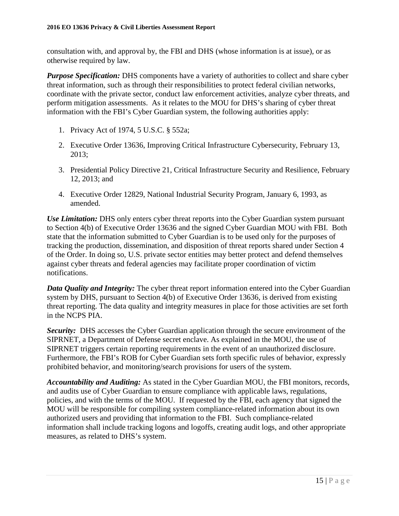consultation with, and approval by, the FBI and DHS (whose information is at issue), or as otherwise required by law.

*Purpose Specification:* DHS components have a variety of authorities to collect and share cyber threat information, such as through their responsibilities to protect federal civilian networks, coordinate with the private sector, conduct law enforcement activities, analyze cyber threats, and perform mitigation assessments. As it relates to the MOU for DHS's sharing of cyber threat information with the FBI's Cyber Guardian system, the following authorities apply:

- 1. Privacy Act of 1974, 5 U.S.C. § 552a;
- 2. Executive Order 13636, Improving Critical Infrastructure Cybersecurity, February 13, 2013;
- 3. Presidential Policy Directive 21, Critical Infrastructure Security and Resilience, February 12, 2013; and
- 4. Executive Order 12829, National Industrial Security Program, January 6, 1993, as amended.

*Use Limitation:* DHS only enters cyber threat reports into the Cyber Guardian system pursuant to Section 4(b) of Executive Order 13636 and the signed Cyber Guardian MOU with FBI. Both state that the information submitted to Cyber Guardian is to be used only for the purposes of tracking the production, dissemination, and disposition of threat reports shared under Section 4 of the Order. In doing so, U.S. private sector entities may better protect and defend themselves against cyber threats and federal agencies may facilitate proper coordination of victim notifications.

*Data Quality and Integrity:* The cyber threat report information entered into the Cyber Guardian system by DHS, pursuant to Section 4(b) of Executive Order 13636, is derived from existing threat reporting. The data quality and integrity measures in place for those activities are set forth in the NCPS PIA.

*Security:* DHS accesses the Cyber Guardian application through the secure environment of the SIPRNET, a Department of Defense secret enclave. As explained in the MOU, the use of SIPRNET triggers certain reporting requirements in the event of an unauthorized disclosure. Furthermore, the FBI's ROB for Cyber Guardian sets forth specific rules of behavior, expressly prohibited behavior, and monitoring/search provisions for users of the system.

*Accountability and Auditing:* As stated in the Cyber Guardian MOU, the FBI monitors, records, and audits use of Cyber Guardian to ensure compliance with applicable laws, regulations, policies, and with the terms of the MOU. If requested by the FBI, each agency that signed the MOU will be responsible for compiling system compliance-related information about its own authorized users and providing that information to the FBI. Such compliance-related information shall include tracking logons and logoffs, creating audit logs, and other appropriate measures, as related to DHS's system.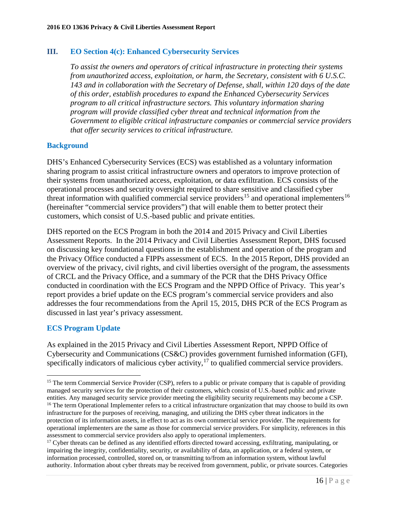#### **III. EO Section 4(c): Enhanced Cybersecurity Services**

*To assist the owners and operators of critical infrastructure in protecting their systems from unauthorized access, exploitation, or harm, the Secretary, consistent with 6 U.S.C. 143 and in collaboration with the Secretary of Defense, shall, within 120 days of the date of this order, establish procedures to expand the Enhanced Cybersecurity Services program to all critical infrastructure sectors. This voluntary information sharing program will provide classified cyber threat and technical information from the Government to eligible critical infrastructure companies or commercial service providers that offer security services to critical infrastructure.*

#### **Background**

DHS's Enhanced Cybersecurity Services (ECS) was established as a voluntary information sharing program to assist critical infrastructure owners and operators to improve protection of their systems from unauthorized access, exploitation, or data exfiltration. ECS consists of the operational processes and security oversight required to share sensitive and classified cyber threat information with qualified commercial service providers<sup>[15](#page-15-0)</sup> and operational implementers<sup>[16](#page-15-1)</sup> (hereinafter "commercial service providers") that will enable them to better protect their customers, which consist of U.S.-based public and private entities.

DHS reported on the ECS Program in both the 2014 and 2015 Privacy and Civil Liberties Assessment Reports. In the 2014 Privacy and Civil Liberties Assessment Report, DHS focused on discussing key foundational questions in the establishment and operation of the program and the Privacy Office conducted a FIPPs assessment of ECS. In the 2015 Report, DHS provided an overview of the privacy, civil rights, and civil liberties oversight of the program, the assessments of CRCL and the Privacy Office, and a summary of the PCR that the DHS Privacy Office conducted in coordination with the ECS Program and the NPPD Office of Privacy. This year's report provides a brief update on the ECS program's commercial service providers and also addresses the four recommendations from the April 15, 2015, DHS PCR of the ECS Program as discussed in last year's privacy assessment.

## **ECS Program Update**

 $\overline{a}$ 

As explained in the 2015 Privacy and Civil Liberties Assessment Report, NPPD Office of Cybersecurity and Communications (CS&C) provides government furnished information (GFI), specifically indicators of malicious cyber activity, $17$  to qualified commercial service providers.

<span id="page-15-1"></span><span id="page-15-0"></span><sup>&</sup>lt;sup>15</sup> The term Commercial Service Provider (CSP), refers to a public or private company that is capable of providing managed security services for the protection of their customers, which consist of U.S.-based public and private entities. Any managed security service provider meeting the eligibility security requirements may become a CSP. <sup>16</sup> The term Operational Implementer refers to a critical infrastructure organization that may choose to build its own infrastructure for the purposes of receiving, managing, and utilizing the DHS cyber threat indicators in the protection of its information assets, in effect to act as its own commercial service provider. The requirements for operational implementers are the same as those for commercial service providers. For simplicity, references in this assessment to commercial service providers also apply to operational implementers.

<span id="page-15-2"></span><sup>&</sup>lt;sup>17</sup> Cyber threats can be defined as any identified efforts directed toward accessing, exfiltrating, manipulating, or impairing the integrity, confidentiality, security, or availability of data, an application, or a federal system, or information processed, controlled, stored on, or transmitting to/from an information system, without lawful authority. Information about cyber threats may be received from government, public, or private sources. Categories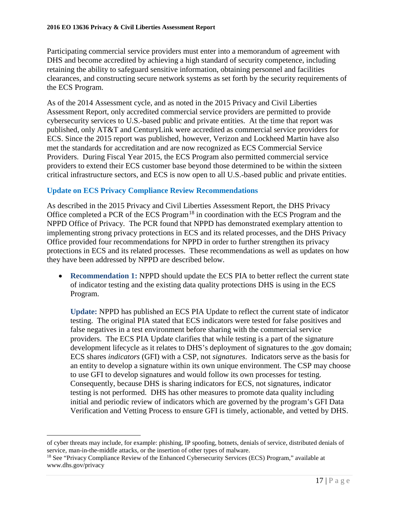Participating commercial service providers must enter into a memorandum of agreement with DHS and become accredited by achieving a high standard of security competence, including retaining the ability to safeguard sensitive information, obtaining personnel and facilities clearances, and constructing secure network systems as set forth by the security requirements of the ECS Program.

As of the 2014 Assessment cycle, and as noted in the 2015 Privacy and Civil Liberties Assessment Report, only accredited commercial service providers are permitted to provide cybersecurity services to U.S.-based public and private entities. At the time that report was published, only AT&T and CenturyLink were accredited as commercial service providers for ECS. Since the 2015 report was published, however, Verizon and Lockheed Martin have also met the standards for accreditation and are now recognized as ECS Commercial Service Providers. During Fiscal Year 2015, the ECS Program also permitted commercial service providers to extend their ECS customer base beyond those determined to be within the sixteen critical infrastructure sectors, and ECS is now open to all U.S.-based public and private entities.

## **Update on ECS Privacy Compliance Review Recommendations**

As described in the 2015 Privacy and Civil Liberties Assessment Report, the DHS Privacy Office completed a PCR of the ECS Program<sup>[18](#page-16-0)</sup> in coordination with the ECS Program and the NPPD Office of Privacy. The PCR found that NPPD has demonstrated exemplary attention to implementing strong privacy protections in ECS and its related processes, and the DHS Privacy Office provided four recommendations for NPPD in order to further strengthen its privacy protections in ECS and its related processes. These recommendations as well as updates on how they have been addressed by NPPD are described below.

• **Recommendation 1:** NPPD should update the ECS PIA to better reflect the current state of indicator testing and the existing data quality protections DHS is using in the ECS Program.

**Update:** NPPD has published an ECS PIA Update to reflect the current state of indicator testing. The original PIA stated that ECS indicators were tested for false positives and false negatives in a test environment before sharing with the commercial service providers. The ECS PIA Update clarifies that while testing is a part of the signature development lifecycle as it relates to DHS's deployment of signatures to the .gov domain; ECS shares *indicators* (GFI) with a CSP, not *signatures*. Indicators serve as the basis for an entity to develop a signature within its own unique environment. The CSP may choose to use GFI to develop signatures and would follow its own processes for testing. Consequently, because DHS is sharing indicators for ECS, not signatures, indicator testing is not performed. DHS has other measures to promote data quality including initial and periodic review of indicators which are governed by the program's GFI Data Verification and Vetting Process to ensure GFI is timely, actionable, and vetted by DHS.

 $\overline{a}$ 

of cyber threats may include, for example: phishing, IP spoofing, botnets, denials of service, distributed denials of service, man-in-the-middle attacks, or the insertion of other types of malware.

<span id="page-16-0"></span><sup>&</sup>lt;sup>18</sup> See "Privacy Compliance Review of the Enhanced Cybersecurity Services (ECS) Program," available at www.dhs.gov/privacy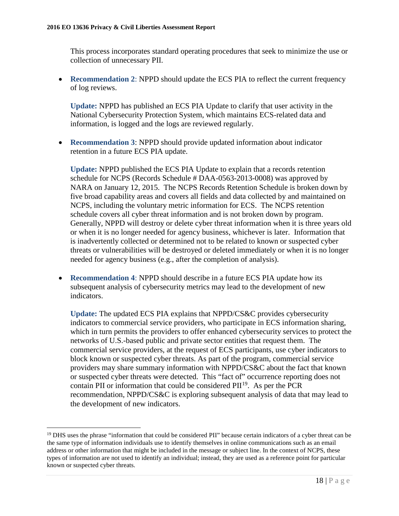This process incorporates standard operating procedures that seek to minimize the use or collection of unnecessary PII.

• **Recommendation 2: NPPD should update the ECS PIA to reflect the current frequency** of log reviews.

**Update:** NPPD has published an ECS PIA Update to clarify that user activity in the National Cybersecurity Protection System, which maintains ECS-related data and information, is logged and the logs are reviewed regularly.

• **Recommendation 3**: NPPD should provide updated information about indicator retention in a future ECS PIA update.

**Update:** NPPD published the ECS PIA Update to explain that a records retention schedule for NCPS (Records Schedule # DAA-0563-2013-0008) was approved by NARA on January 12, 2015. The NCPS Records Retention Schedule is broken down by five broad capability areas and covers all fields and data collected by and maintained on NCPS, including the voluntary metric information for ECS. The NCPS retention schedule covers all cyber threat information and is not broken down by program. Generally, NPPD will destroy or delete cyber threat information when it is three years old or when it is no longer needed for agency business, whichever is later. Information that is inadvertently collected or determined not to be related to known or suspected cyber threats or vulnerabilities will be destroyed or deleted immediately or when it is no longer needed for agency business (e.g., after the completion of analysis).

• **Recommendation 4**: NPPD should describe in a future ECS PIA update how its subsequent analysis of cybersecurity metrics may lead to the development of new indicators.

**Update:** The updated ECS PIA explains that NPPD/CS&C provides cybersecurity indicators to commercial service providers, who participate in ECS information sharing, which in turn permits the providers to offer enhanced cybersecurity services to protect the networks of U.S.-based public and private sector entities that request them. The commercial service providers, at the request of ECS participants, use cyber indicators to block known or suspected cyber threats. As part of the program, commercial service providers may share summary information with NPPD/CS&C about the fact that known or suspected cyber threats were detected. This "fact of" occurrence reporting does not contain PII or information that could be considered  $\text{PII}^{19}$ . As per the PCR recommendation, NPPD/CS&C is exploring subsequent analysis of data that may lead to the development of new indicators.

 $\overline{a}$ 

<span id="page-17-0"></span><sup>&</sup>lt;sup>19</sup> DHS uses the phrase "information that could be considered PII" because certain indicators of a cyber threat can be the same type of information individuals use to identify themselves in online communications such as an email address or other information that might be included in the message or subject line. In the context of NCPS, these types of information are not used to identify an individual; instead, they are used as a reference point for particular known or suspected cyber threats.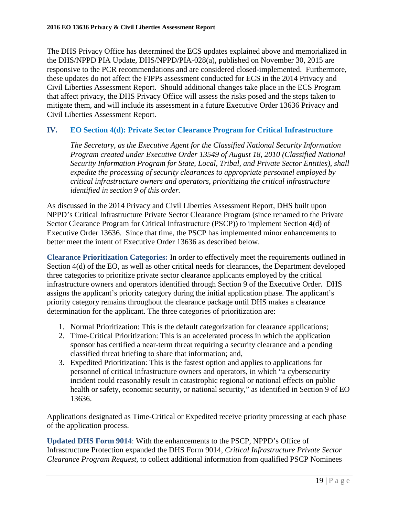The DHS Privacy Office has determined the ECS updates explained above and memorialized in the DHS/NPPD PIA Update, DHS/NPPD/PIA-028(a), published on November 30, 2015 are responsive to the PCR recommendations and are considered closed-implemented. Furthermore, these updates do not affect the FIPPs assessment conducted for ECS in the 2014 Privacy and Civil Liberties Assessment Report. Should additional changes take place in the ECS Program that affect privacy, the DHS Privacy Office will assess the risks posed and the steps taken to mitigate them, and will include its assessment in a future Executive Order 13636 Privacy and Civil Liberties Assessment Report.

## **IV. EO Section 4(d): Private Sector Clearance Program for Critical Infrastructure**

*The Secretary, as the Executive Agent for the Classified National Security Information Program created under Executive Order 13549 of August 18, 2010 (Classified National Security Information Program for State, Local, Tribal, and Private Sector Entities), shall expedite the processing of security clearances to appropriate personnel employed by critical infrastructure owners and operators, prioritizing the critical infrastructure identified in section 9 of this order.* 

As discussed in the 2014 Privacy and Civil Liberties Assessment Report, DHS built upon NPPD's Critical Infrastructure Private Sector Clearance Program (since renamed to the Private Sector Clearance Program for Critical Infrastructure (PSCP)) to implement Section 4(d) of Executive Order 13636. Since that time, the PSCP has implemented minor enhancements to better meet the intent of Executive Order 13636 as described below.

**Clearance Prioritization Categories:** In order to effectively meet the requirements outlined in Section 4(d) of the EO, as well as other critical needs for clearances, the Department developed three categories to prioritize private sector clearance applicants employed by the critical infrastructure owners and operators identified through Section 9 of the Executive Order. DHS assigns the applicant's priority category during the initial application phase. The applicant's priority category remains throughout the clearance package until DHS makes a clearance determination for the applicant. The three categories of prioritization are:

- 1. Normal Prioritization: This is the default categorization for clearance applications;
- 2. Time-Critical Prioritization: This is an accelerated process in which the application sponsor has certified a near-term threat requiring a security clearance and a pending classified threat briefing to share that information; and,
- 3. Expedited Prioritization: This is the fastest option and applies to applications for personnel of critical infrastructure owners and operators, in which "a cybersecurity incident could reasonably result in catastrophic regional or national effects on public health or safety, economic security, or national security," as identified in Section 9 of EO 13636.

Applications designated as Time-Critical or Expedited receive priority processing at each phase of the application process.

**Updated DHS Form 9014**: With the enhancements to the PSCP, NPPD's Office of Infrastructure Protection expanded the DHS Form 9014, *Critical Infrastructure Private Sector Clearance Program Request,* to collect additional information from qualified PSCP Nominees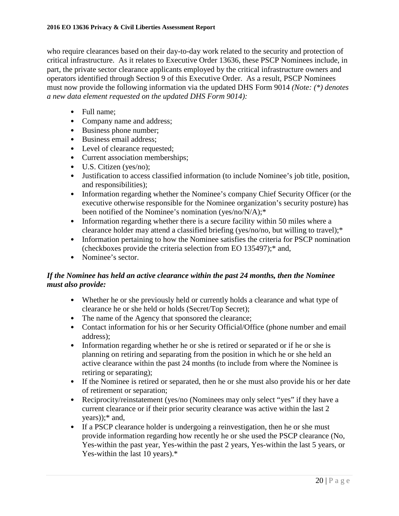who require clearances based on their day-to-day work related to the security and protection of critical infrastructure. As it relates to Executive Order 13636, these PSCP Nominees include, in part, the private sector clearance applicants employed by the critical infrastructure owners and operators identified through Section 9 of this Executive Order. As a result, PSCP Nominees must now provide the following information via the updated DHS Form 9014 *(Note: (\*) denotes a new data element requested on the updated DHS Form 9014):*

- Full name:
- Company name and address;
- Business phone number;
- Business email address;
- Level of clearance requested;
- Current association memberships;
- U.S. Citizen (yes/no);
- Justification to access classified information (to include Nominee's job title, position, and responsibilities);
- Information regarding whether the Nominee's company Chief Security Officer (or the executive otherwise responsible for the Nominee organization's security posture) has been notified of the Nominee's nomination (yes/no/N/A);\*
- Information regarding whether there is a secure facility within 50 miles where a clearance holder may attend a classified briefing (yes/no/no, but willing to travel);\*
- Information pertaining to how the Nominee satisfies the criteria for PSCP nomination (checkboxes provide the criteria selection from EO 135497);\* and,
- Nominee's sector.

## *If the Nominee has held an active clearance within the past 24 months, then the Nominee must also provide:*

- Whether he or she previously held or currently holds a clearance and what type of clearance he or she held or holds (Secret/Top Secret);
- The name of the Agency that sponsored the clearance;
- Contact information for his or her Security Official/Office (phone number and email address);
- Information regarding whether he or she is retired or separated or if he or she is planning on retiring and separating from the position in which he or she held an active clearance within the past 24 months (to include from where the Nominee is retiring or separating);
- If the Nominee is retired or separated, then he or she must also provide his or her date of retirement or separation;
- Reciprocity/reinstatement (yes/no (Nominees may only select "yes" if they have a current clearance or if their prior security clearance was active within the last 2 years));\* and,
- If a PSCP clearance holder is undergoing a reinvestigation, then he or she must provide information regarding how recently he or she used the PSCP clearance (No, Yes-within the past year, Yes-within the past 2 years, Yes-within the last 5 years, or Yes-within the last 10 years).\*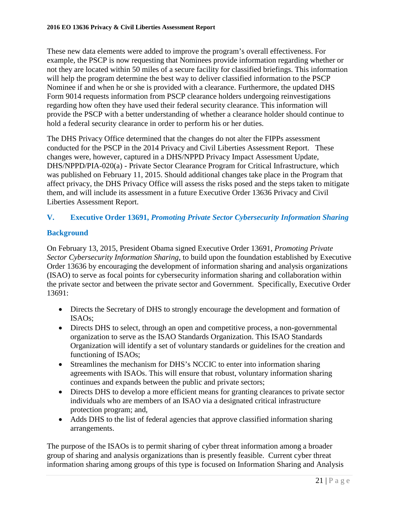These new data elements were added to improve the program's overall effectiveness. For example, the PSCP is now requesting that Nominees provide information regarding whether or not they are located within 50 miles of a secure facility for classified briefings. This information will help the program determine the best way to deliver classified information to the PSCP Nominee if and when he or she is provided with a clearance. Furthermore, the updated DHS Form 9014 requests information from PSCP clearance holders undergoing reinvestigations regarding how often they have used their federal security clearance. This information will provide the PSCP with a better understanding of whether a clearance holder should continue to hold a federal security clearance in order to perform his or her duties.

The DHS Privacy Office determined that the changes do not alter the FIPPs assessment conducted for the PSCP in the 2014 Privacy and Civil Liberties Assessment Report. These changes were, however, captured in a DHS/NPPD Privacy Impact Assessment Update, DHS/NPPD/PIA-020(a) - Private Sector Clearance Program for Critical Infrastructure, which was published on February 11, 2015. Should additional changes take place in the Program that affect privacy, the DHS Privacy Office will assess the risks posed and the steps taken to mitigate them, and will include its assessment in a future Executive Order 13636 Privacy and Civil Liberties Assessment Report.

## **V. Executive Order 13691,** *Promoting Private Sector Cybersecurity Information Sharing*

## **Background**

On February 13, 2015, President Obama signed Executive Order 13691, *Promoting Private Sector Cybersecurity Information Sharing*, to build upon the foundation established by Executive Order 13636 by encouraging the development of information sharing and analysis organizations (ISAO) to serve as focal points for cybersecurity information sharing and collaboration within the private sector and between the private sector and Government. Specifically, Executive Order 13691:

- Directs the Secretary of DHS to strongly encourage the development and formation of ISAOs;
- Directs DHS to select, through an open and competitive process, a non-governmental organization to serve as the ISAO Standards Organization. This ISAO Standards Organization will identify a set of voluntary standards or guidelines for the creation and functioning of ISAOs;
- Streamlines the mechanism for DHS's NCCIC to enter into information sharing agreements with ISAOs. This will ensure that robust, voluntary information sharing continues and expands between the public and private sectors;
- Directs DHS to develop a more efficient means for granting clearances to private sector individuals who are members of an ISAO via a designated critical infrastructure protection program; and,
- Adds DHS to the list of federal agencies that approve classified information sharing arrangements.

The purpose of the ISAOs is to permit sharing of cyber threat information among a broader group of sharing and analysis organizations than is presently feasible. Current cyber threat information sharing among groups of this type is focused on Information Sharing and Analysis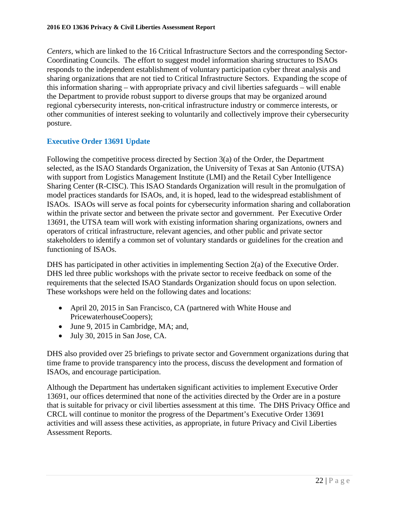*Centers*, which are linked to the 16 Critical Infrastructure Sectors and the corresponding Sector-Coordinating Councils. The effort to suggest model information sharing structures to ISAOs responds to the independent establishment of voluntary participation cyber threat analysis and sharing organizations that are not tied to Critical Infrastructure Sectors. Expanding the scope of this information sharing – with appropriate privacy and civil liberties safeguards – will enable the Department to provide robust support to diverse groups that may be organized around regional cybersecurity interests, non-critical infrastructure industry or commerce interests, or other communities of interest seeking to voluntarily and collectively improve their cybersecurity posture.

## **Executive Order 13691 Update**

Following the competitive process directed by Section 3(a) of the Order, the Department selected, as the ISAO Standards Organization, the University of Texas at San Antonio (UTSA) with support from Logistics Management Institute (LMI) and the Retail Cyber Intelligence Sharing Center (R-CISC). This ISAO Standards Organization will result in the promulgation of model practices standards for ISAOs, and, it is hoped, lead to the widespread establishment of ISAOs. ISAOs will serve as focal points for cybersecurity information sharing and collaboration within the private sector and between the private sector and government. Per Executive Order 13691, the UTSA team will work with existing information sharing organizations, owners and operators of critical infrastructure, relevant agencies, and other public and private sector stakeholders to identify a common set of voluntary standards or guidelines for the creation and functioning of ISAOs.

DHS has participated in other activities in implementing Section 2(a) of the Executive Order. DHS led three public workshops with the private sector to receive feedback on some of the requirements that the selected ISAO Standards Organization should focus on upon selection. These workshops were held on the following dates and locations:

- April 20, 2015 in San Francisco, CA (partnered with White House and PricewaterhouseCoopers);
- June 9, 2015 in Cambridge, MA; and,
- July 30, 2015 in San Jose, CA.

DHS also provided over 25 briefings to private sector and Government organizations during that time frame to provide transparency into the process, discuss the development and formation of ISAOs, and encourage participation.

Although the Department has undertaken significant activities to implement Executive Order 13691, our offices determined that none of the activities directed by the Order are in a posture that is suitable for privacy or civil liberties assessment at this time. The DHS Privacy Office and CRCL will continue to monitor the progress of the Department's Executive Order 13691 activities and will assess these activities, as appropriate, in future Privacy and Civil Liberties Assessment Reports.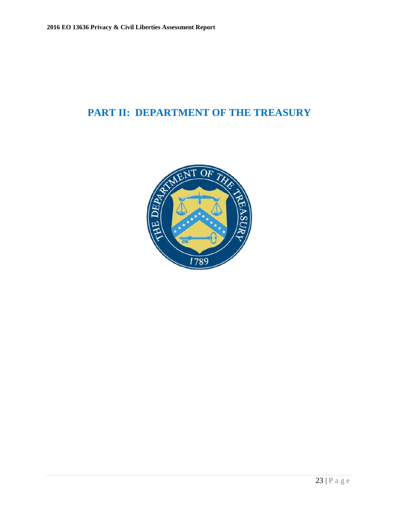## <span id="page-22-0"></span>**PART II: DEPARTMENT OF THE TREASURY**

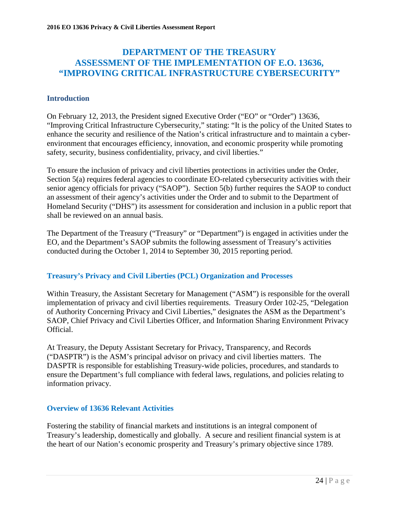## **DEPARTMENT OF THE TREASURY ASSESSMENT OF THE IMPLEMENTATION OF E.O. 13636, "IMPROVING CRITICAL INFRASTRUCTURE CYBERSECURITY"**

### **Introduction**

On February 12, 2013, the President signed Executive Order ("EO" or "Order") 13636, "Improving Critical Infrastructure Cybersecurity," stating: "It is the policy of the United States to enhance the security and resilience of the Nation's critical infrastructure and to maintain a cyberenvironment that encourages efficiency, innovation, and economic prosperity while promoting safety, security, business confidentiality, privacy, and civil liberties."

To ensure the inclusion of privacy and civil liberties protections in activities under the Order, Section 5(a) requires federal agencies to coordinate EO-related cybersecurity activities with their senior agency officials for privacy ("SAOP"). Section 5(b) further requires the SAOP to conduct an assessment of their agency's activities under the Order and to submit to the Department of Homeland Security ("DHS") its assessment for consideration and inclusion in a public report that shall be reviewed on an annual basis.

The Department of the Treasury ("Treasury" or "Department") is engaged in activities under the EO, and the Department's SAOP submits the following assessment of Treasury's activities conducted during the October 1, 2014 to September 30, 2015 reporting period.

## **Treasury's Privacy and Civil Liberties (PCL) Organization and Processes**

Within Treasury, the Assistant Secretary for Management ("ASM") is responsible for the overall implementation of privacy and civil liberties requirements. Treasury Order 102-25, "Delegation of Authority Concerning Privacy and Civil Liberties," designates the ASM as the Department's SAOP, Chief Privacy and Civil Liberties Officer, and Information Sharing Environment Privacy Official.

At Treasury, the Deputy Assistant Secretary for Privacy, Transparency, and Records ("DASPTR") is the ASM's principal advisor on privacy and civil liberties matters. The DASPTR is responsible for establishing Treasury-wide policies, procedures, and standards to ensure the Department's full compliance with federal laws, regulations, and policies relating to information privacy.

#### **Overview of 13636 Relevant Activities**

Fostering the stability of financial markets and institutions is an integral component of Treasury's leadership, domestically and globally. A secure and resilient financial system is at the heart of our Nation's economic prosperity and Treasury's primary objective since 1789.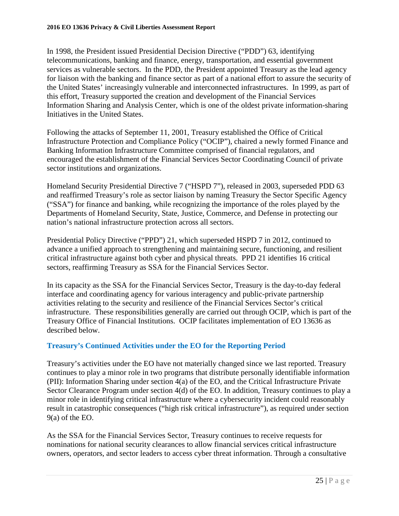In 1998, the President issued Presidential Decision Directive ("PDD") 63, identifying telecommunications, banking and finance, energy, transportation, and essential government services as vulnerable sectors. In the PDD, the President appointed Treasury as the lead agency for liaison with the banking and finance sector as part of a national effort to assure the security of the United States' increasingly vulnerable and interconnected infrastructures. In 1999, as part of this effort, Treasury supported the creation and development of the Financial Services Information Sharing and Analysis Center, which is one of the oldest private information-sharing Initiatives in the United States.

Following the attacks of September 11, 2001, Treasury established the Office of Critical Infrastructure Protection and Compliance Policy ("OCIP"), chaired a newly formed Finance and Banking Information Infrastructure Committee comprised of financial regulators, and encouraged the establishment of the Financial Services Sector Coordinating Council of private sector institutions and organizations.

Homeland Security Presidential Directive 7 ("HSPD 7"), released in 2003, superseded PDD 63 and reaffirmed Treasury's role as sector liaison by naming Treasury the Sector Specific Agency ("SSA") for finance and banking, while recognizing the importance of the roles played by the Departments of Homeland Security, State, Justice, Commerce, and Defense in protecting our nation's national infrastructure protection across all sectors.

Presidential Policy Directive ("PPD") 21, which superseded HSPD 7 in 2012, continued to advance a unified approach to strengthening and maintaining secure, functioning, and resilient critical infrastructure against both cyber and physical threats. PPD 21 identifies 16 critical sectors, reaffirming Treasury as SSA for the Financial Services Sector.

In its capacity as the SSA for the Financial Services Sector, Treasury is the day-to-day federal interface and coordinating agency for various interagency and public-private partnership activities relating to the security and resilience of the Financial Services Sector's critical infrastructure. These responsibilities generally are carried out through OCIP, which is part of the Treasury Office of Financial Institutions. OCIP facilitates implementation of EO 13636 as described below.

## **Treasury's Continued Activities under the EO for the Reporting Period**

Treasury's activities under the EO have not materially changed since we last reported. Treasury continues to play a minor role in two programs that distribute personally identifiable information (PII): Information Sharing under section 4(a) of the EO, and the Critical Infrastructure Private Sector Clearance Program under section 4(d) of the EO. In addition, Treasury continues to play a minor role in identifying critical infrastructure where a cybersecurity incident could reasonably result in catastrophic consequences ("high risk critical infrastructure"), as required under section 9(a) of the EO.

As the SSA for the Financial Services Sector, Treasury continues to receive requests for nominations for national security clearances to allow financial services critical infrastructure owners, operators, and sector leaders to access cyber threat information. Through a consultative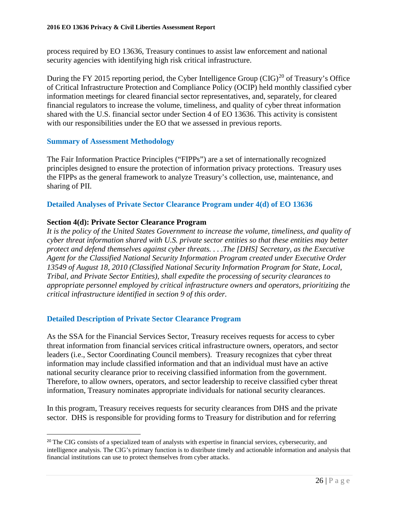process required by EO 13636, Treasury continues to assist law enforcement and national security agencies with identifying high risk critical infrastructure.

During the FY [20](#page-25-0)15 reporting period, the Cyber Intelligence Group  $(CIG)^{20}$  of Treasury's Office of Critical Infrastructure Protection and Compliance Policy (OCIP) held monthly classified cyber information meetings for cleared financial sector representatives, and, separately, for cleared financial regulators to increase the volume, timeliness, and quality of cyber threat information shared with the U.S. financial sector under Section 4 of EO 13636. This activity is consistent with our responsibilities under the EO that we assessed in previous reports.

### **Summary of Assessment Methodology**

The Fair Information Practice Principles ("FIPPs") are a set of internationally recognized principles designed to ensure the protection of information privacy protections. Treasury uses the FIPPs as the general framework to analyze Treasury's collection, use, maintenance, and sharing of PII.

### **Detailed Analyses of Private Sector Clearance Program under 4(d) of EO 13636**

## **Section 4(d): Private Sector Clearance Program**

*It is the policy of the United States Government to increase the volume, timeliness, and quality of cyber threat information shared with U.S. private sector entities so that these entities may better protect and defend themselves against cyber threats. . . .The [DHS] Secretary, as the Executive Agent for the Classified National Security Information Program created under Executive Order 13549 of August 18, 2010 (Classified National Security Information Program for State, Local, Tribal, and Private Sector Entities), shall expedite the processing of security clearances to appropriate personnel employed by critical infrastructure owners and operators, prioritizing the critical infrastructure identified in section 9 of this order.*

## **Detailed Description of Private Sector Clearance Program**

As the SSA for the Financial Services Sector, Treasury receives requests for access to cyber threat information from financial services critical infrastructure owners, operators, and sector leaders (i.e., Sector Coordinating Council members). Treasury recognizes that cyber threat information may include classified information and that an individual must have an active national security clearance prior to receiving classified information from the government. Therefore, to allow owners, operators, and sector leadership to receive classified cyber threat information, Treasury nominates appropriate individuals for national security clearances.

In this program, Treasury receives requests for security clearances from DHS and the private sector. DHS is responsible for providing forms to Treasury for distribution and for referring

<span id="page-25-0"></span> $\overline{a}$ <sup>20</sup> The CIG consists of a specialized team of analysts with expertise in financial services, cybersecurity, and intelligence analysis. The CIG's primary function is to distribute timely and actionable information and analysis that financial institutions can use to protect themselves from cyber attacks.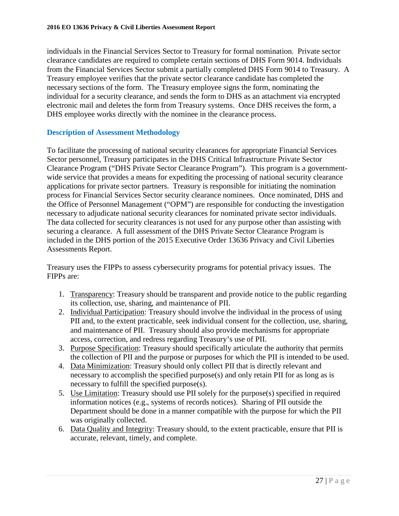individuals in the Financial Services Sector to Treasury for formal nomination. Private sector clearance candidates are required to complete certain sections of DHS Form 9014. Individuals from the Financial Services Sector submit a partially completed DHS Form 9014 to Treasury. A Treasury employee verifies that the private sector clearance candidate has completed the necessary sections of the form. The Treasury employee signs the form, nominating the individual for a security clearance, and sends the form to DHS as an attachment via encrypted electronic mail and deletes the form from Treasury systems. Once DHS receives the form, a DHS employee works directly with the nominee in the clearance process.

## **Description of Assessment Methodology**

To facilitate the processing of national security clearances for appropriate Financial Services Sector personnel, Treasury participates in the DHS Critical Infrastructure Private Sector Clearance Program ("DHS Private Sector Clearance Program"). This program is a governmentwide service that provides a means for expediting the processing of national security clearance applications for private sector partners. Treasury is responsible for initiating the nomination process for Financial Services Sector security clearance nominees. Once nominated, DHS and the Office of Personnel Management ("OPM") are responsible for conducting the investigation necessary to adjudicate national security clearances for nominated private sector individuals. The data collected for security clearances is not used for any purpose other than assisting with securing a clearance. A full assessment of the DHS Private Sector Clearance Program is included in the DHS portion of the 2015 Executive Order 13636 Privacy and Civil Liberties Assessments Report.

Treasury uses the FIPPs to assess cybersecurity programs for potential privacy issues. The FIPPs are:

- 1. Transparency: Treasury should be transparent and provide notice to the public regarding its collection, use, sharing, and maintenance of PII.
- 2. Individual Participation: Treasury should involve the individual in the process of using PII and, to the extent practicable, seek individual consent for the collection, use, sharing, and maintenance of PII. Treasury should also provide mechanisms for appropriate access, correction, and redress regarding Treasury's use of PII.
- 3. Purpose Specification: Treasury should specifically articulate the authority that permits the collection of PII and the purpose or purposes for which the PII is intended to be used.
- 4. Data Minimization: Treasury should only collect PII that is directly relevant and necessary to accomplish the specified purpose(s) and only retain PII for as long as is necessary to fulfill the specified purpose(s).
- 5. Use Limitation: Treasury should use PII solely for the purpose(s) specified in required information notices (e.g., systems of records notices). Sharing of PII outside the Department should be done in a manner compatible with the purpose for which the PII was originally collected.
- 6. Data Quality and Integrity: Treasury should, to the extent practicable, ensure that PII is accurate, relevant, timely, and complete.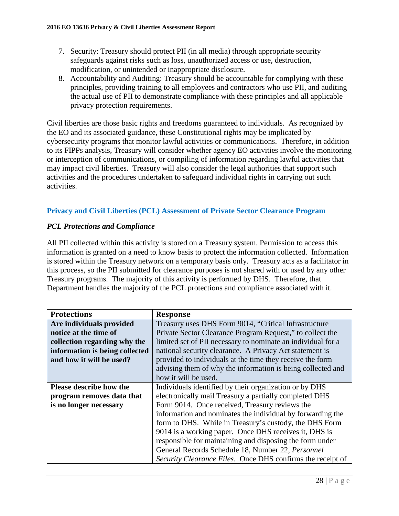- 7. Security: Treasury should protect PII (in all media) through appropriate security safeguards against risks such as loss, unauthorized access or use, destruction, modification, or unintended or inappropriate disclosure.
- 8. Accountability and Auditing: Treasury should be accountable for complying with these principles, providing training to all employees and contractors who use PII, and auditing the actual use of PII to demonstrate compliance with these principles and all applicable privacy protection requirements.

Civil liberties are those basic rights and freedoms guaranteed to individuals. As recognized by the EO and its associated guidance, these Constitutional rights may be implicated by cybersecurity programs that monitor lawful activities or communications. Therefore, in addition to its FIPPs analysis, Treasury will consider whether agency EO activities involve the monitoring or interception of communications, or compiling of information regarding lawful activities that may impact civil liberties. Treasury will also consider the legal authorities that support such activities and the procedures undertaken to safeguard individual rights in carrying out such activities.

## **Privacy and Civil Liberties (PCL) Assessment of Private Sector Clearance Program**

## *PCL Protections and Compliance*

All PII collected within this activity is stored on a Treasury system. Permission to access this information is granted on a need to know basis to protect the information collected. Information is stored within the Treasury network on a temporary basis only. Treasury acts as a facilitator in this process, so the PII submitted for clearance purposes is not shared with or used by any other Treasury programs. The majority of this activity is performed by DHS. Therefore, that Department handles the majority of the PCL protections and compliance associated with it.

| <b>Protections</b>             | <b>Response</b>                                              |
|--------------------------------|--------------------------------------------------------------|
| Are individuals provided       | Treasury uses DHS Form 9014, "Critical Infrastructure        |
| notice at the time of          | Private Sector Clearance Program Request," to collect the    |
| collection regarding why the   | limited set of PII necessary to nominate an individual for a |
| information is being collected | national security clearance. A Privacy Act statement is      |
| and how it will be used?       | provided to individuals at the time they receive the form    |
|                                | advising them of why the information is being collected and  |
|                                | how it will be used.                                         |
| <b>Please describe how the</b> | Individuals identified by their organization or by DHS       |
| program removes data that      | electronically mail Treasury a partially completed DHS       |
| is no longer necessary         | Form 9014. Once received, Treasury reviews the               |
|                                | information and nominates the individual by forwarding the   |
|                                | form to DHS. While in Treasury's custody, the DHS Form       |
|                                | 9014 is a working paper. Once DHS receives it, DHS is        |
|                                | responsible for maintaining and disposing the form under     |
|                                | General Records Schedule 18, Number 22, Personnel            |
|                                | Security Clearance Files. Once DHS confirms the receipt of   |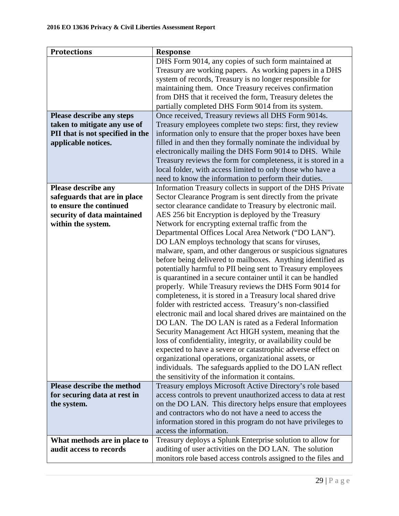| DHS Form 9014, any copies of such form maintained at<br>Treasury are working papers. As working papers in a DHS<br>system of records, Treasury is no longer responsible for<br>maintaining them. Once Treasury receives confirmation<br>from DHS that it received the form, Treasury deletes the<br>partially completed DHS Form 9014 from its system.<br>Once received, Treasury reviews all DHS Form 9014s.<br>Please describe any steps<br>Treasury employees complete two steps: first, they review<br>taken to mitigate any use of<br>PII that is not specified in the<br>information only to ensure that the proper boxes have been<br>applicable notices.<br>filled in and then they formally nominate the individual by<br>electronically mailing the DHS Form 9014 to DHS. While<br>Treasury reviews the form for completeness, it is stored in a<br>local folder, with access limited to only those who have a<br>need to know the information to perform their duties.<br>Information Treasury collects in support of the DHS Private<br>Please describe any<br>safeguards that are in place<br>Sector Clearance Program is sent directly from the private<br>to ensure the continued<br>sector clearance candidate to Treasury by electronic mail.<br>AES 256 bit Encryption is deployed by the Treasury<br>security of data maintained<br>Network for encrypting external traffic from the<br>within the system.<br>Departmental Offices Local Area Network ("DO LAN").<br>DO LAN employs technology that scans for viruses,<br>malware, spam, and other dangerous or suspicious signatures<br>before being delivered to mailboxes. Anything identified as<br>potentially harmful to PII being sent to Treasury employees<br>is quarantined in a secure container until it can be handled<br>properly. While Treasury reviews the DHS Form 9014 for<br>completeness, it is stored in a Treasury local shared drive<br>folder with restricted access. Treasury's non-classified<br>electronic mail and local shared drives are maintained on the<br>DO LAN. The DO LAN is rated as a Federal Information<br>Security Management Act HIGH system, meaning that the<br>loss of confidentiality, integrity, or availability could be<br>expected to have a severe or catastrophic adverse effect on<br>organizational operations, organizational assets, or<br>individuals. The safeguards applied to the DO LAN reflect<br>the sensitivity of the information it contains. |
|--------------------------------------------------------------------------------------------------------------------------------------------------------------------------------------------------------------------------------------------------------------------------------------------------------------------------------------------------------------------------------------------------------------------------------------------------------------------------------------------------------------------------------------------------------------------------------------------------------------------------------------------------------------------------------------------------------------------------------------------------------------------------------------------------------------------------------------------------------------------------------------------------------------------------------------------------------------------------------------------------------------------------------------------------------------------------------------------------------------------------------------------------------------------------------------------------------------------------------------------------------------------------------------------------------------------------------------------------------------------------------------------------------------------------------------------------------------------------------------------------------------------------------------------------------------------------------------------------------------------------------------------------------------------------------------------------------------------------------------------------------------------------------------------------------------------------------------------------------------------------------------------------------------------------------------------------------------------------------------------------------------------------------------------------------------------------------------------------------------------------------------------------------------------------------------------------------------------------------------------------------------------------------------------------------------------------------------------------------------------------------------------------------------------------------------------------------------------------------------|
|                                                                                                                                                                                                                                                                                                                                                                                                                                                                                                                                                                                                                                                                                                                                                                                                                                                                                                                                                                                                                                                                                                                                                                                                                                                                                                                                                                                                                                                                                                                                                                                                                                                                                                                                                                                                                                                                                                                                                                                                                                                                                                                                                                                                                                                                                                                                                                                                                                                                                      |
|                                                                                                                                                                                                                                                                                                                                                                                                                                                                                                                                                                                                                                                                                                                                                                                                                                                                                                                                                                                                                                                                                                                                                                                                                                                                                                                                                                                                                                                                                                                                                                                                                                                                                                                                                                                                                                                                                                                                                                                                                                                                                                                                                                                                                                                                                                                                                                                                                                                                                      |
|                                                                                                                                                                                                                                                                                                                                                                                                                                                                                                                                                                                                                                                                                                                                                                                                                                                                                                                                                                                                                                                                                                                                                                                                                                                                                                                                                                                                                                                                                                                                                                                                                                                                                                                                                                                                                                                                                                                                                                                                                                                                                                                                                                                                                                                                                                                                                                                                                                                                                      |
|                                                                                                                                                                                                                                                                                                                                                                                                                                                                                                                                                                                                                                                                                                                                                                                                                                                                                                                                                                                                                                                                                                                                                                                                                                                                                                                                                                                                                                                                                                                                                                                                                                                                                                                                                                                                                                                                                                                                                                                                                                                                                                                                                                                                                                                                                                                                                                                                                                                                                      |
|                                                                                                                                                                                                                                                                                                                                                                                                                                                                                                                                                                                                                                                                                                                                                                                                                                                                                                                                                                                                                                                                                                                                                                                                                                                                                                                                                                                                                                                                                                                                                                                                                                                                                                                                                                                                                                                                                                                                                                                                                                                                                                                                                                                                                                                                                                                                                                                                                                                                                      |
|                                                                                                                                                                                                                                                                                                                                                                                                                                                                                                                                                                                                                                                                                                                                                                                                                                                                                                                                                                                                                                                                                                                                                                                                                                                                                                                                                                                                                                                                                                                                                                                                                                                                                                                                                                                                                                                                                                                                                                                                                                                                                                                                                                                                                                                                                                                                                                                                                                                                                      |
|                                                                                                                                                                                                                                                                                                                                                                                                                                                                                                                                                                                                                                                                                                                                                                                                                                                                                                                                                                                                                                                                                                                                                                                                                                                                                                                                                                                                                                                                                                                                                                                                                                                                                                                                                                                                                                                                                                                                                                                                                                                                                                                                                                                                                                                                                                                                                                                                                                                                                      |
|                                                                                                                                                                                                                                                                                                                                                                                                                                                                                                                                                                                                                                                                                                                                                                                                                                                                                                                                                                                                                                                                                                                                                                                                                                                                                                                                                                                                                                                                                                                                                                                                                                                                                                                                                                                                                                                                                                                                                                                                                                                                                                                                                                                                                                                                                                                                                                                                                                                                                      |
|                                                                                                                                                                                                                                                                                                                                                                                                                                                                                                                                                                                                                                                                                                                                                                                                                                                                                                                                                                                                                                                                                                                                                                                                                                                                                                                                                                                                                                                                                                                                                                                                                                                                                                                                                                                                                                                                                                                                                                                                                                                                                                                                                                                                                                                                                                                                                                                                                                                                                      |
|                                                                                                                                                                                                                                                                                                                                                                                                                                                                                                                                                                                                                                                                                                                                                                                                                                                                                                                                                                                                                                                                                                                                                                                                                                                                                                                                                                                                                                                                                                                                                                                                                                                                                                                                                                                                                                                                                                                                                                                                                                                                                                                                                                                                                                                                                                                                                                                                                                                                                      |
|                                                                                                                                                                                                                                                                                                                                                                                                                                                                                                                                                                                                                                                                                                                                                                                                                                                                                                                                                                                                                                                                                                                                                                                                                                                                                                                                                                                                                                                                                                                                                                                                                                                                                                                                                                                                                                                                                                                                                                                                                                                                                                                                                                                                                                                                                                                                                                                                                                                                                      |
|                                                                                                                                                                                                                                                                                                                                                                                                                                                                                                                                                                                                                                                                                                                                                                                                                                                                                                                                                                                                                                                                                                                                                                                                                                                                                                                                                                                                                                                                                                                                                                                                                                                                                                                                                                                                                                                                                                                                                                                                                                                                                                                                                                                                                                                                                                                                                                                                                                                                                      |
|                                                                                                                                                                                                                                                                                                                                                                                                                                                                                                                                                                                                                                                                                                                                                                                                                                                                                                                                                                                                                                                                                                                                                                                                                                                                                                                                                                                                                                                                                                                                                                                                                                                                                                                                                                                                                                                                                                                                                                                                                                                                                                                                                                                                                                                                                                                                                                                                                                                                                      |
|                                                                                                                                                                                                                                                                                                                                                                                                                                                                                                                                                                                                                                                                                                                                                                                                                                                                                                                                                                                                                                                                                                                                                                                                                                                                                                                                                                                                                                                                                                                                                                                                                                                                                                                                                                                                                                                                                                                                                                                                                                                                                                                                                                                                                                                                                                                                                                                                                                                                                      |
|                                                                                                                                                                                                                                                                                                                                                                                                                                                                                                                                                                                                                                                                                                                                                                                                                                                                                                                                                                                                                                                                                                                                                                                                                                                                                                                                                                                                                                                                                                                                                                                                                                                                                                                                                                                                                                                                                                                                                                                                                                                                                                                                                                                                                                                                                                                                                                                                                                                                                      |
|                                                                                                                                                                                                                                                                                                                                                                                                                                                                                                                                                                                                                                                                                                                                                                                                                                                                                                                                                                                                                                                                                                                                                                                                                                                                                                                                                                                                                                                                                                                                                                                                                                                                                                                                                                                                                                                                                                                                                                                                                                                                                                                                                                                                                                                                                                                                                                                                                                                                                      |
|                                                                                                                                                                                                                                                                                                                                                                                                                                                                                                                                                                                                                                                                                                                                                                                                                                                                                                                                                                                                                                                                                                                                                                                                                                                                                                                                                                                                                                                                                                                                                                                                                                                                                                                                                                                                                                                                                                                                                                                                                                                                                                                                                                                                                                                                                                                                                                                                                                                                                      |
|                                                                                                                                                                                                                                                                                                                                                                                                                                                                                                                                                                                                                                                                                                                                                                                                                                                                                                                                                                                                                                                                                                                                                                                                                                                                                                                                                                                                                                                                                                                                                                                                                                                                                                                                                                                                                                                                                                                                                                                                                                                                                                                                                                                                                                                                                                                                                                                                                                                                                      |
|                                                                                                                                                                                                                                                                                                                                                                                                                                                                                                                                                                                                                                                                                                                                                                                                                                                                                                                                                                                                                                                                                                                                                                                                                                                                                                                                                                                                                                                                                                                                                                                                                                                                                                                                                                                                                                                                                                                                                                                                                                                                                                                                                                                                                                                                                                                                                                                                                                                                                      |
|                                                                                                                                                                                                                                                                                                                                                                                                                                                                                                                                                                                                                                                                                                                                                                                                                                                                                                                                                                                                                                                                                                                                                                                                                                                                                                                                                                                                                                                                                                                                                                                                                                                                                                                                                                                                                                                                                                                                                                                                                                                                                                                                                                                                                                                                                                                                                                                                                                                                                      |
|                                                                                                                                                                                                                                                                                                                                                                                                                                                                                                                                                                                                                                                                                                                                                                                                                                                                                                                                                                                                                                                                                                                                                                                                                                                                                                                                                                                                                                                                                                                                                                                                                                                                                                                                                                                                                                                                                                                                                                                                                                                                                                                                                                                                                                                                                                                                                                                                                                                                                      |
|                                                                                                                                                                                                                                                                                                                                                                                                                                                                                                                                                                                                                                                                                                                                                                                                                                                                                                                                                                                                                                                                                                                                                                                                                                                                                                                                                                                                                                                                                                                                                                                                                                                                                                                                                                                                                                                                                                                                                                                                                                                                                                                                                                                                                                                                                                                                                                                                                                                                                      |
|                                                                                                                                                                                                                                                                                                                                                                                                                                                                                                                                                                                                                                                                                                                                                                                                                                                                                                                                                                                                                                                                                                                                                                                                                                                                                                                                                                                                                                                                                                                                                                                                                                                                                                                                                                                                                                                                                                                                                                                                                                                                                                                                                                                                                                                                                                                                                                                                                                                                                      |
|                                                                                                                                                                                                                                                                                                                                                                                                                                                                                                                                                                                                                                                                                                                                                                                                                                                                                                                                                                                                                                                                                                                                                                                                                                                                                                                                                                                                                                                                                                                                                                                                                                                                                                                                                                                                                                                                                                                                                                                                                                                                                                                                                                                                                                                                                                                                                                                                                                                                                      |
|                                                                                                                                                                                                                                                                                                                                                                                                                                                                                                                                                                                                                                                                                                                                                                                                                                                                                                                                                                                                                                                                                                                                                                                                                                                                                                                                                                                                                                                                                                                                                                                                                                                                                                                                                                                                                                                                                                                                                                                                                                                                                                                                                                                                                                                                                                                                                                                                                                                                                      |
|                                                                                                                                                                                                                                                                                                                                                                                                                                                                                                                                                                                                                                                                                                                                                                                                                                                                                                                                                                                                                                                                                                                                                                                                                                                                                                                                                                                                                                                                                                                                                                                                                                                                                                                                                                                                                                                                                                                                                                                                                                                                                                                                                                                                                                                                                                                                                                                                                                                                                      |
|                                                                                                                                                                                                                                                                                                                                                                                                                                                                                                                                                                                                                                                                                                                                                                                                                                                                                                                                                                                                                                                                                                                                                                                                                                                                                                                                                                                                                                                                                                                                                                                                                                                                                                                                                                                                                                                                                                                                                                                                                                                                                                                                                                                                                                                                                                                                                                                                                                                                                      |
|                                                                                                                                                                                                                                                                                                                                                                                                                                                                                                                                                                                                                                                                                                                                                                                                                                                                                                                                                                                                                                                                                                                                                                                                                                                                                                                                                                                                                                                                                                                                                                                                                                                                                                                                                                                                                                                                                                                                                                                                                                                                                                                                                                                                                                                                                                                                                                                                                                                                                      |
|                                                                                                                                                                                                                                                                                                                                                                                                                                                                                                                                                                                                                                                                                                                                                                                                                                                                                                                                                                                                                                                                                                                                                                                                                                                                                                                                                                                                                                                                                                                                                                                                                                                                                                                                                                                                                                                                                                                                                                                                                                                                                                                                                                                                                                                                                                                                                                                                                                                                                      |
|                                                                                                                                                                                                                                                                                                                                                                                                                                                                                                                                                                                                                                                                                                                                                                                                                                                                                                                                                                                                                                                                                                                                                                                                                                                                                                                                                                                                                                                                                                                                                                                                                                                                                                                                                                                                                                                                                                                                                                                                                                                                                                                                                                                                                                                                                                                                                                                                                                                                                      |
|                                                                                                                                                                                                                                                                                                                                                                                                                                                                                                                                                                                                                                                                                                                                                                                                                                                                                                                                                                                                                                                                                                                                                                                                                                                                                                                                                                                                                                                                                                                                                                                                                                                                                                                                                                                                                                                                                                                                                                                                                                                                                                                                                                                                                                                                                                                                                                                                                                                                                      |
|                                                                                                                                                                                                                                                                                                                                                                                                                                                                                                                                                                                                                                                                                                                                                                                                                                                                                                                                                                                                                                                                                                                                                                                                                                                                                                                                                                                                                                                                                                                                                                                                                                                                                                                                                                                                                                                                                                                                                                                                                                                                                                                                                                                                                                                                                                                                                                                                                                                                                      |
|                                                                                                                                                                                                                                                                                                                                                                                                                                                                                                                                                                                                                                                                                                                                                                                                                                                                                                                                                                                                                                                                                                                                                                                                                                                                                                                                                                                                                                                                                                                                                                                                                                                                                                                                                                                                                                                                                                                                                                                                                                                                                                                                                                                                                                                                                                                                                                                                                                                                                      |
|                                                                                                                                                                                                                                                                                                                                                                                                                                                                                                                                                                                                                                                                                                                                                                                                                                                                                                                                                                                                                                                                                                                                                                                                                                                                                                                                                                                                                                                                                                                                                                                                                                                                                                                                                                                                                                                                                                                                                                                                                                                                                                                                                                                                                                                                                                                                                                                                                                                                                      |
|                                                                                                                                                                                                                                                                                                                                                                                                                                                                                                                                                                                                                                                                                                                                                                                                                                                                                                                                                                                                                                                                                                                                                                                                                                                                                                                                                                                                                                                                                                                                                                                                                                                                                                                                                                                                                                                                                                                                                                                                                                                                                                                                                                                                                                                                                                                                                                                                                                                                                      |
|                                                                                                                                                                                                                                                                                                                                                                                                                                                                                                                                                                                                                                                                                                                                                                                                                                                                                                                                                                                                                                                                                                                                                                                                                                                                                                                                                                                                                                                                                                                                                                                                                                                                                                                                                                                                                                                                                                                                                                                                                                                                                                                                                                                                                                                                                                                                                                                                                                                                                      |
| <b>Please describe the method</b><br>Treasury employs Microsoft Active Directory's role based                                                                                                                                                                                                                                                                                                                                                                                                                                                                                                                                                                                                                                                                                                                                                                                                                                                                                                                                                                                                                                                                                                                                                                                                                                                                                                                                                                                                                                                                                                                                                                                                                                                                                                                                                                                                                                                                                                                                                                                                                                                                                                                                                                                                                                                                                                                                                                                        |
| for securing data at rest in<br>access controls to prevent unauthorized access to data at rest                                                                                                                                                                                                                                                                                                                                                                                                                                                                                                                                                                                                                                                                                                                                                                                                                                                                                                                                                                                                                                                                                                                                                                                                                                                                                                                                                                                                                                                                                                                                                                                                                                                                                                                                                                                                                                                                                                                                                                                                                                                                                                                                                                                                                                                                                                                                                                                       |
| on the DO LAN. This directory helps ensure that employees<br>the system.                                                                                                                                                                                                                                                                                                                                                                                                                                                                                                                                                                                                                                                                                                                                                                                                                                                                                                                                                                                                                                                                                                                                                                                                                                                                                                                                                                                                                                                                                                                                                                                                                                                                                                                                                                                                                                                                                                                                                                                                                                                                                                                                                                                                                                                                                                                                                                                                             |
| and contractors who do not have a need to access the                                                                                                                                                                                                                                                                                                                                                                                                                                                                                                                                                                                                                                                                                                                                                                                                                                                                                                                                                                                                                                                                                                                                                                                                                                                                                                                                                                                                                                                                                                                                                                                                                                                                                                                                                                                                                                                                                                                                                                                                                                                                                                                                                                                                                                                                                                                                                                                                                                 |
| information stored in this program do not have privileges to                                                                                                                                                                                                                                                                                                                                                                                                                                                                                                                                                                                                                                                                                                                                                                                                                                                                                                                                                                                                                                                                                                                                                                                                                                                                                                                                                                                                                                                                                                                                                                                                                                                                                                                                                                                                                                                                                                                                                                                                                                                                                                                                                                                                                                                                                                                                                                                                                         |
| access the information.                                                                                                                                                                                                                                                                                                                                                                                                                                                                                                                                                                                                                                                                                                                                                                                                                                                                                                                                                                                                                                                                                                                                                                                                                                                                                                                                                                                                                                                                                                                                                                                                                                                                                                                                                                                                                                                                                                                                                                                                                                                                                                                                                                                                                                                                                                                                                                                                                                                              |
| Treasury deploys a Splunk Enterprise solution to allow for<br>What methods are in place to                                                                                                                                                                                                                                                                                                                                                                                                                                                                                                                                                                                                                                                                                                                                                                                                                                                                                                                                                                                                                                                                                                                                                                                                                                                                                                                                                                                                                                                                                                                                                                                                                                                                                                                                                                                                                                                                                                                                                                                                                                                                                                                                                                                                                                                                                                                                                                                           |
| auditing of user activities on the DO LAN. The solution<br>audit access to records                                                                                                                                                                                                                                                                                                                                                                                                                                                                                                                                                                                                                                                                                                                                                                                                                                                                                                                                                                                                                                                                                                                                                                                                                                                                                                                                                                                                                                                                                                                                                                                                                                                                                                                                                                                                                                                                                                                                                                                                                                                                                                                                                                                                                                                                                                                                                                                                   |
| monitors role based access controls assigned to the files and                                                                                                                                                                                                                                                                                                                                                                                                                                                                                                                                                                                                                                                                                                                                                                                                                                                                                                                                                                                                                                                                                                                                                                                                                                                                                                                                                                                                                                                                                                                                                                                                                                                                                                                                                                                                                                                                                                                                                                                                                                                                                                                                                                                                                                                                                                                                                                                                                        |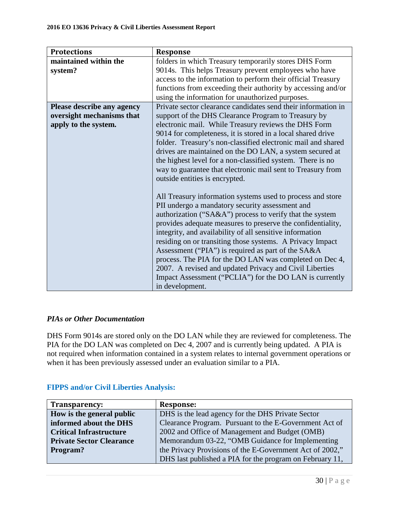| <b>Protections</b>         | <b>Response</b>                                               |
|----------------------------|---------------------------------------------------------------|
| maintained within the      | folders in which Treasury temporarily stores DHS Form         |
| system?                    | 9014s. This helps Treasury prevent employees who have         |
|                            | access to the information to perform their official Treasury  |
|                            | functions from exceeding their authority by accessing and/or  |
|                            | using the information for unauthorized purposes.              |
| Please describe any agency | Private sector clearance candidates send their information in |
| oversight mechanisms that  | support of the DHS Clearance Program to Treasury by           |
| apply to the system.       | electronic mail. While Treasury reviews the DHS Form          |
|                            | 9014 for completeness, it is stored in a local shared drive   |
|                            | folder. Treasury's non-classified electronic mail and shared  |
|                            | drives are maintained on the DO LAN, a system secured at      |
|                            | the highest level for a non-classified system. There is no    |
|                            | way to guarantee that electronic mail sent to Treasury from   |
|                            | outside entities is encrypted.                                |
|                            |                                                               |
|                            | All Treasury information systems used to process and store    |
|                            | PII undergo a mandatory security assessment and               |
|                            | authorization ("SA&A") process to verify that the system      |
|                            | provides adequate measures to preserve the confidentiality,   |
|                            | integrity, and availability of all sensitive information      |
|                            | residing on or transiting those systems. A Privacy Impact     |
|                            | Assessment ("PIA") is required as part of the SA&A            |
|                            | process. The PIA for the DO LAN was completed on Dec 4,       |
|                            | 2007. A revised and updated Privacy and Civil Liberties       |
|                            | Impact Assessment ("PCLIA") for the DO LAN is currently       |
|                            | in development.                                               |

## *PIAs or Other Documentation*

DHS Form 9014s are stored only on the DO LAN while they are reviewed for completeness. The PIA for the DO LAN was completed on Dec 4, 2007 and is currently being updated. A PIA is not required when information contained in a system relates to internal government operations or when it has been previously assessed under an evaluation similar to a PIA.

| <b>FIPPS and/or Civil Liberties Analysis:</b> |  |
|-----------------------------------------------|--|
|                                               |  |

| Transparency:                   | <b>Response:</b>                                         |
|---------------------------------|----------------------------------------------------------|
| How is the general public       | DHS is the lead agency for the DHS Private Sector        |
| informed about the DHS          | Clearance Program. Pursuant to the E-Government Act of   |
| <b>Critical Infrastructure</b>  | 2002 and Office of Management and Budget (OMB)           |
| <b>Private Sector Clearance</b> | Memorandum 03-22, "OMB Guidance for Implementing         |
| Program?                        | the Privacy Provisions of the E-Government Act of 2002," |
|                                 | DHS last published a PIA for the program on February 11, |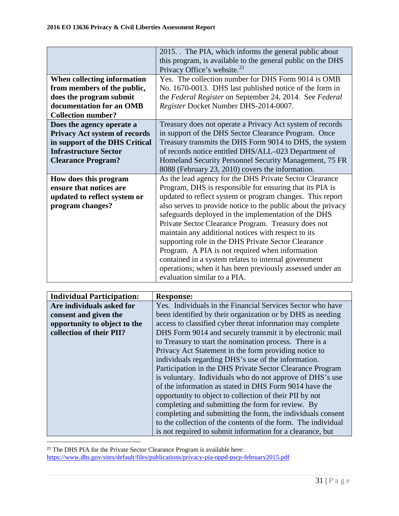|                                      | 2015. The PIA, which informs the general public about         |
|--------------------------------------|---------------------------------------------------------------|
|                                      | this program, is available to the general public on the DHS   |
|                                      | Privacy Office's website. <sup>21</sup>                       |
| When collecting information          | Yes. The collection number for DHS Form 9014 is OMB           |
| from members of the public,          | No. 1670-0013. DHS last published notice of the form in       |
| does the program submit              | the Federal Register on September 24, 2014. See Federal       |
| documentation for an OMB             | Register Docket Number DHS-2014-0007.                         |
| <b>Collection number?</b>            |                                                               |
| Does the agency operate a            | Treasury does not operate a Privacy Act system of records     |
| <b>Privacy Act system of records</b> | in support of the DHS Sector Clearance Program. Once          |
| in support of the DHS Critical       | Treasury transmits the DHS Form 9014 to DHS, the system       |
| <b>Infrastructure Sector</b>         | of records notice entitled DHS/ALL-023 Department of          |
| <b>Clearance Program?</b>            | Homeland Security Personnel Security Management, 75 FR        |
|                                      | 8088 (February 23, 2010) covers the information.              |
| How does this program                | As the lead agency for the DHS Private Sector Clearance       |
| ensure that notices are              | Program, DHS is responsible for ensuring that its PIA is      |
| updated to reflect system or         | updated to reflect system or program changes. This report     |
| program changes?                     | also serves to provide notice to the public about the privacy |
|                                      | safeguards deployed in the implementation of the DHS          |
|                                      | Private Sector Clearance Program. Treasury does not           |
|                                      | maintain any additional notices with respect to its           |
|                                      | supporting role in the DHS Private Sector Clearance           |
|                                      | Program. A PIA is not required when information               |
|                                      | contained in a system relates to internal government          |
|                                      | operations; when it has been previously assessed under an     |
|                                      | evaluation similar to a PIA.                                  |

| <b>Individual Participation:</b> | Response:                                                     |
|----------------------------------|---------------------------------------------------------------|
| Are individuals asked for        | Yes. Individuals in the Financial Services Sector who have    |
| consent and given the            | been identified by their organization or by DHS as needing    |
| opportunity to object to the     | access to classified cyber threat information may complete    |
| collection of their PII?         | DHS Form 9014 and securely transmit it by electronic mail     |
|                                  | to Treasury to start the nomination process. There is a       |
|                                  | Privacy Act Statement in the form providing notice to         |
|                                  | individuals regarding DHS's use of the information.           |
|                                  | Participation in the DHS Private Sector Clearance Program     |
|                                  | is voluntary. Individuals who do not approve of DHS's use     |
|                                  | of the information as stated in DHS Form 9014 have the        |
|                                  | opportunity to object to collection of their PII by not       |
|                                  | completing and submitting the form for review. By             |
|                                  | completing and submitting the form, the individuals consent   |
|                                  | to the collection of the contents of the form. The individual |
|                                  | is not required to submit information for a clearance, but    |
|                                  |                                                               |

<span id="page-30-0"></span> $21$  The DHS PIA for the Private Sector Clearance Program is available here: <https://www.dhs.gov/sites/default/files/publications/privacy-pia-nppd-pscp-february2015.pdf>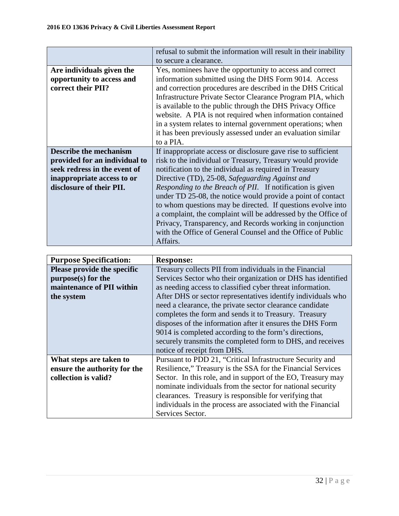|                               | refusal to submit the information will result in their inability |  |
|-------------------------------|------------------------------------------------------------------|--|
|                               | to secure a clearance.                                           |  |
| Are individuals given the     | Yes, nominees have the opportunity to access and correct         |  |
| opportunity to access and     | information submitted using the DHS Form 9014. Access            |  |
| correct their PII?            | and correction procedures are described in the DHS Critical      |  |
|                               | Infrastructure Private Sector Clearance Program PIA, which       |  |
|                               | is available to the public through the DHS Privacy Office        |  |
|                               | website. A PIA is not required when information contained        |  |
|                               | in a system relates to internal government operations; when      |  |
|                               | it has been previously assessed under an evaluation similar      |  |
|                               | to a PIA.                                                        |  |
| <b>Describe the mechanism</b> | If inappropriate access or disclosure gave rise to sufficient    |  |
| provided for an individual to | risk to the individual or Treasury, Treasury would provide       |  |
| seek redress in the event of  | notification to the individual as required in Treasury           |  |
| inappropriate access to or    | Directive (TD), 25-08, Safeguarding Against and                  |  |
| disclosure of their PII.      | Responding to the Breach of PII. If notification is given        |  |
|                               | under TD 25-08, the notice would provide a point of contact      |  |
|                               | to whom questions may be directed. If questions evolve into      |  |
|                               | a complaint, the complaint will be addressed by the Office of    |  |
|                               | Privacy, Transparency, and Records working in conjunction        |  |
|                               | with the Office of General Counsel and the Office of Public      |  |
|                               | Affairs.                                                         |  |

| <b>Purpose Specification:</b> | Response:                                                    |  |
|-------------------------------|--------------------------------------------------------------|--|
| Please provide the specific   | Treasury collects PII from individuals in the Financial      |  |
| purpose(s) for the            | Services Sector who their organization or DHS has identified |  |
| maintenance of PII within     | as needing access to classified cyber threat information.    |  |
| the system                    | After DHS or sector representatives identify individuals who |  |
|                               | need a clearance, the private sector clearance candidate     |  |
|                               | completes the form and sends it to Treasury. Treasury        |  |
|                               | disposes of the information after it ensures the DHS Form    |  |
|                               | 9014 is completed according to the form's directions,        |  |
|                               | securely transmits the completed form to DHS, and receives   |  |
|                               | notice of receipt from DHS.                                  |  |
| What steps are taken to       | Pursuant to PDD 21, "Critical Infrastructure Security and    |  |
| ensure the authority for the  | Resilience," Treasury is the SSA for the Financial Services  |  |
| collection is valid?          | Sector. In this role, and in support of the EO, Treasury may |  |
|                               | nominate individuals from the sector for national security   |  |
|                               | clearances. Treasury is responsible for verifying that       |  |
|                               | individuals in the process are associated with the Financial |  |
|                               | Services Sector.                                             |  |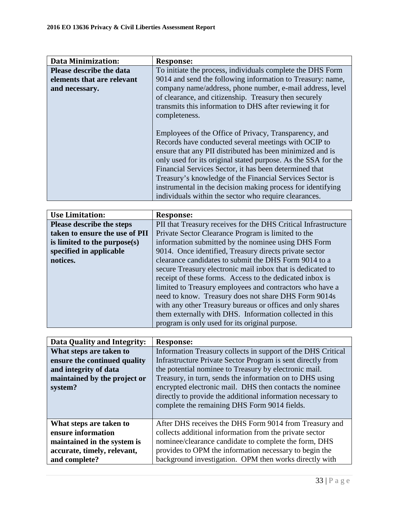| <b>Data Minimization:</b>       | Response:                                                     |
|---------------------------------|---------------------------------------------------------------|
| <b>Please describe the data</b> | To initiate the process, individuals complete the DHS Form    |
| elements that are relevant      | 9014 and send the following information to Treasury: name,    |
| and necessary.                  | company name/address, phone number, e-mail address, level     |
|                                 | of clearance, and citizenship. Treasury then securely         |
|                                 | transmits this information to DHS after reviewing it for      |
|                                 | completeness.                                                 |
|                                 |                                                               |
|                                 | Employees of the Office of Privacy, Transparency, and         |
|                                 | Records have conducted several meetings with OCIP to          |
|                                 | ensure that any PII distributed has been minimized and is     |
|                                 | only used for its original stated purpose. As the SSA for the |
|                                 | Financial Services Sector, it has been determined that        |
|                                 | Treasury's knowledge of the Financial Services Sector is      |
|                                 | instrumental in the decision making process for identifying   |
|                                 | individuals within the sector who require clearances.         |

| <b>Use Limitation:</b>         | <b>Response:</b>                                               |
|--------------------------------|----------------------------------------------------------------|
| Please describe the steps      | PII that Treasury receives for the DHS Critical Infrastructure |
| taken to ensure the use of PII | Private Sector Clearance Program is limited to the             |
| is limited to the purpose(s)   | information submitted by the nominee using DHS Form            |
| specified in applicable        | 9014. Once identified, Treasury directs private sector         |
| notices.                       | clearance candidates to submit the DHS Form 9014 to a          |
|                                | secure Treasury electronic mail inbox that is dedicated to     |
|                                | receipt of these forms. Access to the dedicated inbox is       |
|                                | limited to Treasury employees and contractors who have a       |
|                                | need to know. Treasury does not share DHS Form 9014s           |
|                                | with any other Treasury bureaus or offices and only shares     |
|                                | them externally with DHS. Information collected in this        |
|                                | program is only used for its original purpose.                 |

| Data Quality and Integrity:  | Response:                                                    |
|------------------------------|--------------------------------------------------------------|
| What steps are taken to      | Information Treasury collects in support of the DHS Critical |
| ensure the continued quality | Infrastructure Private Sector Program is sent directly from  |
| and integrity of data        | the potential nominee to Treasury by electronic mail.        |
| maintained by the project or | Treasury, in turn, sends the information on to DHS using     |
| system?                      | encrypted electronic mail. DHS then contacts the nominee     |
|                              | directly to provide the additional information necessary to  |
|                              | complete the remaining DHS Form 9014 fields.                 |
|                              |                                                              |
| What steps are taken to      | After DHS receives the DHS Form 9014 from Treasury and       |
| ensure information           | collects additional information from the private sector      |
| maintained in the system is  | nominee/clearance candidate to complete the form, DHS        |
| accurate, timely, relevant,  | provides to OPM the information necessary to begin the       |
| and complete?                | background investigation. OPM then works directly with       |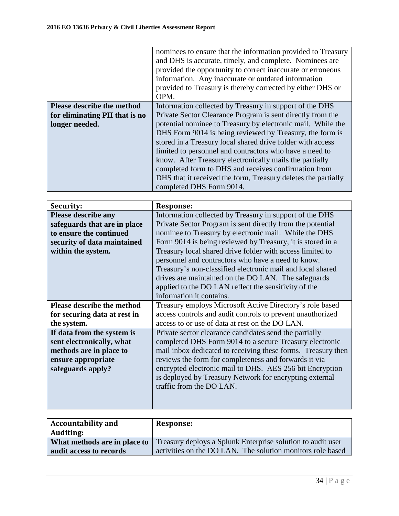|                                   | nominees to ensure that the information provided to Treasury<br>and DHS is accurate, timely, and complete. Nominees are<br>provided the opportunity to correct inaccurate or erroneous<br>information. Any inaccurate or outdated information<br>provided to Treasury is thereby corrected by either DHS or<br>OPM. |
|-----------------------------------|---------------------------------------------------------------------------------------------------------------------------------------------------------------------------------------------------------------------------------------------------------------------------------------------------------------------|
| <b>Please describe the method</b> | Information collected by Treasury in support of the DHS                                                                                                                                                                                                                                                             |
| for eliminating PII that is no    | Private Sector Clearance Program is sent directly from the                                                                                                                                                                                                                                                          |
| longer needed.                    | potential nominee to Treasury by electronic mail. While the                                                                                                                                                                                                                                                         |
|                                   | DHS Form 9014 is being reviewed by Treasury, the form is                                                                                                                                                                                                                                                            |
|                                   | stored in a Treasury local shared drive folder with access                                                                                                                                                                                                                                                          |
|                                   | limited to personnel and contractors who have a need to                                                                                                                                                                                                                                                             |
|                                   | know. After Treasury electronically mails the partially                                                                                                                                                                                                                                                             |
|                                   | completed form to DHS and receives confirmation from                                                                                                                                                                                                                                                                |
|                                   | DHS that it received the form, Treasury deletes the partially                                                                                                                                                                                                                                                       |
|                                   | completed DHS Form 9014.                                                                                                                                                                                                                                                                                            |

| Security:                         | <b>Response:</b>                                             |
|-----------------------------------|--------------------------------------------------------------|
| <b>Please describe any</b>        | Information collected by Treasury in support of the DHS      |
| safeguards that are in place      | Private Sector Program is sent directly from the potential   |
| to ensure the continued           | nominee to Treasury by electronic mail. While the DHS        |
| security of data maintained       | Form 9014 is being reviewed by Treasury, it is stored in a   |
| within the system.                | Treasury local shared drive folder with access limited to    |
|                                   | personnel and contractors who have a need to know.           |
|                                   | Treasury's non-classified electronic mail and local shared   |
|                                   | drives are maintained on the DO LAN. The safeguards          |
|                                   | applied to the DO LAN reflect the sensitivity of the         |
|                                   | information it contains.                                     |
| <b>Please describe the method</b> | Treasury employs Microsoft Active Directory's role based     |
| for securing data at rest in      | access controls and audit controls to prevent unauthorized   |
| the system.                       | access to or use of data at rest on the DO LAN.              |
| If data from the system is        | Private sector clearance candidates send the partially       |
| sent electronically, what         | completed DHS Form 9014 to a secure Treasury electronic      |
| methods are in place to           | mail inbox dedicated to receiving these forms. Treasury then |
| ensure appropriate                | reviews the form for completeness and forwards it via        |
| safeguards apply?                 | encrypted electronic mail to DHS. AES 256 bit Encryption     |
|                                   | is deployed by Treasury Network for encrypting external      |
|                                   | traffic from the DO LAN.                                     |
|                                   |                                                              |
|                                   |                                                              |

| <b>Accountability and</b>    | Response:                                                   |
|------------------------------|-------------------------------------------------------------|
| <b>Auditing:</b>             |                                                             |
| What methods are in place to | Treasury deploys a Splunk Enterprise solution to audit user |
| audit access to records      | activities on the DO LAN. The solution monitors role based  |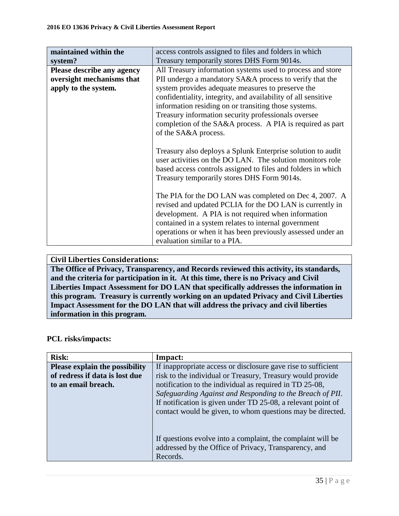| maintained within the<br>system?                                                       | access controls assigned to files and folders in which<br>Treasury temporarily stores DHS Form 9014s.                                                                                                                                                                                                                                                                                                                                           |
|----------------------------------------------------------------------------------------|-------------------------------------------------------------------------------------------------------------------------------------------------------------------------------------------------------------------------------------------------------------------------------------------------------------------------------------------------------------------------------------------------------------------------------------------------|
| <b>Please describe any agency</b><br>oversight mechanisms that<br>apply to the system. | All Treasury information systems used to process and store<br>PII undergo a mandatory SA&A process to verify that the<br>system provides adequate measures to preserve the<br>confidentiality, integrity, and availability of all sensitive<br>information residing on or transiting those systems.<br>Treasury information security professionals oversee<br>completion of the SA&A process. A PIA is required as part<br>of the SA&A process. |
|                                                                                        | Treasury also deploys a Splunk Enterprise solution to audit<br>user activities on the DO LAN. The solution monitors role<br>based access controls assigned to files and folders in which<br>Treasury temporarily stores DHS Form 9014s.                                                                                                                                                                                                         |
|                                                                                        | The PIA for the DO LAN was completed on Dec 4, 2007. A<br>revised and updated PCLIA for the DO LAN is currently in<br>development. A PIA is not required when information<br>contained in a system relates to internal government<br>operations or when it has been previously assessed under an<br>evaluation similar to a PIA.                                                                                                                |

## **Civil Liberties Considerations: The Office of Privacy, Transparency, and Records reviewed this activity, its standards, and the criteria for participation in it. At this time, there is no Privacy and Civil Liberties Impact Assessment for DO LAN that specifically addresses the information in this program. Treasury is currently working on an updated Privacy and Civil Liberties Impact Assessment for the DO LAN that will address the privacy and civil liberties information in this program.**

## **PCL risks/impacts:**

| <b>Risk:</b>                          | Impact:                                                       |
|---------------------------------------|---------------------------------------------------------------|
| <b>Please explain the possibility</b> | If inappropriate access or disclosure gave rise to sufficient |
| of redress if data is lost due        | risk to the individual or Treasury, Treasury would provide    |
| to an email breach.                   | notification to the individual as required in TD 25-08,       |
|                                       | Safeguarding Against and Responding to the Breach of PII.     |
|                                       | If notification is given under TD 25-08, a relevant point of  |
|                                       | contact would be given, to whom questions may be directed.    |
|                                       |                                                               |
|                                       |                                                               |
|                                       | If questions evolve into a complaint, the complaint will be   |
|                                       | addressed by the Office of Privacy, Transparency, and         |
|                                       | Records.                                                      |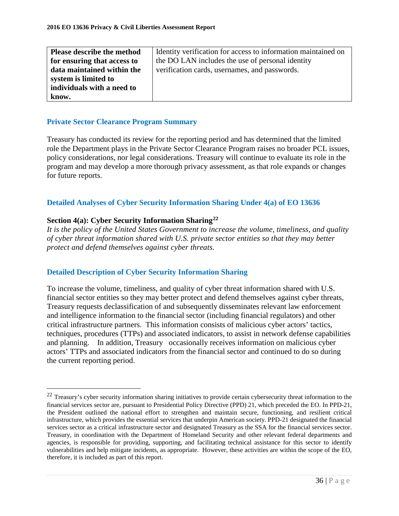| Please describe the method  | Identity verification for access to information maintained on |
|-----------------------------|---------------------------------------------------------------|
| for ensuring that access to | the DO LAN includes the use of personal identity              |
| data maintained within the  | verification cards, usernames, and passwords.                 |
| system is limited to        |                                                               |
| individuals with a need to  |                                                               |
| know.                       |                                                               |

## **Private Sector Clearance Program Summary**

Treasury has conducted its review for the reporting period and has determined that the limited role the Department plays in the Private Sector Clearance Program raises no broader PCL issues, policy considerations, nor legal considerations. Treasury will continue to evaluate its role in the program and may develop a more thorough privacy assessment, as that role expands or changes for future reports.

## **Detailed Analyses of Cyber Security Information Sharing Under 4(a) of EO 13636**

### **Section 4(a): Cyber Security Information Sharing[22](#page-35-0)**

 $\overline{a}$ 

*It is the policy of the United States Government to increase the volume, timeliness, and quality of cyber threat information shared with U.S. private sector entities so that they may better protect and defend themselves against cyber threats.*

## **Detailed Description of Cyber Security Information Sharing**

To increase the volume, timeliness, and quality of cyber threat information shared with U.S. financial sector entities so they may better protect and defend themselves against cyber threats, Treasury requests declassification of and subsequently disseminates relevant law enforcement and intelligence information to the financial sector (including financial regulators) and other critical infrastructure partners. This information consists of malicious cyber actors' tactics, techniques, procedures (TTPs) and associated indicators, to assist in network defense capabilities and planning. In addition, Treasury occasionally receives information on malicious cyber actors' TTPs and associated indicators from the financial sector and continued to do so during the current reporting period.

<span id="page-35-0"></span><sup>&</sup>lt;sup>22</sup> Treasury's cyber security information sharing initiatives to provide certain cybersecurity threat information to the financial services sector are, pursuant to Presidential Policy Directive (PPD) 21, which preceded the EO. In PPD-21, the President outlined the national effort to strengthen and maintain secure, functioning, and resilient critical infrastructure, which provides the essential services that underpin American society. PPD-21 designated the financial services sector as a critical infrastructure sector and designated Treasury as the SSA for the financial services sector. Treasury, in coordination with the Department of Homeland Security and other relevant federal departments and agencies, is responsible for providing, supporting, and facilitating technical assistance for this sector to identify vulnerabilities and help mitigate incidents, as appropriate. However, these activities are within the scope of the EO, therefore, it is included as part of this report.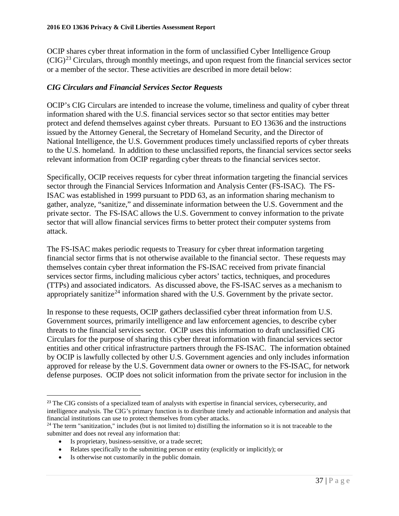OCIP shares cyber threat information in the form of unclassified Cyber Intelligence Group  $(CIG)^{23}$  $(CIG)^{23}$  $(CIG)^{23}$  Circulars, through monthly meetings, and upon request from the financial services sector or a member of the sector. These activities are described in more detail below:

## *CIG Circulars and Financial Services Sector Requests*

OCIP's CIG Circulars are intended to increase the volume, timeliness and quality of cyber threat information shared with the U.S. financial services sector so that sector entities may better protect and defend themselves against cyber threats. Pursuant to EO 13636 and the instructions issued by the Attorney General, the Secretary of Homeland Security, and the Director of National Intelligence, the U.S. Government produces timely unclassified reports of cyber threats to the U.S. homeland. In addition to these unclassified reports, the financial services sector seeks relevant information from OCIP regarding cyber threats to the financial services sector.

Specifically, OCIP receives requests for cyber threat information targeting the financial services sector through the Financial Services Information and Analysis Center (FS-ISAC). The FS-ISAC was established in 1999 pursuant to PDD 63, as an information sharing mechanism to gather, analyze, "sanitize," and disseminate information between the U.S. Government and the private sector. The FS-ISAC allows the U.S. Government to convey information to the private sector that will allow financial services firms to better protect their computer systems from attack.

The FS-ISAC makes periodic requests to Treasury for cyber threat information targeting financial sector firms that is not otherwise available to the financial sector. These requests may themselves contain cyber threat information the FS-ISAC received from private financial services sector firms, including malicious cyber actors' tactics, techniques, and procedures (TTPs) and associated indicators. As discussed above, the FS-ISAC serves as a mechanism to appropriately sanitize<sup>[24](#page-36-1)</sup> information shared with the U.S. Government by the private sector.

In response to these requests, OCIP gathers declassified cyber threat information from U.S. Government sources, primarily intelligence and law enforcement agencies, to describe cyber threats to the financial services sector. OCIP uses this information to draft unclassified CIG Circulars for the purpose of sharing this cyber threat information with financial services sector entities and other critical infrastructure partners through the FS-ISAC. The information obtained by OCIP is lawfully collected by other U.S. Government agencies and only includes information approved for release by the U.S. Government data owner or owners to the FS-ISAC, for network defense purposes. OCIP does not solicit information from the private sector for inclusion in the

<span id="page-36-0"></span> $\overline{a}$ <sup>23</sup> The CIG consists of a specialized team of analysts with expertise in financial services, cybersecurity, and intelligence analysis. The CIG's primary function is to distribute timely and actionable information and analysis that financial institutions can use to protect themselves from cyber attacks.

<span id="page-36-1"></span> $24$  The term "sanitization," includes (but is not limited to) distilling the information so it is not traceable to the submitter and does not reveal any information that:

<sup>•</sup> Is proprietary, business-sensitive, or a trade secret;

<sup>•</sup> Relates specifically to the submitting person or entity (explicitly or implicitly); or

<sup>•</sup> Is otherwise not customarily in the public domain.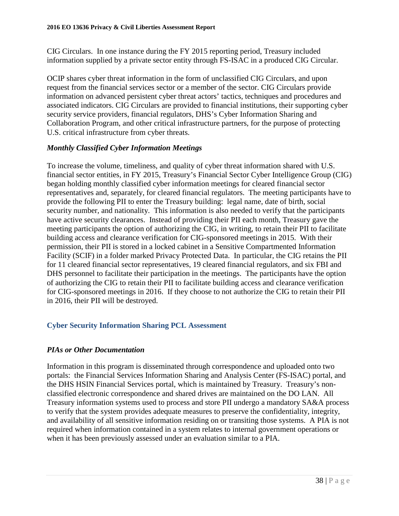CIG Circulars. In one instance during the FY 2015 reporting period, Treasury included information supplied by a private sector entity through FS-ISAC in a produced CIG Circular.

OCIP shares cyber threat information in the form of unclassified CIG Circulars, and upon request from the financial services sector or a member of the sector. CIG Circulars provide information on advanced persistent cyber threat actors' tactics, techniques and procedures and associated indicators. CIG Circulars are provided to financial institutions, their supporting cyber security service providers, financial regulators, DHS's Cyber Information Sharing and Collaboration Program, and other critical infrastructure partners, for the purpose of protecting U.S. critical infrastructure from cyber threats.

## *Monthly Classified Cyber Information Meetings*

To increase the volume, timeliness, and quality of cyber threat information shared with U.S. financial sector entities, in FY 2015, Treasury's Financial Sector Cyber Intelligence Group (CIG) began holding monthly classified cyber information meetings for cleared financial sector representatives and, separately, for cleared financial regulators. The meeting participants have to provide the following PII to enter the Treasury building: legal name, date of birth, social security number, and nationality. This information is also needed to verify that the participants have active security clearances. Instead of providing their PII each month, Treasury gave the meeting participants the option of authorizing the CIG, in writing, to retain their PII to facilitate building access and clearance verification for CIG-sponsored meetings in 2015. With their permission, their PII is stored in a locked cabinet in a Sensitive Compartmented Information Facility (SCIF) in a folder marked Privacy Protected Data. In particular, the CIG retains the PII for 11 cleared financial sector representatives, 19 cleared financial regulators, and six FBI and DHS personnel to facilitate their participation in the meetings. The participants have the option of authorizing the CIG to retain their PII to facilitate building access and clearance verification for CIG-sponsored meetings in 2016. If they choose to not authorize the CIG to retain their PII in 2016, their PII will be destroyed.

## **Cyber Security Information Sharing PCL Assessment**

## *PIAs or Other Documentation*

Information in this program is disseminated through correspondence and uploaded onto two portals: the Financial Services Information Sharing and Analysis Center (FS-ISAC) portal, and the DHS HSIN Financial Services portal, which is maintained by Treasury. Treasury's nonclassified electronic correspondence and shared drives are maintained on the DO LAN. All Treasury information systems used to process and store PII undergo a mandatory SA&A process to verify that the system provides adequate measures to preserve the confidentiality, integrity, and availability of all sensitive information residing on or transiting those systems. A PIA is not required when information contained in a system relates to internal government operations or when it has been previously assessed under an evaluation similar to a PIA.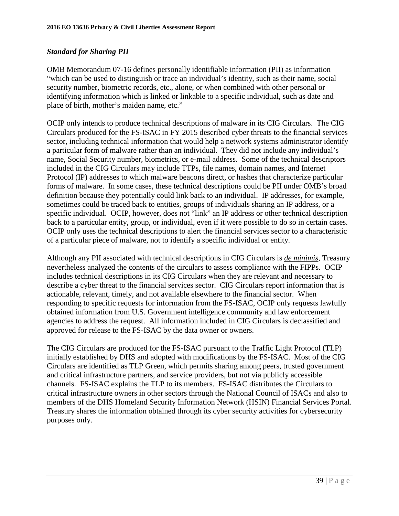## *Standard for Sharing PII*

OMB Memorandum 07-16 defines personally identifiable information (PII) as information "which can be used to distinguish or trace an individual's identity, such as their name, social security number, biometric records, etc., alone, or when combined with other personal or identifying information which is linked or linkable to a specific individual, such as date and place of birth, mother's maiden name, etc."

OCIP only intends to produce technical descriptions of malware in its CIG Circulars. The CIG Circulars produced for the FS-ISAC in FY 2015 described cyber threats to the financial services sector, including technical information that would help a network systems administrator identify a particular form of malware rather than an individual. They did not include any individual's name, Social Security number, biometrics, or e-mail address. Some of the technical descriptors included in the CIG Circulars may include TTPs, file names, domain names, and Internet Protocol (IP) addresses to which malware beacons direct, or hashes that characterize particular forms of malware. In some cases, these technical descriptions could be PII under OMB's broad definition because they potentially could link back to an individual. IP addresses, for example, sometimes could be traced back to entities, groups of individuals sharing an IP address, or a specific individual. OCIP, however, does not "link" an IP address or other technical description back to a particular entity, group, or individual, even if it were possible to do so in certain cases. OCIP only uses the technical descriptions to alert the financial services sector to a characteristic of a particular piece of malware, not to identify a specific individual or entity.

Although any PII associated with technical descriptions in CIG Circulars is *de minimis*, Treasury nevertheless analyzed the contents of the circulars to assess compliance with the FIPPs. OCIP includes technical descriptions in its CIG Circulars when they are relevant and necessary to describe a cyber threat to the financial services sector. CIG Circulars report information that is actionable, relevant, timely, and not available elsewhere to the financial sector. When responding to specific requests for information from the FS-ISAC, OCIP only requests lawfully obtained information from U.S. Government intelligence community and law enforcement agencies to address the request. All information included in CIG Circulars is declassified and approved for release to the FS-ISAC by the data owner or owners.

The CIG Circulars are produced for the FS-ISAC pursuant to the Traffic Light Protocol (TLP) initially established by DHS and adopted with modifications by the FS-ISAC. Most of the CIG Circulars are identified as TLP Green, which permits sharing among peers, trusted government and critical infrastructure partners, and service providers, but not via publicly accessible channels. FS-ISAC explains the TLP to its members. FS-ISAC distributes the Circulars to critical infrastructure owners in other sectors through the National Council of ISACs and also to members of the DHS Homeland Security Information Network (HSIN) Financial Services Portal. Treasury shares the information obtained through its cyber security activities for cybersecurity purposes only.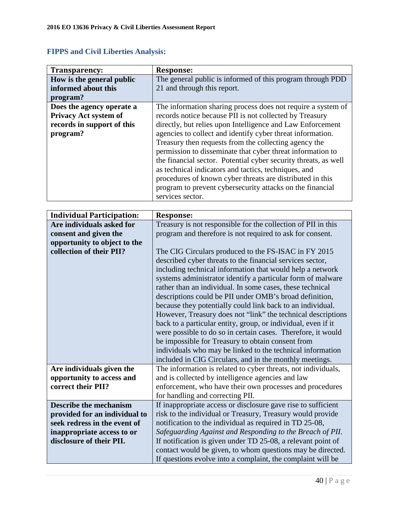| Transparency:                | <b>Response:</b>                                                |
|------------------------------|-----------------------------------------------------------------|
| How is the general public    | The general public is informed of this program through PDD      |
| informed about this          | 21 and through this report.                                     |
| program?                     |                                                                 |
| Does the agency operate a    | The information sharing process does not require a system of    |
| <b>Privacy Act system of</b> | records notice because PII is not collected by Treasury         |
| records in support of this   | directly, but relies upon Intelligence and Law Enforcement      |
| program?                     | agencies to collect and identify cyber threat information.      |
|                              | Treasury then requests from the collecting agency the           |
|                              | permission to disseminate that cyber threat information to      |
|                              | the financial sector. Potential cyber security threats, as well |
|                              | as technical indicators and tactics, techniques, and            |
|                              | procedures of known cyber threats are distributed in this       |
|                              | program to prevent cybersecurity attacks on the financial       |
|                              | services sector.                                                |

|  |  | <b>FIPPS and Civil Liberties Analysis:</b> |
|--|--|--------------------------------------------|
|  |  |                                            |

| <b>Response:</b>                                              |  |
|---------------------------------------------------------------|--|
|                                                               |  |
| Treasury is not responsible for the collection of PII in this |  |
| program and therefore is not required to ask for consent.     |  |
|                                                               |  |
| The CIG Circulars produced to the FS-ISAC in FY 2015          |  |
| described cyber threats to the financial services sector,     |  |
| including technical information that would help a network     |  |
| systems administrator identify a particular form of malware   |  |
| rather than an individual. In some cases, these technical     |  |
| descriptions could be PII under OMB's broad definition,       |  |
| because they potentially could link back to an individual.    |  |
| However, Treasury does not "link" the technical descriptions  |  |
| back to a particular entity, group, or individual, even if it |  |
| were possible to do so in certain cases. Therefore, it would  |  |
| be impossible for Treasury to obtain consent from             |  |
| individuals who may be linked to the technical information    |  |
| included in CIG Circulars, and in the monthly meetings.       |  |
| The information is related to cyber threats, not individuals, |  |
| and is collected by intelligence agencies and law             |  |
| enforcement, who have their own processes and procedures      |  |
| for handling and correcting PII.                              |  |
| If inappropriate access or disclosure gave rise to sufficient |  |
| risk to the individual or Treasury, Treasury would provide    |  |
| notification to the individual as required in TD 25-08,       |  |
| Safeguarding Against and Responding to the Breach of PII.     |  |
| If notification is given under TD 25-08, a relevant point of  |  |
| contact would be given, to whom questions may be directed.    |  |
| If questions evolve into a complaint, the complaint will be   |  |
|                                                               |  |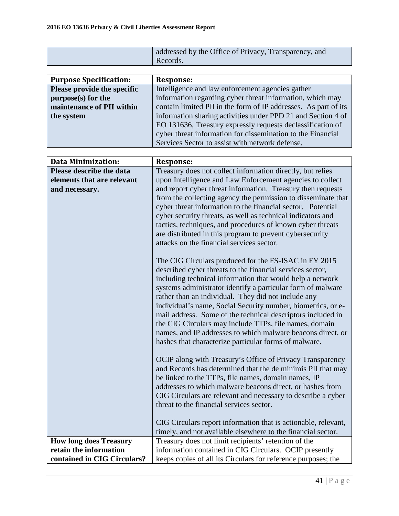| addressed by the Office of Privacy, Transparency, and |
|-------------------------------------------------------|
| Records.                                              |

| <b>Purpose Specification:</b> | <b>Response:</b>                                                |
|-------------------------------|-----------------------------------------------------------------|
| Please provide the specific   | Intelligence and law enforcement agencies gather                |
| $purpose(s)$ for the          | information regarding cyber threat information, which may       |
| maintenance of PII within     | contain limited PII in the form of IP addresses. As part of its |
| the system                    | information sharing activities under PPD 21 and Section 4 of    |
|                               | EO 131636, Treasury expressly requests declassification of      |
|                               | cyber threat information for dissemination to the Financial     |
|                               | Services Sector to assist with network defense.                 |

| <b>Data Minimization:</b>                    | <b>Response:</b>                                                                                                         |
|----------------------------------------------|--------------------------------------------------------------------------------------------------------------------------|
| Please describe the data                     | Treasury does not collect information directly, but relies                                                               |
| elements that are relevant<br>and necessary. | upon Intelligence and Law Enforcement agencies to collect<br>and report cyber threat information. Treasury then requests |
|                                              | from the collecting agency the permission to disseminate that                                                            |
|                                              | cyber threat information to the financial sector. Potential                                                              |
|                                              | cyber security threats, as well as technical indicators and                                                              |
|                                              | tactics, techniques, and procedures of known cyber threats<br>are distributed in this program to prevent cybersecurity   |
|                                              | attacks on the financial services sector.                                                                                |
|                                              |                                                                                                                          |
|                                              | The CIG Circulars produced for the FS-ISAC in FY 2015                                                                    |
|                                              | described cyber threats to the financial services sector,                                                                |
|                                              | including technical information that would help a network<br>systems administrator identify a particular form of malware |
|                                              | rather than an individual. They did not include any                                                                      |
|                                              | individual's name, Social Security number, biometrics, or e-                                                             |
|                                              | mail address. Some of the technical descriptors included in                                                              |
|                                              | the CIG Circulars may include TTPs, file names, domain                                                                   |
|                                              | names, and IP addresses to which malware beacons direct, or                                                              |
|                                              | hashes that characterize particular forms of malware.                                                                    |
|                                              | OCIP along with Treasury's Office of Privacy Transparency                                                                |
|                                              | and Records has determined that the de minimis PII that may                                                              |
|                                              | be linked to the TTPs, file names, domain names, IP                                                                      |
|                                              | addresses to which malware beacons direct, or hashes from                                                                |
|                                              | CIG Circulars are relevant and necessary to describe a cyber<br>threat to the financial services sector.                 |
|                                              |                                                                                                                          |
|                                              | CIG Circulars report information that is actionable, relevant,                                                           |
|                                              | timely, and not available elsewhere to the financial sector.                                                             |
| <b>How long does Treasury</b>                | Treasury does not limit recipients' retention of the                                                                     |
| retain the information                       | information contained in CIG Circulars. OCIP presently                                                                   |
| contained in CIG Circulars?                  | keeps copies of all its Circulars for reference purposes; the                                                            |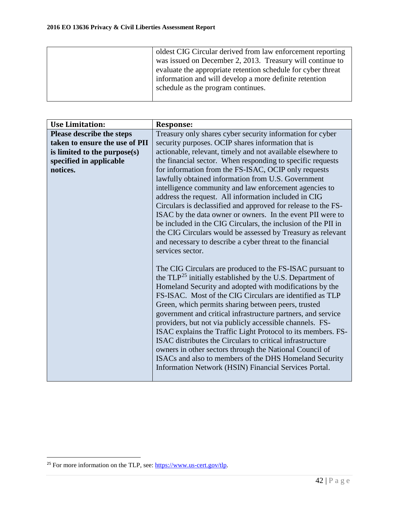| oldest CIG Circular derived from law enforcement reporting   |
|--------------------------------------------------------------|
| was issued on December 2, 2013. Treasury will continue to    |
| evaluate the appropriate retention schedule for cyber threat |
| information and will develop a more definite retention       |
| schedule as the program continues.                           |
|                                                              |

| <b>Use Limitation:</b>           | <b>Response:</b>                                                              |
|----------------------------------|-------------------------------------------------------------------------------|
| <b>Please describe the steps</b> | Treasury only shares cyber security information for cyber                     |
| taken to ensure the use of PII   | security purposes. OCIP shares information that is                            |
| is limited to the purpose(s)     | actionable, relevant, timely and not available elsewhere to                   |
| specified in applicable          | the financial sector. When responding to specific requests                    |
| notices.                         | for information from the FS-ISAC, OCIP only requests                          |
|                                  | lawfully obtained information from U.S. Government                            |
|                                  | intelligence community and law enforcement agencies to                        |
|                                  | address the request. All information included in CIG                          |
|                                  | Circulars is declassified and approved for release to the FS-                 |
|                                  | ISAC by the data owner or owners. In the event PII were to                    |
|                                  | be included in the CIG Circulars, the inclusion of the PII in                 |
|                                  | the CIG Circulars would be assessed by Treasury as relevant                   |
|                                  | and necessary to describe a cyber threat to the financial<br>services sector. |
|                                  |                                                                               |
|                                  | The CIG Circulars are produced to the FS-ISAC pursuant to                     |
|                                  | the TLP <sup>25</sup> initially established by the U.S. Department of         |
|                                  | Homeland Security and adopted with modifications by the                       |
|                                  | FS-ISAC. Most of the CIG Circulars are identified as TLP                      |
|                                  | Green, which permits sharing between peers, trusted                           |
|                                  | government and critical infrastructure partners, and service                  |
|                                  | providers, but not via publicly accessible channels. FS-                      |
|                                  | ISAC explains the Traffic Light Protocol to its members. FS-                  |
|                                  | ISAC distributes the Circulars to critical infrastructure                     |
|                                  | owners in other sectors through the National Council of                       |
|                                  | ISACs and also to members of the DHS Homeland Security                        |
|                                  | Information Network (HSIN) Financial Services Portal.                         |
|                                  |                                                                               |

<span id="page-41-0"></span><sup>&</sup>lt;sup>25</sup> For more information on the TLP, see: [https://www.us-cert.gov/tlp.](https://www.us-cert.gov/tlp)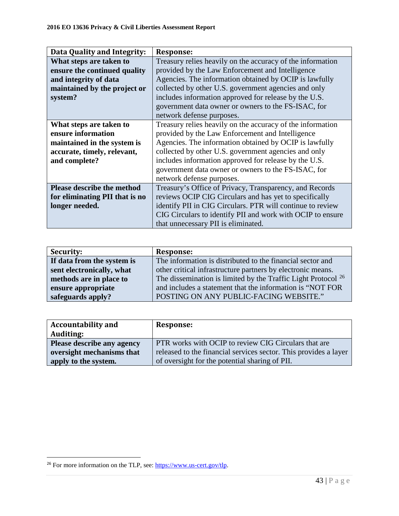| Data Quality and Integrity:       | <b>Response:</b>                                           |
|-----------------------------------|------------------------------------------------------------|
| What steps are taken to           | Treasury relies heavily on the accuracy of the information |
| ensure the continued quality      | provided by the Law Enforcement and Intelligence           |
| and integrity of data             | Agencies. The information obtained by OCIP is lawfully     |
| maintained by the project or      | collected by other U.S. government agencies and only       |
| system?                           | includes information approved for release by the U.S.      |
|                                   | government data owner or owners to the FS-ISAC, for        |
|                                   | network defense purposes.                                  |
| What steps are taken to           | Treasury relies heavily on the accuracy of the information |
| ensure information                | provided by the Law Enforcement and Intelligence           |
| maintained in the system is       | Agencies. The information obtained by OCIP is lawfully     |
| accurate, timely, relevant,       | collected by other U.S. government agencies and only       |
| and complete?                     | includes information approved for release by the U.S.      |
|                                   | government data owner or owners to the FS-ISAC, for        |
|                                   | network defense purposes.                                  |
| <b>Please describe the method</b> | Treasury's Office of Privacy, Transparency, and Records    |
| for eliminating PII that is no    | reviews OCIP CIG Circulars and has yet to specifically     |
| longer needed.                    | identify PII in CIG Circulars. PTR will continue to review |
|                                   | CIG Circulars to identify PII and work with OCIP to ensure |
|                                   | that unnecessary PII is eliminated.                        |

| <b>Security:</b>           | <b>Response:</b>                                                         |
|----------------------------|--------------------------------------------------------------------------|
| If data from the system is | The information is distributed to the financial sector and               |
| sent electronically, what  | other critical infrastructure partners by electronic means.              |
| methods are in place to    | The dissemination is limited by the Traffic Light Protocol <sup>26</sup> |
| ensure appropriate         | and includes a statement that the information is "NOT FOR                |
| safeguards apply?          | POSTING ON ANY PUBLIC-FACING WEBSITE."                                   |

| <b>Accountability and</b>  | <b>Response:</b>                                                 |
|----------------------------|------------------------------------------------------------------|
| <b>Auditing:</b>           |                                                                  |
| Please describe any agency | <b>PTR</b> works with OCIP to review CIG Circulars that are      |
| oversight mechanisms that  | released to the financial services sector. This provides a layer |
| apply to the system.       | of oversight for the potential sharing of PII.                   |

<span id="page-42-0"></span><sup>&</sup>lt;sup>26</sup> For more information on the TLP, see: [https://www.us-cert.gov/tlp.](https://www.us-cert.gov/tlp)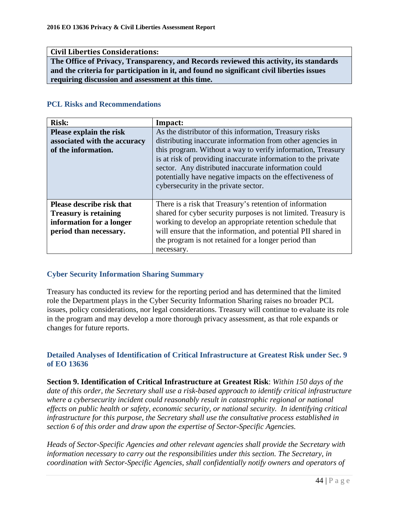#### **Civil Liberties Considerations:**

**The Office of Privacy, Transparency, and Records reviewed this activity, its standards and the criteria for participation in it, and found no significant civil liberties issues requiring discussion and assessment at this time.**

#### **PCL Risks and Recommendations**

| <b>Risk:</b>                     | Impact:                                                                                                                                                                                                                    |
|----------------------------------|----------------------------------------------------------------------------------------------------------------------------------------------------------------------------------------------------------------------------|
| Please explain the risk          | As the distributor of this information, Treasury risks                                                                                                                                                                     |
| associated with the accuracy     | distributing inaccurate information from other agencies in                                                                                                                                                                 |
| of the information.              | this program. Without a way to verify information, Treasury                                                                                                                                                                |
|                                  | is at risk of providing inaccurate information to the private<br>sector. Any distributed inaccurate information could<br>potentially have negative impacts on the effectiveness of<br>cybersecurity in the private sector. |
| <b>Please describe risk that</b> | There is a risk that Treasury's retention of information                                                                                                                                                                   |
| <b>Treasury is retaining</b>     | shared for cyber security purposes is not limited. Treasury is                                                                                                                                                             |
| information for a longer         | working to develop an appropriate retention schedule that                                                                                                                                                                  |
| period than necessary.           | will ensure that the information, and potential PII shared in                                                                                                                                                              |
|                                  | the program is not retained for a longer period than                                                                                                                                                                       |
|                                  | necessary.                                                                                                                                                                                                                 |

## **Cyber Security Information Sharing Summary**

Treasury has conducted its review for the reporting period and has determined that the limited role the Department plays in the Cyber Security Information Sharing raises no broader PCL issues, policy considerations, nor legal considerations. Treasury will continue to evaluate its role in the program and may develop a more thorough privacy assessment, as that role expands or changes for future reports.

#### **Detailed Analyses of Identification of Critical Infrastructure at Greatest Risk under Sec. 9 of EO 13636**

**Section 9. Identification of Critical Infrastructure at Greatest Risk**: *Within 150 days of the date of this order, the Secretary shall use a risk-based approach to identify critical infrastructure where a cybersecurity incident could reasonably result in catastrophic regional or national effects on public health or safety, economic security, or national security. In identifying critical infrastructure for this purpose, the Secretary shall use the consultative process established in section 6 of this order and draw upon the expertise of Sector-Specific Agencies.*

*Heads of Sector-Specific Agencies and other relevant agencies shall provide the Secretary with information necessary to carry out the responsibilities under this section. The Secretary, in coordination with Sector-Specific Agencies, shall confidentially notify owners and operators of*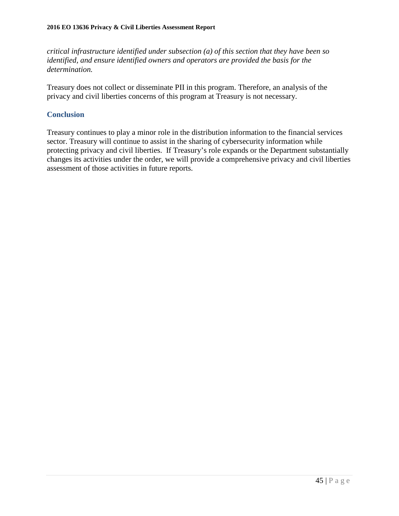*critical infrastructure identified under subsection (a) of this section that they have been so identified, and ensure identified owners and operators are provided the basis for the determination.* 

Treasury does not collect or disseminate PII in this program. Therefore, an analysis of the privacy and civil liberties concerns of this program at Treasury is not necessary.

## **Conclusion**

Treasury continues to play a minor role in the distribution information to the financial services sector. Treasury will continue to assist in the sharing of cybersecurity information while protecting privacy and civil liberties. If Treasury's role expands or the Department substantially changes its activities under the order, we will provide a comprehensive privacy and civil liberties assessment of those activities in future reports.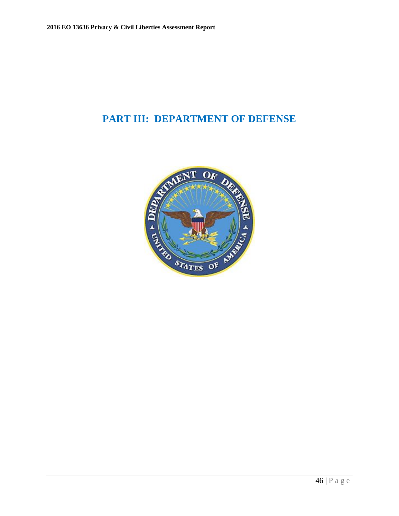## **PART III: DEPARTMENT OF DEFENSE**

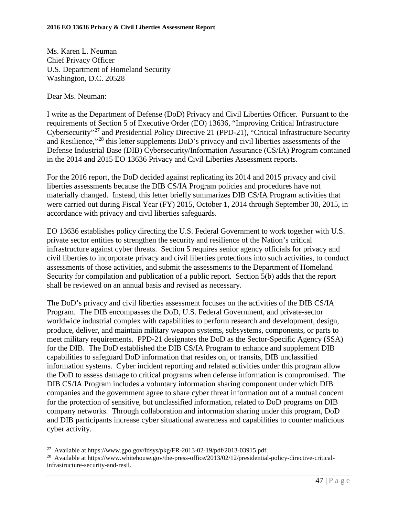Ms. Karen L. Neuman Chief Privacy Officer U.S. Department of Homeland Security Washington, D.C. 20528

Dear Ms. Neuman:

 $\overline{a}$ 

I write as the Department of Defense (DoD) Privacy and Civil Liberties Officer. Pursuant to the requirements of Section 5 of Executive Order (EO) 13636, "Improving Critical Infrastructure Cybersecurity"[27](#page-46-0) and Presidential Policy Directive 21 (PPD-21), "Critical Infrastructure Security and Resilience,"[28](#page-46-1) this letter supplements DoD's privacy and civil liberties assessments of the Defense Industrial Base (DIB) Cybersecurity/Information Assurance (CS/IA) Program contained in the 2014 and 2015 EO 13636 Privacy and Civil Liberties Assessment reports.

For the 2016 report, the DoD decided against replicating its 2014 and 2015 privacy and civil liberties assessments because the DIB CS/IA Program policies and procedures have not materially changed. Instead, this letter briefly summarizes DIB CS/IA Program activities that were carried out during Fiscal Year (FY) 2015, October 1, 2014 through September 30, 2015, in accordance with privacy and civil liberties safeguards.

EO 13636 establishes policy directing the U.S. Federal Government to work together with U.S. private sector entities to strengthen the security and resilience of the Nation's critical infrastructure against cyber threats. Section 5 requires senior agency officials for privacy and civil liberties to incorporate privacy and civil liberties protections into such activities, to conduct assessments of those activities, and submit the assessments to the Department of Homeland Security for compilation and publication of a public report. Section 5(b) adds that the report shall be reviewed on an annual basis and revised as necessary.

The DoD's privacy and civil liberties assessment focuses on the activities of the DIB CS/IA Program. The DIB encompasses the DoD, U.S. Federal Government, and private-sector worldwide industrial complex with capabilities to perform research and development, design, produce, deliver, and maintain military weapon systems, subsystems, components, or parts to meet military requirements. PPD-21 designates the DoD as the Sector-Specific Agency (SSA) for the DIB. The DoD established the DIB CS/IA Program to enhance and supplement DIB capabilities to safeguard DoD information that resides on, or transits, DIB unclassified information systems. Cyber incident reporting and related activities under this program allow the DoD to assess damage to critical programs when defense information is compromised. The DIB CS/IA Program includes a voluntary information sharing component under which DIB companies and the government agree to share cyber threat information out of a mutual concern for the protection of sensitive, but unclassified information, related to DoD programs on DIB company networks. Through collaboration and information sharing under this program, DoD and DIB participants increase cyber situational awareness and capabilities to counter malicious cyber activity.

<span id="page-46-1"></span><span id="page-46-0"></span><sup>&</sup>lt;sup>27</sup> Available at https://www.gpo.gov/fdsys/pkg/FR-2013-02-19/pdf/2013-03915.pdf.<br><sup>28</sup> Available at https://www.whitehouse.gov/the-press-office/2013/02/12/presidential-policy-directive-criticalinfrastructure-security-and-resil.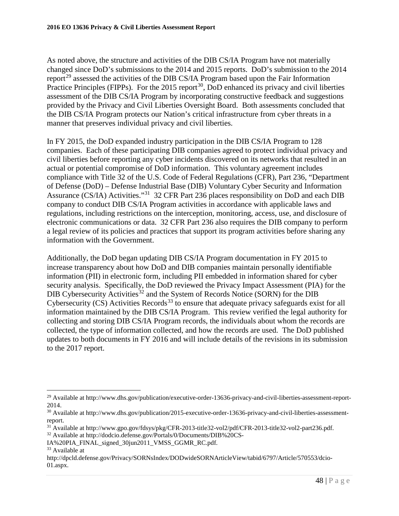As noted above, the structure and activities of the DIB CS/IA Program have not materially changed since DoD's submissions to the 2014 and 2015 reports. DoD's submission to the 2014 report<sup>[29](#page-47-0)</sup> assessed the activities of the DIB CS/IA Program based upon the Fair Information Practice Principles (FIPPs). For the  $2015$  report<sup>30</sup>, DoD enhanced its privacy and civil liberties assessment of the DIB CS/IA Program by incorporating constructive feedback and suggestions provided by the Privacy and Civil Liberties Oversight Board. Both assessments concluded that the DIB CS/IA Program protects our Nation's critical infrastructure from cyber threats in a manner that preserves individual privacy and civil liberties.

In FY 2015, the DoD expanded industry participation in the DIB CS/IA Program to 128 companies. Each of these participating DIB companies agreed to protect individual privacy and civil liberties before reporting any cyber incidents discovered on its networks that resulted in an actual or potential compromise of DoD information. This voluntary agreement includes compliance with Title 32 of the U.S. Code of Federal Regulations (CFR), Part 236, "Department of Defense (DoD) – Defense Industrial Base (DIB) Voluntary Cyber Security and Information Assurance (CS/IA) Activities."[31](#page-47-2) 32 CFR Part 236 places responsibility on DoD and each DIB company to conduct DIB CS/IA Program activities in accordance with applicable laws and regulations, including restrictions on the interception, monitoring, access, use, and disclosure of electronic communications or data. 32 CFR Part 236 also requires the DIB company to perform a legal review of its policies and practices that support its program activities before sharing any information with the Government.

Additionally, the DoD began updating DIB CS/IA Program documentation in FY 2015 to increase transparency about how DoD and DIB companies maintain personally identifiable information (PII) in electronic form, including PII embedded in information shared for cyber security analysis. Specifically, the DoD reviewed the Privacy Impact Assessment (PIA) for the DIB Cybersecurity Activities<sup>[32](#page-47-3)</sup> and the System of Records Notice (SORN) for the DIB Cybersecurity  $(CS)$  Activities Records<sup>[33](#page-47-4)</sup> to ensure that adequate privacy safeguards exist for all information maintained by the DIB CS/IA Program. This review verified the legal authority for collecting and storing DIB CS/IA Program records, the individuals about whom the records are collected, the type of information collected, and how the records are used. The DoD published updates to both documents in FY 2016 and will include details of the revisions in its submission to the 2017 report.

<span id="page-47-0"></span><sup>&</sup>lt;sup>29</sup> Available at http://www.dhs.gov/publication/executive-order-13636-privacy-and-civil-liberties-assessment-report-2014.

<span id="page-47-1"></span><sup>&</sup>lt;sup>30</sup> Available at http://www.dhs.gov/publication/2015-executive-order-13636-privacy-and-civil-liberties-assessmentreport.

<span id="page-47-2"></span><sup>31</sup> Available at http://www.gpo.gov/fdsys/pkg/CFR-2013-title32-vol2/pdf/CFR-2013-title32-vol2-part236.pdf.

<span id="page-47-3"></span><sup>32</sup> Available at http://dodcio.defense.gov/Portals/0/Documents/DIB%20CS-

IA%20PIA\_FINAL\_signed\_30jun2011\_VMSS\_GGMR\_RC.pdf. 33 Available at

http://dpcld.defense.gov/Privacy/SORNsIndex/DODwideSORNArticleView/tabid/6797/Article/570553/dcio-01.aspx.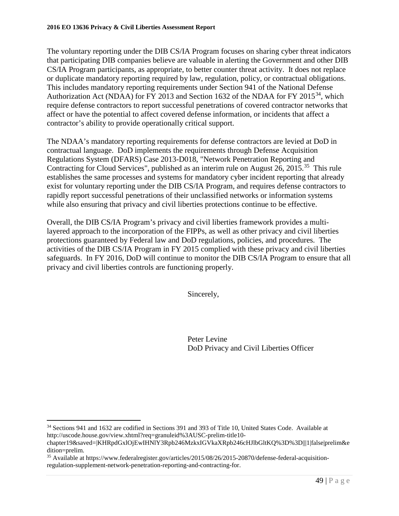The voluntary reporting under the DIB CS/IA Program focuses on sharing cyber threat indicators that participating DIB companies believe are valuable in alerting the Government and other DIB CS/IA Program participants, as appropriate, to better counter threat activity. It does not replace or duplicate mandatory reporting required by law, regulation, policy, or contractual obligations. This includes mandatory reporting requirements under Section 941 of the National Defense Authorization Act (NDAA) for FY 2013 and Section 1632 of the NDAA for FY 2015<sup>34</sup>, which require defense contractors to report successful penetrations of covered contractor networks that affect or have the potential to affect covered defense information, or incidents that affect a contractor's ability to provide operationally critical support.

The NDAA's mandatory reporting requirements for defense contractors are levied at DoD in contractual language. DoD implements the requirements through Defense Acquisition Regulations System (DFARS) Case 2013-D018, "Network Penetration Reporting and Contracting for Cloud Services", published as an interim rule on August 26, 2015.<sup>[35](#page-48-1)</sup> This rule establishes the same processes and systems for mandatory cyber incident reporting that already exist for voluntary reporting under the DIB CS/IA Program, and requires defense contractors to rapidly report successful penetrations of their unclassified networks or information systems while also ensuring that privacy and civil liberties protections continue to be effective.

Overall, the DIB CS/IA Program's privacy and civil liberties framework provides a multilayered approach to the incorporation of the FIPPs, as well as other privacy and civil liberties protections guaranteed by Federal law and DoD regulations, policies, and procedures. The activities of the DIB CS/IA Program in FY 2015 complied with these privacy and civil liberties safeguards. In FY 2016, DoD will continue to monitor the DIB CS/IA Program to ensure that all privacy and civil liberties controls are functioning properly.

Sincerely,

Peter Levine DoD Privacy and Civil Liberties Officer

<span id="page-48-0"></span><sup>34</sup> Sections 941 and 1632 are codified in Sections 391 and 393 of Title 10, United States Code. Available at http://uscode.house.gov/view.xhtml?req=granuleid%3AUSC-prelim-title10-

chapter19&saved=|KHRpdGxlOjEwIHNlY3Rpb246MzkxIGVkaXRpb246cHJlbGltKQ%3D%3D|||1|false|prelim&e dition=prelim.<br><sup>35</sup> Available at https://www.federalregister.gov/articles/2015/08/26/2015-20870/defense-federal-acquisition-

<span id="page-48-1"></span>regulation-supplement-network-penetration-reporting-and-contracting-for.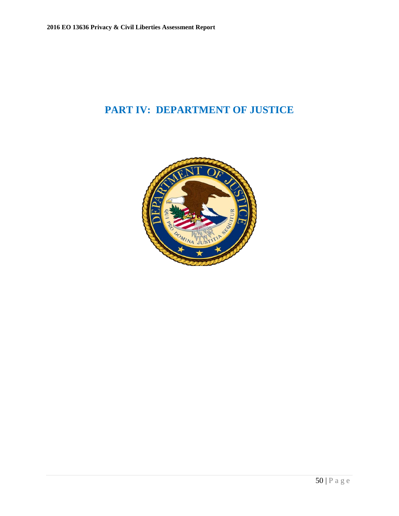# **PART IV: DEPARTMENT OF JUSTICE**

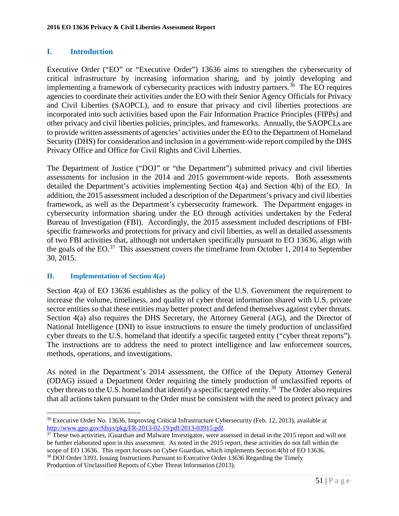## **I. Introduction**

Executive Order ("EO" or "Executive Order") 13636 aims to strengthen the cybersecurity of critical infrastructure by increasing information sharing, and by jointly developing and implementing a framework of cybersecurity practices with industry partners.<sup>36</sup> The EO requires agencies to coordinate their activities under the EO with their Senior Agency Officials for Privacy and Civil Liberties (SAOPCL), and to ensure that privacy and civil liberties protections are incorporated into such activities based upon the Fair Information Practice Principles (FIPPs) and other privacy and civil liberties policies, principles, and frameworks. Annually, the SAOPCLs are to provide written assessments of agencies' activities under the EO to the Department of Homeland Security (DHS) for consideration and inclusion in a government-wide report compiled by the DHS Privacy Office and Office for Civil Rights and Civil Liberties.

The Department of Justice ("DOJ" or "the Department") submitted privacy and civil liberties assessments for inclusion in the 2014 and 2015 government-wide reports. Both assessments detailed the Department's activities implementing Section 4(a) and Section 4(b) of the EO. In addition, the 2015 assessment included a description of the Department's privacy and civil liberties framework, as well as the Department's cybersecurity framework. The Department engages in cybersecurity information sharing under the EO through activities undertaken by the Federal Bureau of Investigation (FBI). Accordingly, the 2015 assessment included descriptions of FBIspecific frameworks and protections for privacy and civil liberties, as well as detailed assessments of two FBI activities that, although not undertaken specifically pursuant to EO 13636, align with the goals of the EO. $^{37}$  This assessment covers the timeframe from October 1, 2014 to September 30, 2015.

## **II. Implementation of Section 4(a)**

Section 4(a) of EO 13636 establishes as the policy of the U.S. Government the requirement to increase the volume, timeliness, and quality of cyber threat information shared with U.S. private sector entities so that these entities may better protect and defend themselves against cyber threats. Section 4(a) also requires the DHS Secretary, the Attorney General (AG), and the Director of National Intelligence (DNI) to issue instructions to ensure the timely production of unclassified cyber threats to the U.S. homeland that identify a specific targeted entity ("cyber threat reports"). The instructions are to address the need to protect intelligence and law enforcement sources, methods, operations, and investigations.

As noted in the Department's 2014 assessment, the Office of the Deputy Attorney General (ODAG) issued a Department Order requiring the timely production of unclassified reports of cyber threats to the U.S. homeland that identify a specific targeted entity.<sup>[38](#page-50-2)</sup> The Order also requires that all actions taken pursuant to the Order must be consistent with the need to protect privacy and

<span id="page-50-0"></span> $\overline{a}$ <sup>36</sup> Executive Order No. 13636, Improving Critical Infrastructure Cybersecurity (Feb. 12, 2013), available at http://www.gpo.gov/fdsys/pkg/FR-2013-02-19/pdf/2013-03915.pdf.

<span id="page-50-2"></span><span id="page-50-1"></span> $\frac{37}{37}$  These two activities, iGuardian and Malware Investigator, were assessed in detail in the 2015 report and will not be further elaborated upon in this assessment. As noted in the 2015 report, these activities do not fall within the scope of EO 13636. This report focuses on Cyber Guardian, which implements Section 4(b) of EO 13636. <sup>38</sup> DOJ Order 3393, Issuing Instructions Pursuant to Executive Order 13636 Regarding the Timely Production of Unclassified Reports of Cyber Threat Information (2013).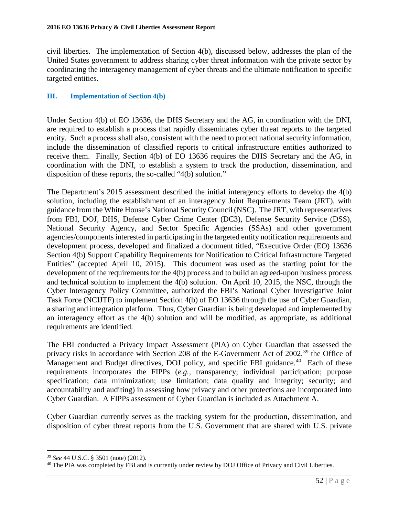civil liberties. The implementation of Section 4(b), discussed below, addresses the plan of the United States government to address sharing cyber threat information with the private sector by coordinating the interagency management of cyber threats and the ultimate notification to specific targeted entities.

## **III. Implementation of Section 4(b)**

Under Section 4(b) of EO 13636, the DHS Secretary and the AG, in coordination with the DNI, are required to establish a process that rapidly disseminates cyber threat reports to the targeted entity. Such a process shall also, consistent with the need to protect national security information, include the dissemination of classified reports to critical infrastructure entities authorized to receive them. Finally, Section 4(b) of EO 13636 requires the DHS Secretary and the AG, in coordination with the DNI, to establish a system to track the production, dissemination, and disposition of these reports, the so-called "4(b) solution."

The Department's 2015 assessment described the initial interagency efforts to develop the 4(b) solution, including the establishment of an interagency Joint Requirements Team (JRT), with guidance from the White House's National Security Council (NSC). The JRT, with representatives from FBI, DOJ, DHS, Defense Cyber Crime Center (DC3), Defense Security Service (DSS), National Security Agency, and Sector Specific Agencies (SSAs) and other government agencies/components interested in participating in the targeted entity notification requirements and development process, developed and finalized a document titled, "Executive Order (EO) 13636 Section 4(b) Support Capability Requirements for Notification to Critical Infrastructure Targeted Entities" (accepted April 10, 2015). This document was used as the starting point for the development of the requirements for the 4(b) process and to build an agreed-upon business process and technical solution to implement the 4(b) solution. On April 10, 2015, the NSC, through the Cyber Interagency Policy Committee, authorized the FBI's National Cyber Investigative Joint Task Force (NCIJTF) to implement Section 4(b) of EO 13636 through the use of Cyber Guardian, a sharing and integration platform. Thus, Cyber Guardian is being developed and implemented by an interagency effort as the 4(b) solution and will be modified, as appropriate, as additional requirements are identified.

The FBI conducted a Privacy Impact Assessment (PIA) on Cyber Guardian that assessed the privacy risks in accordance with Section 208 of the E-Government Act of 2002,<sup>[39](#page-51-0)</sup> the Office of Management and Budget directives, DOJ policy, and specific FBI guidance.<sup>[40](#page-51-1)</sup> Each of these requirements incorporates the FIPPs (*e.g.,* transparency; individual participation; purpose specification; data minimization; use limitation; data quality and integrity; security; and accountability and auditing) in assessing how privacy and other protections are incorporated into Cyber Guardian. A FIPPs assessment of Cyber Guardian is included as Attachment A.

Cyber Guardian currently serves as the tracking system for the production, dissemination, and disposition of cyber threat reports from the U.S. Government that are shared with U.S. private

<span id="page-51-0"></span><sup>39</sup> *See* 44 U.S.C. § 3501 (note) (2012).

<span id="page-51-1"></span><sup>40</sup> The PIA was completed by FBI and is currently under review by DOJ Office of Privacy and Civil Liberties.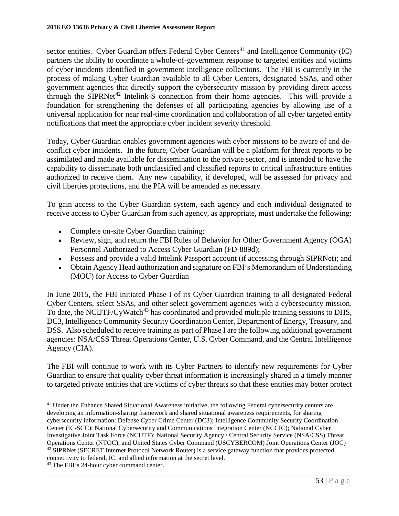sector entities. Cyber Guardian offers Federal Cyber Centers<sup>[41](#page-52-0)</sup> and Intelligence Community (IC) partners the ability to coordinate a whole-of-government response to targeted entities and victims of cyber incidents identified in government intelligence collections. The FBI is currently in the process of making Cyber Guardian available to all Cyber Centers, designated SSAs, and other government agencies that directly support the cybersecurity mission by providing direct access through the SIPRNet<sup>[42](#page-52-1)</sup> Intelink-S connection from their home agencies. This will provide a foundation for strengthening the defenses of all participating agencies by allowing use of a universal application for near real-time coordination and collaboration of all cyber targeted entity notifications that meet the appropriate cyber incident severity threshold.

Today, Cyber Guardian enables government agencies with cyber missions to be aware of and deconflict cyber incidents. In the future, Cyber Guardian will be a platform for threat reports to be assimilated and made available for dissemination to the private sector, and is intended to have the capability to disseminate both unclassified and classified reports to critical infrastructure entities authorized to receive them. Any new capability, if developed, will be assessed for privacy and civil liberties protections, and the PIA will be amended as necessary.

To gain access to the Cyber Guardian system, each agency and each individual designated to receive access to Cyber Guardian from such agency, as appropriate, must undertake the following:

- Complete on-site Cyber Guardian training;
- Review, sign, and return the FBI Rules of Behavior for Other Government Agency (OGA) Personnel Authorized to Access Cyber Guardian (FD-889d);
- Possess and provide a valid Intelink Passport account (if accessing through SIPRNet); and
- Obtain Agency Head authorization and signature on FBI's Memorandum of Understanding (MOU) for Access to Cyber Guardian

In June 2015, the FBI initiated Phase I of its Cyber Guardian training to all designated Federal Cyber Centers, select SSAs, and other select government agencies with a cybersecurity mission. To date, the NCIJTF/CyWatch<sup>[43](#page-52-2)</sup> has coordinated and provided multiple training sessions to DHS, DC3, Intelligence Community Security Coordination Center, Department of Energy, Treasury, and DSS. Also scheduled to receive training as part of Phase I are the following additional government agencies: NSA/CSS Threat Operations Center, U.S. Cyber Command, and the Central Intelligence Agency (CIA).

The FBI will continue to work with its Cyber Partners to identify new requirements for Cyber Guardian to ensure that quality cyber threat information is increasingly shared in a timely manner to targeted private entities that are victims of cyber threats so that these entities may better protect

<span id="page-52-0"></span><sup>41</sup> Under the Enhance Shared Situational Awareness initiative, the following Federal cybersecurity centers are developing an information-sharing framework and shared situational awareness requirements, for sharing cybersecurity information: Defense Cyber Crime Center (DC3); Intelligence Community Security Coordination Center (IC-SCC); National Cybersecurity and Communications Integration Center (NCCIC); National Cyber Investigative Joint Task Force (NCIJTF); National Security Agency / Central Security Service (NSA/CSS) Threat Operations Center (NTOC); and United States Cyber Command (USCYBERCOM) Joint Operations Center (JOC) <sup>42</sup> SIPRNet (SECRET Internet Protocol Network Router) is a service gateway function that provides protected connectivity to federal, IC, and allied information at the secret level.

<span id="page-52-2"></span><span id="page-52-1"></span><sup>&</sup>lt;sup>43</sup> The FBI's 24-hour cyber command center.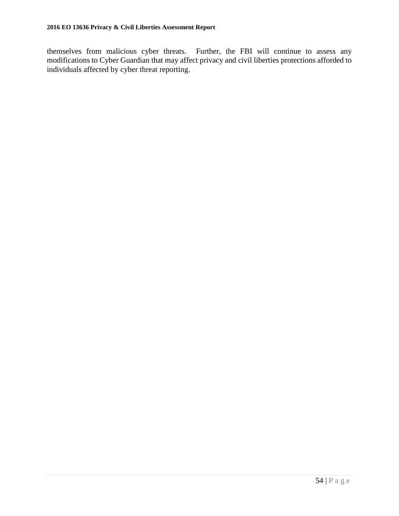themselves from malicious cyber threats. Further, the FBI will continue to assess any modifications to Cyber Guardian that may affect privacy and civil liberties protections afforded to individuals affected by cyber threat reporting.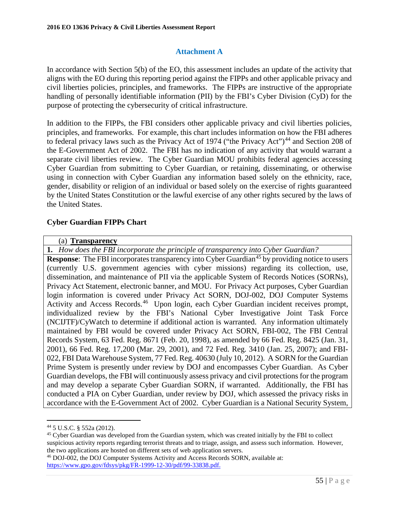## **Attachment A**

In accordance with Section 5(b) of the EO, this assessment includes an update of the activity that aligns with the EO during this reporting period against the FIPPs and other applicable privacy and civil liberties policies, principles, and frameworks. The FIPPs are instructive of the appropriate handling of personally identifiable information (PII) by the FBI's Cyber Division (CyD) for the purpose of protecting the cybersecurity of critical infrastructure.

In addition to the FIPPs, the FBI considers other applicable privacy and civil liberties policies, principles, and frameworks. For example, this chart includes information on how the FBI adheres to federal privacy laws such as the Privacy Act of 1974 ("the Privacy Act")<sup>[44](#page-54-0)</sup> and Section 208 of the E-Government Act of 2002. The FBI has no indication of any activity that would warrant a separate civil liberties review. The Cyber Guardian MOU prohibits federal agencies accessing Cyber Guardian from submitting to Cyber Guardian, or retaining, disseminating, or otherwise using in connection with Cyber Guardian any information based solely on the ethnicity, race, gender, disability or religion of an individual or based solely on the exercise of rights guaranteed by the United States Constitution or the lawful exercise of any other rights secured by the laws of the United States.

## **Cyber Guardian FIPPs Chart**

#### (a) **Transparency**

**1.** *How does the FBI incorporate the principle of transparency into Cyber Guardian?*

**Response:** The FBI incorporates transparency into Cyber Guardian<sup>[45](#page-54-1)</sup> by providing notice to users (currently U.S. government agencies with cyber missions) regarding its collection, use, dissemination, and maintenance of PII via the applicable System of Records Notices (SORNs), Privacy Act Statement, electronic banner, and MOU.For Privacy Act purposes, Cyber Guardian login information is covered under Privacy Act SORN, DOJ-002, DOJ Computer Systems Activity and Access Records.<sup>[46](#page-54-2)</sup> Upon login, each Cyber Guardian incident receives prompt, individualized review by the FBI's National Cyber Investigative Joint Task Force (NCIJTF)/CyWatch to determine if additional action is warranted. Any information ultimately maintained by FBI would be covered under Privacy Act SORN, FBI-002, The FBI Central Records System, 63 Fed. Reg. 8671 (Feb. 20, 1998), as amended by 66 Fed. Reg. 8425 (Jan. 31, 2001), 66 Fed. Reg. 17,200 (Mar. 29, 2001), and 72 Fed. Reg. 3410 (Jan. 25, 2007); and FBI-022, FBI Data Warehouse System, 77 Fed. Reg. 40630 (July 10, 2012). A SORN for the Guardian Prime System is presently under review by DOJ and encompasses Cyber Guardian. As Cyber Guardian develops, the FBI will continuously assess privacy and civil protections for the program and may develop a separate Cyber Guardian SORN, if warranted. Additionally, the FBI has conducted a PIA on Cyber Guardian, under review by DOJ, which assessed the privacy risks in accordance with the E-Government Act of 2002. Cyber Guardian is a National Security System,

 $\overline{a}$ 

<span id="page-54-1"></span><sup>45</sup> Cyber Guardian was developed from the Guardian system, which was created initially by the FBI to collect suspicious activity reports regarding terrorist threats and to triage, assign, and assess such information. However, the two applications are hosted on different sets of web application servers.

<span id="page-54-2"></span><sup>46</sup> DOJ-002, the DOJ Computer Systems Activity and Access Records SORN, available at: [https://www.gpo.gov/fdsys/pkg/FR-1999-12-30/pdf/99-33838.pdf.](https://www.gpo.gov/fdsys/pkg/FR-1999-12-30/pdf/99-33838.pdf)

<span id="page-54-0"></span><sup>44</sup> 5 U.S.C. § 552a (2012).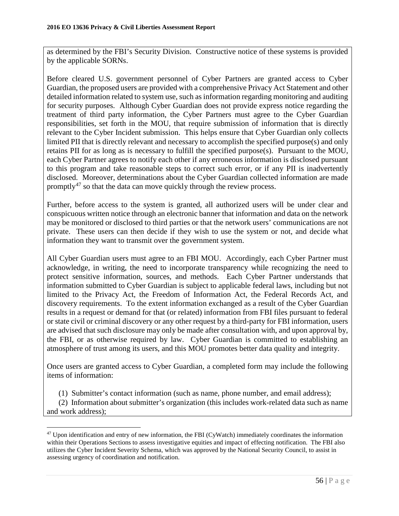as determined by the FBI's Security Division. Constructive notice of these systems is provided by the applicable SORNs.

Before cleared U.S. government personnel of Cyber Partners are granted access to Cyber Guardian, the proposed users are provided with a comprehensive Privacy Act Statement and other detailed information related to system use, such as information regarding monitoring and auditing for security purposes. Although Cyber Guardian does not provide express notice regarding the treatment of third party information, the Cyber Partners must agree to the Cyber Guardian responsibilities, set forth in the MOU, that require submission of information that is directly relevant to the Cyber Incident submission. This helps ensure that Cyber Guardian only collects limited PII that is directly relevant and necessary to accomplish the specified purpose(s) and only retains PII for as long as is necessary to fulfill the specified purpose(s). Pursuant to the MOU, each Cyber Partner agrees to notify each other if any erroneous information is disclosed pursuant to this program and take reasonable steps to correct such error, or if any PII is inadvertently disclosed. Moreover, determinations about the Cyber Guardian collected information are made promptly<sup>47</sup> so that the data can move quickly through the review process.

Further, before access to the system is granted, all authorized users will be under clear and conspicuous written notice through an electronic banner that information and data on the network may be monitored or disclosed to third parties or that the network users' communications are not private. These users can then decide if they wish to use the system or not, and decide what information they want to transmit over the government system.

All Cyber Guardian users must agree to an FBI MOU. Accordingly, each Cyber Partner must acknowledge, in writing, the need to incorporate transparency while recognizing the need to protect sensitive information, sources, and methods. Each Cyber Partner understands that information submitted to Cyber Guardian is subject to applicable federal laws, including but not limited to the Privacy Act, the Freedom of Information Act, the Federal Records Act, and discovery requirements. To the extent information exchanged as a result of the Cyber Guardian results in a request or demand for that (or related) information from FBI files pursuant to federal or state civil or criminal discovery or any other request by a third-party for FBI information, users are advised that such disclosure may only be made after consultation with, and upon approval by, the FBI, or as otherwise required by law. Cyber Guardian is committed to establishing an atmosphere of trust among its users, and this MOU promotes better data quality and integrity.

Once users are granted access to Cyber Guardian, a completed form may include the following items of information:

(1) Submitter's contact information (such as name, phone number, and email address);

(2) Information about submitter's organization (this includes work-related data such as name and work address);

<span id="page-55-0"></span><sup>&</sup>lt;sup>47</sup> Upon identification and entry of new information, the FBI (CyWatch) immediately coordinates the information within their Operations Sections to assess investigative equities and impact of effecting notification. The FBI also utilizes the Cyber Incident Severity Schema, which was approved by the National Security Council, to assist in assessing urgency of coordination and notification.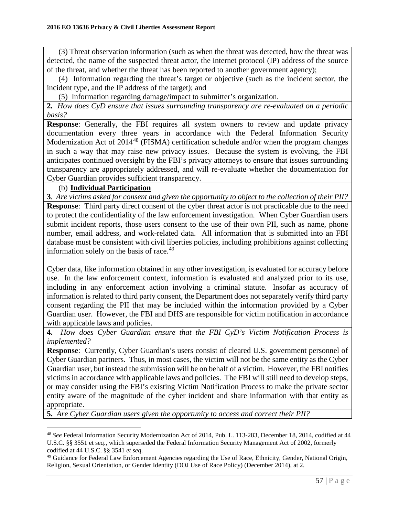(3) Threat observation information (such as when the threat was detected, how the threat was detected, the name of the suspected threat actor, the internet protocol (IP) address of the source of the threat, and whether the threat has been reported to another government agency);

(4) Information regarding the threat's target or objective (such as the incident sector, the incident type, and the IP address of the target); and

(5) Information regarding damage/impact to submitter's organization.

**2***. How does CyD ensure that issues surrounding transparency are re-evaluated on a periodic basis?*

**Response**: Generally, the FBI requires all system owners to review and update privacy documentation every three years in accordance with the Federal Information Security Modernization Act of 2014<sup>[48](#page-56-0)</sup> (FISMA) certification schedule and/or when the program changes in such a way that may raise new privacy issues. Because the system is evolving, the FBI anticipates continued oversight by the FBI's privacy attorneys to ensure that issues surrounding transparency are appropriately addressed, and will re-evaluate whether the documentation for Cyber Guardian provides sufficient transparency.

## (b) **Individual Participation**

 $\overline{a}$ 

**3***. Are victims asked for consent and given the opportunity to object to the collection of their PII?* **Response**: Third party direct consent of the cyber threat actor is not practicable due to the need to protect the confidentiality of the law enforcement investigation. When Cyber Guardian users submit incident reports, those users consent to the use of their own PII, such as name, phone number, email address, and work-related data. All information that is submitted into an FBI database must be consistent with civil liberties policies, including prohibitions against collecting information solely on the basis of race. $49$ 

Cyber data, like information obtained in any other investigation, is evaluated for accuracy before use. In the law enforcement context, information is evaluated and analyzed prior to its use, including in any enforcement action involving a criminal statute. Insofar as accuracy of information is related to third party consent, the Department does not separately verify third party consent regarding the PII that may be included within the information provided by a Cyber Guardian user. However, the FBI and DHS are responsible for victim notification in accordance with applicable laws and policies.

**4.** *How does Cyber Guardian ensure that the FBI CyD's Victim Notification Process is implemented?*

**Response:** Currently, Cyber Guardian's users consist of cleared U.S. government personnel of Cyber Guardian partners. Thus, in most cases, the victim will not be the same entity as the Cyber Guardian user, but instead the submission will be on behalf of a victim. However, the FBI notifies victims in accordance with applicable laws and policies. The FBI will still need to develop steps, or may consider using the FBI's existing Victim Notification Process to make the private sector entity aware of the magnitude of the cyber incident and share information with that entity as appropriate.

**5.** *Are Cyber Guardian users given the opportunity to access and correct their PII?*

<span id="page-56-0"></span><sup>48</sup> *See* Federal Information Security Modernization Act of 2014, Pub. L. 113-283, December 18, 2014, codified at 44 U.S.C. §§ 3551 et seq., which superseded the Federal Information Security Management Act of 2002, formerly codified at 44 U.S.C. §§ 3541 *et seq.*<br><sup>49</sup> Guidance for Federal Law Enforcement Agencies regarding the Use of Race, Ethnicity, Gender, National Origin,

<span id="page-56-1"></span>Religion, Sexual Orientation, or Gender Identity (DOJ Use of Race Policy) (December 2014), at 2.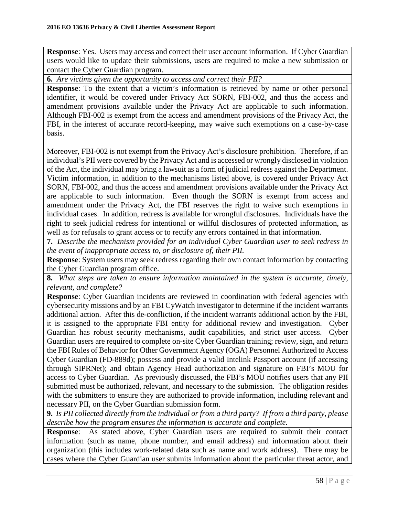**Response**: Yes. Users may access and correct their user account information. If Cyber Guardian users would like to update their submissions, users are required to make a new submission or contact the Cyber Guardian program.

**6.** *Are victims given the opportunity to access and correct their PII?*

**Response**: To the extent that a victim's information is retrieved by name or other personal identifier, it would be covered under Privacy Act SORN, FBI-002, and thus the access and amendment provisions available under the Privacy Act are applicable to such information. Although FBI-002 is exempt from the access and amendment provisions of the Privacy Act, the FBI, in the interest of accurate record-keeping, may waive such exemptions on a case-by-case basis.

Moreover, FBI-002 is not exempt from the Privacy Act's disclosure prohibition. Therefore, if an individual's PII were covered by the Privacy Act and is accessed or wrongly disclosed in violation of the Act, the individual may bring a lawsuit as a form of judicial redress against the Department. Victim information, in addition to the mechanisms listed above, is covered under Privacy Act SORN, FBI-002, and thus the access and amendment provisions available under the Privacy Act are applicable to such information. Even though the SORN is exempt from access and amendment under the Privacy Act, the FBI reserves the right to waive such exemptions in individual cases. In addition, redress is available for wrongful disclosures. Individuals have the right to seek judicial redress for intentional or willful disclosures of protected information, as well as for refusals to grant access or to rectify any errors contained in that information.

**7.** *Describe the mechanism provided for an individual Cyber Guardian user to seek redress in the event of inappropriate access to, or disclosure of, their PII.*

**Response**: System users may seek redress regarding their own contact information by contacting the Cyber Guardian program office.

**8.** *What steps are taken to ensure information maintained in the system is accurate, timely, relevant, and complete?*

**Response**: Cyber Guardian incidents are reviewed in coordination with federal agencies with cybersecurity missions and by an FBI CyWatch investigator to determine if the incident warrants additional action. After this de-confliction, if the incident warrants additional action by the FBI, it is assigned to the appropriate FBI entity for additional review and investigation. Cyber Guardian has robust security mechanisms, audit capabilities, and strict user access. Cyber Guardian users are required to complete on-site Cyber Guardian training; review, sign, and return the FBI Rules of Behavior for Other Government Agency (OGA) Personnel Authorized to Access Cyber Guardian (FD-889d); possess and provide a valid Intelink Passport account (if accessing through SIPRNet); and obtain Agency Head authorization and signature on FBI's MOU for access to Cyber Guardian. As previously discussed, the FBI's MOU notifies users that any PII submitted must be authorized, relevant, and necessary to the submission. The obligation resides with the submitters to ensure they are authorized to provide information, including relevant and necessary PII, on the Cyber Guardian submission form.

**9.** *Is PII collected directly from the individual or from a third party? If from a third party, please describe how the program ensures the information is accurate and complete.*

**Response**:As stated above, Cyber Guardian users are required to submit their contact information (such as name, phone number, and email address) and information about their organization (this includes work-related data such as name and work address). There may be cases where the Cyber Guardian user submits information about the particular threat actor, and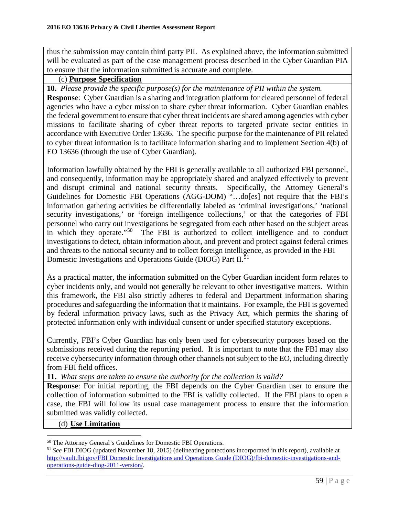thus the submission may contain third party PII. As explained above, the information submitted will be evaluated as part of the case management process described in the Cyber Guardian PIA to ensure that the information submitted is accurate and complete.

## (c) **Purpose Specification**

**10.** *Please provide the specific purpose(s) for the maintenance of PII within the system.*

**Response:** Cyber Guardian is a sharing and integration platform for cleared personnel of federal agencies who have a cyber mission to share cyber threat information. Cyber Guardian enables the federal government to ensure that cyber threat incidents are shared among agencies with cyber missions to facilitate sharing of cyber threat reports to targeted private sector entities in accordance with Executive Order 13636. The specific purpose for the maintenance of PII related to cyber threat information is to facilitate information sharing and to implement Section 4(b) of EO 13636 (through the use of Cyber Guardian).

Information lawfully obtained by the FBI is generally available to all authorized FBI personnel, and consequently, information may be appropriately shared and analyzed effectively to prevent and disrupt criminal and national security threats. Specifically, the Attorney General's Guidelines for Domestic FBI Operations (AGG-DOM) "…do[es] not require that the FBI's information gathering activities be differentially labeled as 'criminal investigations,' 'national security investigations,' or 'foreign intelligence collections,' or that the categories of FBI personnel who carry out investigations be segregated from each other based on the subject areas in which they operate."[50](#page-58-0) The FBI is authorized to collect intelligence and to conduct investigations to detect, obtain information about, and prevent and protect against federal crimes and threats to the national security and to collect foreign intelligence, as provided in the FBI Domestic Investigations and Operations Guide (DIOG) Part II.<sup>[51](#page-58-1)</sup>

As a practical matter, the information submitted on the Cyber Guardian incident form relates to cyber incidents only, and would not generally be relevant to other investigative matters. Within this framework, the FBI also strictly adheres to federal and Department information sharing procedures and safeguarding the information that it maintains. For example, the FBI is governed by federal information privacy laws, such as the Privacy Act, which permits the sharing of protected information only with individual consent or under specified statutory exceptions.

Currently, FBI's Cyber Guardian has only been used for cybersecurity purposes based on the submissions received during the reporting period. It is important to note that the FBI may also receive cybersecurity information through other channels not subject to the EO, including directly from FBI field offices.

**11.** *What steps are taken to ensure the authority for the collection is valid?*

**Response**: For initial reporting, the FBI depends on the Cyber Guardian user to ensure the collection of information submitted to the FBI is validly collected. If the FBI plans to open a case, the FBI will follow its usual case management process to ensure that the information submitted was validly collected.

#### (d) **Use Limitation**

<span id="page-58-1"></span><span id="page-58-0"></span><sup>&</sup>lt;sup>50</sup> The Attorney General's Guidelines for Domestic FBI Operations.<br><sup>51</sup> *See* FBI DIOG (updated November 18, 2015) (delineating protections incorporated in this report), available at [http://vault.fbi.gov/FBI Domestic Investigations and Operations Guide \(DIOG\)/fbi-domestic-investigations-and](http://vault.fbi.gov/FBI%20Domestic%20Investigations%20and%20Operations%20Guide%20(DIOG)/fbi-domestic-investigations-and-operations-guide-diog-2011-version/)[operations-guide-diog-2011-version/.](http://vault.fbi.gov/FBI%20Domestic%20Investigations%20and%20Operations%20Guide%20(DIOG)/fbi-domestic-investigations-and-operations-guide-diog-2011-version/)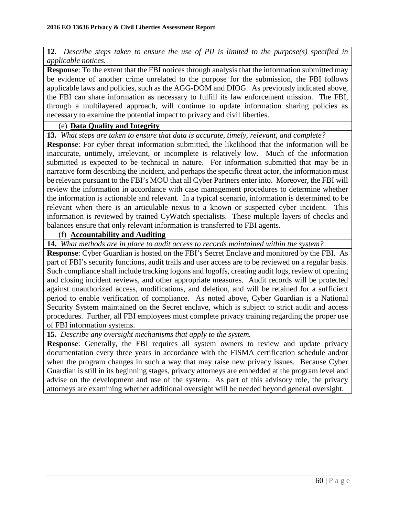**12***. Describe steps taken to ensure the use of PII is limited to the purpose(s) specified in applicable notices.*

**Response**: To the extent that the FBI notices through analysis that the information submitted may be evidence of another crime unrelated to the purpose for the submission, the FBI follows applicable laws and policies, such as the AGG-DOM and DIOG. As previously indicated above, the FBI can share information as necessary to fulfill its law enforcement mission. The FBI, through a multilayered approach, will continue to update information sharing policies as necessary to examine the potential impact to privacy and civil liberties.

## (e) **Data Quality and Integrity**

**13***. What steps are taken to ensure that data is accurate, timely, relevant, and complete?*

**Response**: For cyber threat information submitted, the likelihood that the information will be inaccurate, untimely, irrelevant, or incomplete is relatively low. Much of the information submitted is expected to be technical in nature. For information submitted that may be in narrative form describing the incident, and perhaps the specific threat actor, the information must be relevant pursuant to the FBI's MOU that all Cyber Partners enter into. Moreover, the FBI will review the information in accordance with case management procedures to determine whether the information is actionable and relevant. In a typical scenario, information is determined to be relevant when there is an articulable nexus to a known or suspected cyber incident. This information is reviewed by trained CyWatch specialists. These multiple layers of checks and balances ensure that only relevant information is transferred to FBI agents.

## (f) **Accountability and Auditing**

**14.** *What methods are in place to audit access to records maintained within the system?*

**Response**: Cyber Guardian is hosted on the FBI's Secret Enclave and monitored by the FBI. As part of FBI's security functions, audit trails and user access are to be reviewed on a regular basis. Such compliance shall include tracking logons and logoffs, creating audit logs, review of opening and closing incident reviews, and other appropriate measures. Audit records will be protected against unauthorized access, modifications, and deletion, and will be retained for a sufficient period to enable verification of compliance. As noted above, Cyber Guardian is a National Security System maintained on the Secret enclave, which is subject to strict audit and access procedures. Further, all FBI employees must complete privacy training regarding the proper use of FBI information systems.

**15.** *Describe any oversight mechanisms that apply to the system.*

**Response:** Generally, the FBI requires all system owners to review and update privacy documentation every three years in accordance with the FISMA certification schedule and/or when the program changes in such a way that may raise new privacy issues. Because Cyber Guardian is still in its beginning stages, privacy attorneys are embedded at the program level and advise on the development and use of the system. As part of this advisory role, the privacy attorneys are examining whether additional oversight will be needed beyond general oversight.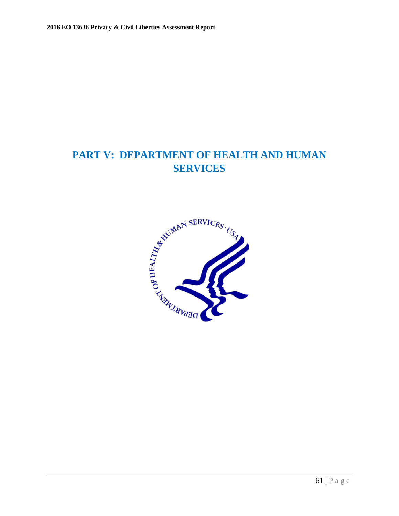## **PART V: DEPARTMENT OF HEALTH AND HUMAN SERVICES**

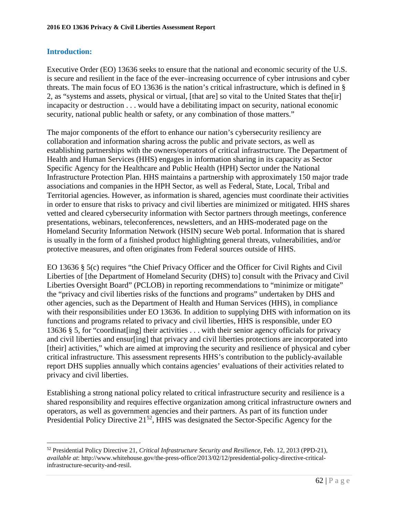## **Introduction:**

 $\overline{a}$ 

Executive Order (EO) 13636 seeks to ensure that the national and economic security of the U.S. is secure and resilient in the face of the ever–increasing occurrence of cyber intrusions and cyber threats. The main focus of EO 13636 is the nation's critical infrastructure, which is defined in § 2, as "systems and assets, physical or virtual, [that are] so vital to the United States that the[ir] incapacity or destruction . . . would have a debilitating impact on security, national economic security, national public health or safety, or any combination of those matters."

The major components of the effort to enhance our nation's cybersecurity resiliency are collaboration and information sharing across the public and private sectors, as well as establishing partnerships with the owners/operators of critical infrastructure. The Department of Health and Human Services (HHS) engages in information sharing in its capacity as Sector Specific Agency for the Healthcare and Public Health (HPH) Sector under the National Infrastructure Protection Plan. HHS maintains a partnership with approximately 150 major trade associations and companies in the HPH Sector, as well as Federal, State, Local, Tribal and Territorial agencies. However, as information is shared, agencies must coordinate their activities in order to ensure that risks to privacy and civil liberties are minimized or mitigated. HHS shares vetted and cleared cybersecurity information with Sector partners through meetings, conference presentations, webinars, teleconferences, newsletters, and an HHS-moderated page on the Homeland Security Information Network (HSIN) secure Web portal. Information that is shared is usually in the form of a finished product highlighting general threats, vulnerabilities, and/or protective measures, and often originates from Federal sources outside of HHS.

EO 13636 § 5(c) requires "the Chief Privacy Officer and the Officer for Civil Rights and Civil Liberties of [the Department of Homeland Security (DHS) to] consult with the Privacy and Civil Liberties Oversight Board" (PCLOB) in reporting recommendations to "minimize or mitigate" the "privacy and civil liberties risks of the functions and programs" undertaken by DHS and other agencies, such as the Department of Health and Human Services (HHS), in compliance with their responsibilities under EO 13636. In addition to supplying DHS with information on its functions and programs related to privacy and civil liberties, HHS is responsible, under EO 13636 § 5, for "coordinat[ing] their activities . . . with their senior agency officials for privacy and civil liberties and ensur[ing] that privacy and civil liberties protections are incorporated into [their] activities," which are aimed at improving the security and resilience of physical and cyber critical infrastructure. This assessment represents HHS's contribution to the publicly-available report DHS supplies annually which contains agencies' evaluations of their activities related to privacy and civil liberties.

Establishing a strong national policy related to critical infrastructure security and resilience is a shared responsibility and requires effective organization among critical infrastructure owners and operators, as well as government agencies and their partners. As part of its function under Presidential Policy Directive 21<sup>52</sup>, HHS was designated the Sector-Specific Agency for the

<span id="page-61-0"></span><sup>52</sup> Presidential Policy Directive 21, *Critical Infrastructure Security and Resilience*, Feb. 12, 2013 (PPD-21), *available at*: http://www.whitehouse.gov/the-press-office/2013/02/12/presidential-policy-directive-criticalinfrastructure-security-and-resil.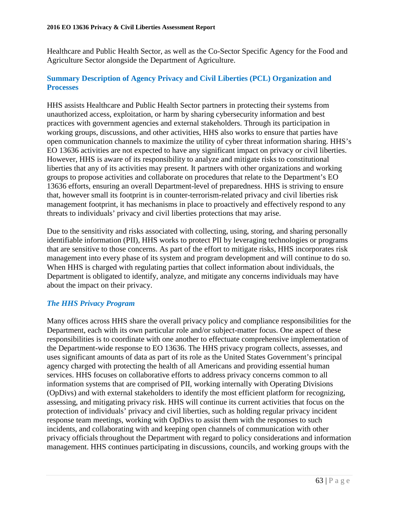Healthcare and Public Health Sector, as well as the Co-Sector Specific Agency for the Food and Agriculture Sector alongside the Department of Agriculture.

## **Summary Description of Agency Privacy and Civil Liberties (PCL) Organization and Processes**

HHS assists Healthcare and Public Health Sector partners in protecting their systems from unauthorized access, exploitation, or harm by sharing cybersecurity information and best practices with government agencies and external stakeholders. Through its participation in working groups, discussions, and other activities, HHS also works to ensure that parties have open communication channels to maximize the utility of cyber threat information sharing. HHS's EO 13636 activities are not expected to have any significant impact on privacy or civil liberties. However, HHS is aware of its responsibility to analyze and mitigate risks to constitutional liberties that any of its activities may present. It partners with other organizations and working groups to propose activities and collaborate on procedures that relate to the Department's EO 13636 efforts, ensuring an overall Department-level of preparedness. HHS is striving to ensure that, however small its footprint is in counter-terrorism-related privacy and civil liberties risk management footprint, it has mechanisms in place to proactively and effectively respond to any threats to individuals' privacy and civil liberties protections that may arise.

Due to the sensitivity and risks associated with collecting, using, storing, and sharing personally identifiable information (PII), HHS works to protect PII by leveraging technologies or programs that are sensitive to those concerns. As part of the effort to mitigate risks, HHS incorporates risk management into every phase of its system and program development and will continue to do so. When HHS is charged with regulating parties that collect information about individuals, the Department is obligated to identify, analyze, and mitigate any concerns individuals may have about the impact on their privacy.

## *The HHS Privacy Program*

Many offices across HHS share the overall privacy policy and compliance responsibilities for the Department, each with its own particular role and/or subject-matter focus. One aspect of these responsibilities is to coordinate with one another to effectuate comprehensive implementation of the Department-wide response to EO 13636. The HHS privacy program collects, assesses, and uses significant amounts of data as part of its role as the United States Government's principal agency charged with protecting the health of all Americans and providing essential human services. HHS focuses on collaborative efforts to address privacy concerns common to all information systems that are comprised of PII, working internally with Operating Divisions (OpDivs) and with external stakeholders to identify the most efficient platform for recognizing, assessing, and mitigating privacy risk. HHS will continue its current activities that focus on the protection of individuals' privacy and civil liberties, such as holding regular privacy incident response team meetings, working with OpDivs to assist them with the responses to such incidents, and collaborating with and keeping open channels of communication with other privacy officials throughout the Department with regard to policy considerations and information management. HHS continues participating in discussions, councils, and working groups with the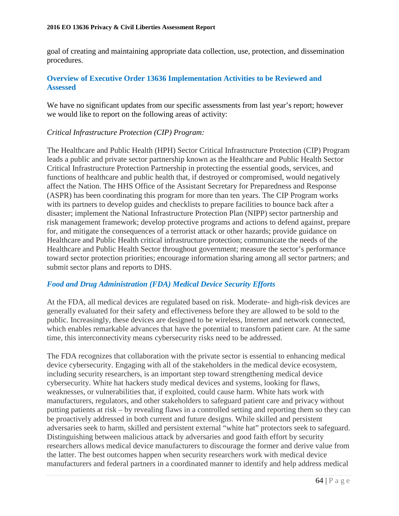goal of creating and maintaining appropriate data collection, use, protection, and dissemination procedures.

## **Overview of Executive Order 13636 Implementation Activities to be Reviewed and Assessed**

We have no significant updates from our specific assessments from last year's report; however we would like to report on the following areas of activity:

#### *Critical Infrastructure Protection (CIP) Program:*

The Healthcare and Public Health (HPH) Sector Critical Infrastructure Protection (CIP) Program leads a public and private sector partnership known as the Healthcare and Public Health Sector Critical Infrastructure Protection Partnership in protecting the essential goods, services, and functions of healthcare and public health that, if destroyed or compromised, would negatively affect the Nation. The HHS Office of the Assistant Secretary for Preparedness and Response (ASPR) has been coordinating this program for more than ten years. The CIP Program works with its partners to develop guides and checklists to prepare facilities to bounce back after a disaster; implement the National Infrastructure Protection Plan (NIPP) sector partnership and risk management framework; develop protective programs and actions to defend against, prepare for, and mitigate the consequences of a terrorist attack or other hazards; provide guidance on Healthcare and Public Health critical infrastructure protection; communicate the needs of the Healthcare and Public Health Sector throughout government; measure the sector's performance toward sector protection priorities; encourage information sharing among all sector partners; and submit sector plans and reports to DHS.

## *Food and Drug Administration (FDA) Medical Device Security Efforts*

At the FDA, all medical devices are regulated based on risk. Moderate- and high-risk devices are generally evaluated for their safety and effectiveness before they are allowed to be sold to the public. Increasingly, these devices are designed to be wireless, Internet and network connected, which enables remarkable advances that have the potential to transform patient care. At the same time, this interconnectivity means cybersecurity risks need to be addressed.

The FDA recognizes that collaboration with the private sector is essential to enhancing medical device cybersecurity. Engaging with all of the stakeholders in the medical device ecosystem, including security researchers, is an important step toward strengthening medical device cybersecurity. White hat hackers study medical devices and systems, looking for flaws, weaknesses, or vulnerabilities that, if exploited, could cause harm. White hats work with manufacturers, regulators, and other stakeholders to safeguard patient care and privacy without putting patients at risk – by revealing flaws in a controlled setting and reporting them so they can be proactively addressed in both current and future designs. While skilled and persistent adversaries seek to harm, skilled and persistent external "white hat" protectors seek to safeguard. Distinguishing between malicious attack by adversaries and good faith effort by security researchers allows medical device manufacturers to discourage the former and derive value from the latter. The best outcomes happen when security researchers work with medical device manufacturers and federal partners in a coordinated manner to identify and help address medical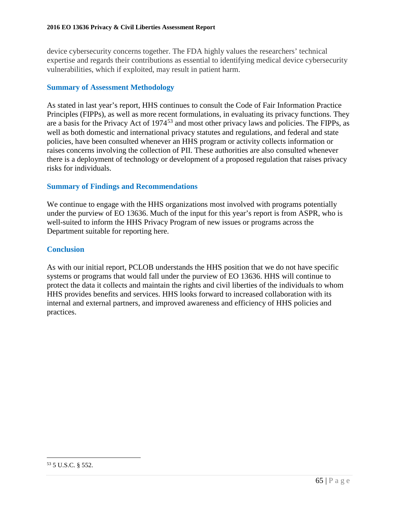device cybersecurity concerns together. The FDA highly values the researchers' technical expertise and regards their contributions as essential to identifying medical device cybersecurity vulnerabilities, which if exploited, may result in patient harm.

## **Summary of Assessment Methodology**

As stated in last year's report, HHS continues to consult the Code of Fair Information Practice Principles (FIPPs), as well as more recent formulations, in evaluating its privacy functions. They are a basis for the Privacy Act of 1974<sup>[53](#page-64-0)</sup> and most other privacy laws and policies. The FIPPs, as well as both domestic and international privacy statutes and regulations, and federal and state policies, have been consulted whenever an HHS program or activity collects information or raises concerns involving the collection of PII. These authorities are also consulted whenever there is a deployment of technology or development of a proposed regulation that raises privacy risks for individuals.

## **Summary of Findings and Recommendations**

We continue to engage with the HHS organizations most involved with programs potentially under the purview of EO 13636. Much of the input for this year's report is from ASPR, who is well-suited to inform the HHS Privacy Program of new issues or programs across the Department suitable for reporting here.

## **Conclusion**

As with our initial report, PCLOB understands the HHS position that we do not have specific systems or programs that would fall under the purview of EO 13636. HHS will continue to protect the data it collects and maintain the rights and civil liberties of the individuals to whom HHS provides benefits and services. HHS looks forward to increased collaboration with its internal and external partners, and improved awareness and efficiency of HHS policies and practices.

<span id="page-64-0"></span><sup>53</sup> 5 U.S.C. § 552.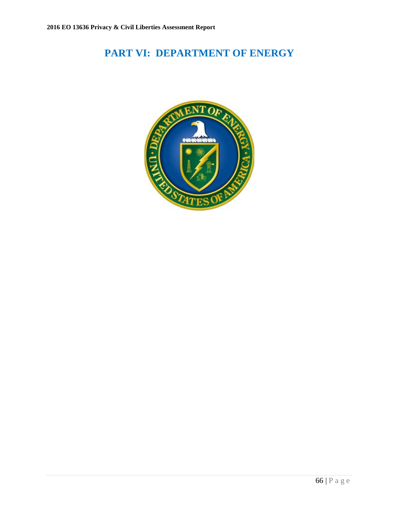# **PART VI: DEPARTMENT OF ENERGY**

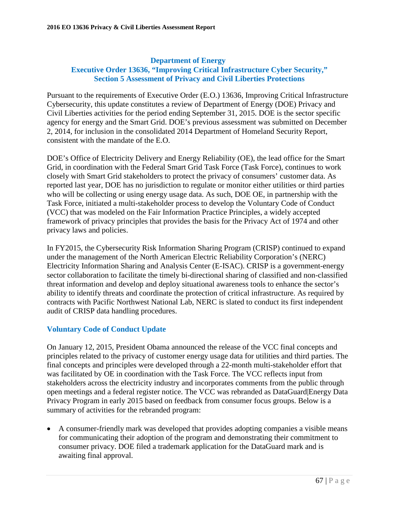#### **Department of Energy Executive Order 13636, "Improving Critical Infrastructure Cyber Security," Section 5 Assessment of Privacy and Civil Liberties Protections**

Pursuant to the requirements of Executive Order (E.O.) 13636, Improving Critical Infrastructure Cybersecurity, this update constitutes a review of Department of Energy (DOE) Privacy and Civil Liberties activities for the period ending September 31, 2015. DOE is the sector specific agency for energy and the Smart Grid. DOE's previous assessment was submitted on December 2, 2014, for inclusion in the consolidated 2014 Department of Homeland Security Report, consistent with the mandate of the E.O.

DOE's Office of Electricity Delivery and Energy Reliability (OE), the lead office for the Smart Grid, in coordination with the Federal Smart Grid Task Force (Task Force), continues to work closely with Smart Grid stakeholders to protect the privacy of consumers' customer data. As reported last year, DOE has no jurisdiction to regulate or monitor either utilities or third parties who will be collecting or using energy usage data. As such, DOE OE, in partnership with the Task Force, initiated a multi-stakeholder process to develop the Voluntary Code of Conduct (VCC) that was modeled on the Fair Information Practice Principles, a widely accepted framework of privacy principles that provides the basis for the Privacy Act of 1974 and other privacy laws and policies.

In FY2015, the Cybersecurity Risk Information Sharing Program (CRISP) continued to expand under the management of the North American Electric Reliability Corporation's (NERC) Electricity Information Sharing and Analysis Center (E-ISAC). CRISP is a government-energy sector collaboration to facilitate the timely bi-directional sharing of classified and non-classified threat information and develop and deploy situational awareness tools to enhance the sector's ability to identify threats and coordinate the protection of critical infrastructure. As required by contracts with Pacific Northwest National Lab, NERC is slated to conduct its first independent audit of CRISP data handling procedures.

## **Voluntary Code of Conduct Update**

On January 12, 2015, President Obama announced the release of the VCC final concepts and principles related to the privacy of customer energy usage data for utilities and third parties. The final concepts and principles were developed through a 22-month multi-stakeholder effort that was facilitated by OE in coordination with the Task Force. The VCC reflects input from stakeholders across the electricity industry and incorporates comments from the public through open meetings and a federal register notice. The VCC was rebranded as DataGuard|Energy Data Privacy Program in early 2015 based on feedback from consumer focus groups. Below is a summary of activities for the rebranded program:

• A consumer-friendly mark was developed that provides adopting companies a visible means for communicating their adoption of the program and demonstrating their commitment to consumer privacy. DOE filed a trademark application for the DataGuard mark and is awaiting final approval.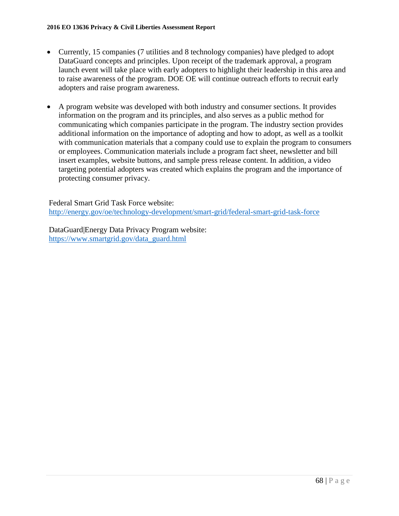- Currently, 15 companies (7 utilities and 8 technology companies) have pledged to adopt DataGuard concepts and principles. Upon receipt of the trademark approval, a program launch event will take place with early adopters to highlight their leadership in this area and to raise awareness of the program. DOE OE will continue outreach efforts to recruit early adopters and raise program awareness.
- A program website was developed with both industry and consumer sections. It provides information on the program and its principles, and also serves as a public method for communicating which companies participate in the program. The industry section provides additional information on the importance of adopting and how to adopt, as well as a toolkit with communication materials that a company could use to explain the program to consumers or employees. Communication materials include a program fact sheet, newsletter and bill insert examples, website buttons, and sample press release content. In addition, a video targeting potential adopters was created which explains the program and the importance of protecting consumer privacy.

Federal Smart Grid Task Force website: <http://energy.gov/oe/technology-development/smart-grid/federal-smart-grid-task-force>

DataGuard|Energy Data Privacy Program website: [https://www.smartgrid.gov/data\\_guard.html](https://www.smartgrid.gov/data_guard.html)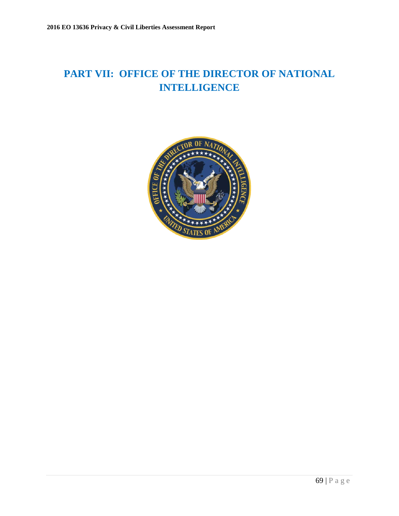# **PART VII: OFFICE OF THE DIRECTOR OF NATIONAL INTELLIGENCE**

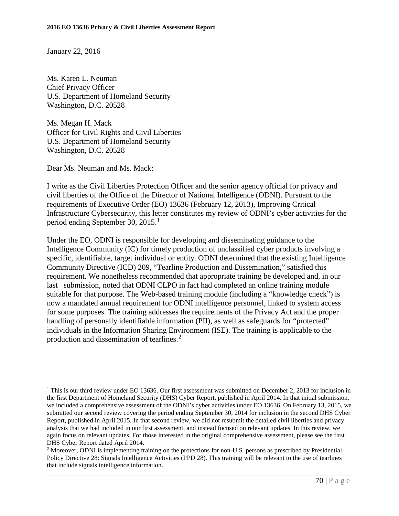January 22, 2016

Ms. Karen L. Neuman Chief Privacy Officer U.S. Department of Homeland Security Washington, D.C. 20528

Ms. [Megan H. Mack](http://www.dhs.gov/person/megan-h-mack) Officer for Civil Rights and Civil Liberties U.S. Department of Homeland Security Washington, D.C. 20528

Dear Ms. Neuman and Ms. Mack:

I write as the Civil Liberties Protection Officer and the senior agency official for privacy and civil liberties of the Office of the Director of National Intelligence (ODNI). Pursuant to the requirements of Executive Order (EO) 13636 (February 12, 2013), Improving Critical Infrastructure Cybersecurity, this letter constitutes my review of ODNI's cyber activities for the period ending September 30, 20[1](#page-69-0)5.<sup>1</sup>

Under the EO, ODNI is responsible for developing and disseminating guidance to the Intelligence Community (IC) for timely production of unclassified cyber products involving a specific, identifiable, target individual or entity. ODNI determined that the existing Intelligence Community Directive (ICD) 209, "Tearline Production and Dissemination," satisfied this requirement. We nonetheless recommended that appropriate training be developed and, in our last submission, noted that ODNI CLPO in fact had completed an online training module suitable for that purpose. The Web-based training module (including a "knowledge check") is now a mandated annual requirement for ODNI intelligence personnel, linked to system access for some purposes. The training addresses the requirements of the Privacy Act and the proper handling of personally identifiable information (PII), as well as safeguards for "protected" individuals in the Information Sharing Environment (ISE). The training is applicable to the production and dissemination of tearlines.<sup>[2](#page-69-1)</sup>

<span id="page-69-0"></span> $\overline{a}$ <sup>1</sup> This is our third review under EO 13636. Our first assessment was submitted on December 2, 2013 for inclusion in the first Department of Homeland Security (DHS) Cyber Report, published in April 2014. In that initial submission, we included a comprehensive assessment of the ODNI's cyber activities under EO 13636. On February 13, 2015, we submitted our second review covering the period ending September 30, 2014 for inclusion in the second DHS Cyber Report, published in April 2015. In that second review, we did not resubmit the detailed civil liberties and privacy analysis that we had included in our first assessment, and instead focused on relevant updates. In this review, we again focus on relevant updates. For those interested in the original comprehensive assessment, please see the first DHS Cyber Report dated April 2014.

<span id="page-69-1"></span><sup>2</sup> Moreover, ODNI is implementing training on the protections for non-U.S. persons as prescribed by Presidential Policy Directive 28: Signals Intelligence Activities (PPD 28). This training will be relevant to the use of tearlines that include signals intelligence information.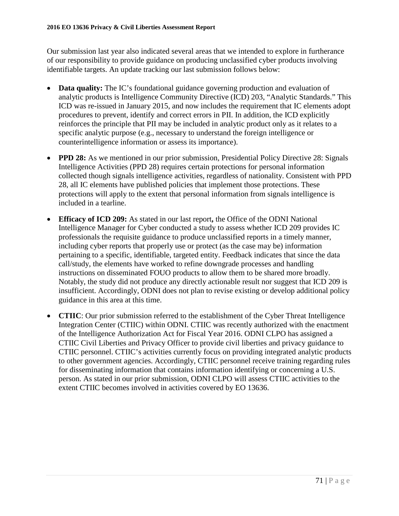Our submission last year also indicated several areas that we intended to explore in furtherance of our responsibility to provide guidance on producing unclassified cyber products involving identifiable targets. An update tracking our last submission follows below:

- **Data quality:** The IC's foundational guidance governing production and evaluation of analytic products is Intelligence Community Directive (ICD) 203, "Analytic Standards." This ICD was re-issued in January 2015, and now includes the requirement that IC elements adopt procedures to prevent, identify and correct errors in PII. In addition, the ICD explicitly reinforces the principle that PII may be included in analytic product only as it relates to a specific analytic purpose (e.g., necessary to understand the foreign intelligence or counterintelligence information or assess its importance).
- **PPD 28:** As we mentioned in our prior submission, Presidential Policy Directive 28: Signals Intelligence Activities (PPD 28) requires certain protections for personal information collected though signals intelligence activities, regardless of nationality. Consistent with PPD 28, all IC elements have published policies that implement those protections. These protections will apply to the extent that personal information from signals intelligence is included in a tearline.
- **Efficacy of ICD 209:** As stated in our last report**,** the Office of the ODNI National Intelligence Manager for Cyber conducted a study to assess whether ICD 209 provides IC professionals the requisite guidance to produce unclassified reports in a timely manner, including cyber reports that properly use or protect (as the case may be) information pertaining to a specific, identifiable, targeted entity. Feedback indicates that since the data call/study, the elements have worked to refine downgrade processes and handling instructions on disseminated FOUO products to allow them to be shared more broadly. Notably, the study did not produce any directly actionable result nor suggest that ICD 209 is insufficient. Accordingly, ODNI does not plan to revise existing or develop additional policy guidance in this area at this time.
- **CTIIC**: Our prior submission referred to the establishment of the Cyber Threat Intelligence Integration Center (CTIIC) within ODNI. CTIIC was recently authorized with the enactment of the Intelligence Authorization Act for Fiscal Year 2016. ODNI CLPO has assigned a CTIIC Civil Liberties and Privacy Officer to provide civil liberties and privacy guidance to CTIIC personnel. CTIIC's activities currently focus on providing integrated analytic products to other government agencies. Accordingly, CTIIC personnel receive training regarding rules for disseminating information that contains information identifying or concerning a U.S. person. As stated in our prior submission, ODNI CLPO will assess CTIIC activities to the extent CTIIC becomes involved in activities covered by EO 13636.